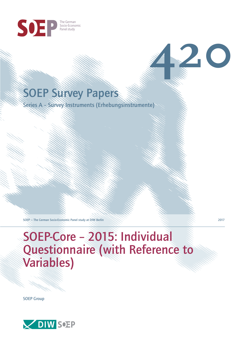

# SOEP Survey Papers

Series A – Survey Instruments (Erhebungsinstrumente)

SOEP — The German Socio-Economic Panel study at DIW Berlin 2017

# SOEP-Core – 2015: Individual Questionnaire (with Reference to Variables)

SOEP Group



**420**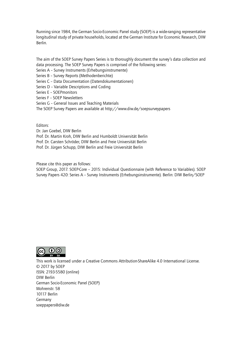Running since 1984, the German Socio-Economic Panel study (SOEP) is a wide-ranging representative longitudinal study of private households, located at the German Institute for Economic Research, DIW Berlin.

The aim of the SOEP Survey Papers Series is to thoroughly document the survey's data collection and data processing. The SOEP Survey Papers is comprised of the following series:

- Series A Survey Instruments (Erhebungsinstrumente)
- Series B Survey Reports (Methodenberichte)
- Series C Data Documentation (Datendokumentationen)
- Series D Variable Descriptions and Coding
- Series E SOEPmonitors
- Series F SOEP Newsletters
- Series G General Issues and Teaching Materials
- The SOEP Survey Papers are available at http://www.diw.de/soepsurveypapers

Editors:

Dr. Jan Goebel, DIW Berlin

Prof. Dr. Martin Kroh, DIW Berlin and Humboldt Universität Berlin

- Prof. Dr. Carsten Schröder, DIW Berlin and Freie Universität Berlin
- Prof. Dr. Jürgen Schupp, DIW Berlin and Freie Universität Berlin

Please cite this paper as follows:

SOEP Group, 2017. SOEP-Core – 2015: Individual Questionnaire (with Reference to Variables). SOEP Survey Papers 420: Series A – Survey Instruments (Erhebungsinstrumente). Berlin: DIW Berlin/SOEP



This work is licensed under a Creative Commons Attribution-ShareAlike 4.0 International License. © 2017 by SOEP ISSN: 2193-5580 (online) DIW Berlin German Socio-Economic Pan[el \(SOEP\)](http://creativecommons.org/licenses/by-sa/4.0/) Mohrenstr. 58 10117 Berlin Germany soeppapers@diw.de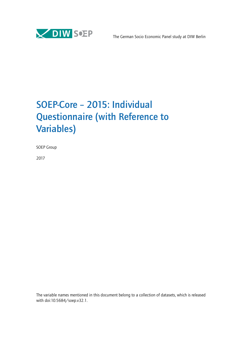

# SOEP-Core – 2015: Individual Questionnaire (with Reference to Variables)

SOEP Group

2017

The variable names mentioned in this document belong to a collection of datasets, which is released with doi:10.5684/soep.v32.1.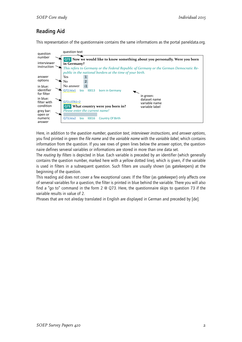# Reading Aid

This representation of the questionnaire contains the same informations as the portal paneldata.org.



Here, in addition to the *question number*, *question text*, *interviewer instructions*, and *answer options*, you find printed in green the *file name* and the *variable name* with the *variable label*, which contains information from the question. If you see rows of green lines below the answer option, the questionnaire defines serveral variables or informations are stored in more than one data set.

The *routing by filters* is depicted in blue. Each variable is preceded by an identifier (which generally contains the question number, marked here with a yellow dotted line), which is given, if the variable is used in filters in a subsequent question. Such filters are usually shown (as gatekeepers) at the beginning of the question.

This reading aid does not cover a few exceptional cases: If the filter (as gatekeeper) only affects one of serveral variables for a question, the filter is printed in blue behind the variable. There you will also find a "go to" command in the form 2 @ Q73. Here, the questionnaire skips to question 73 if the variable results in value of 2.

Phrases that are not alreday translated in English are displayed in German and preceded by [de].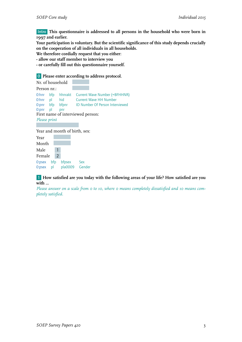Intro **This questionnaire is addressed to all persons in the household who were born in 1997 and earlier.**

**Your participation is voluntary. But the scientific significance of this study depends crucially on the cooperation of all individuals in all households.**

**We therefore cordially request that you either:**

- **allow our staff member to interview you**
- **or carefully fill out this questionnaire yourself.**

#### 0 **Please enter according to address protocol.**

| Nr. of household |                |                                                                          |  |  |                                                                                                    |  |
|------------------|----------------|--------------------------------------------------------------------------|--|--|----------------------------------------------------------------------------------------------------|--|
| Person nr.:      |                |                                                                          |  |  |                                                                                                    |  |
| $0:$ pnr pl pnr  |                | O:hnr pl hid Current Wave HH Number<br>First name of interviewed person: |  |  | O:hnr bfp hhnrakt Current Wave Number (=BFHHNR)<br>O:pnr bfp bfpnr ID Number Of Person Interviewed |  |
| Please print     |                |                                                                          |  |  |                                                                                                    |  |
|                  |                |                                                                          |  |  |                                                                                                    |  |
|                  |                | Year and month of birth, sex:                                            |  |  |                                                                                                    |  |
| Year             |                |                                                                          |  |  |                                                                                                    |  |
| Month            |                |                                                                          |  |  |                                                                                                    |  |
| Male             | $\overline{1}$ |                                                                          |  |  |                                                                                                    |  |
| Female           | $\overline{2}$ |                                                                          |  |  |                                                                                                    |  |
|                  |                | O:psex bfp bfpsex Sex                                                    |  |  |                                                                                                    |  |
| $0:$ psex pl     |                | pla0009 Gender                                                           |  |  |                                                                                                    |  |

1 **How satisfied are you today with the following areas of your life? How satisfied are you with ...**

*Please answer on a scale from 0 to 10, where 0 means completely dissatisfied and 10 means completely satisfied.*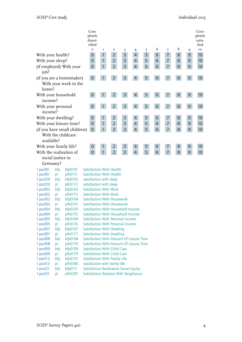| 6<br>8<br>$\circ$<br>I<br>5<br>7<br>IO<br>$\overline{\mathbf{c}}$<br>9<br>3<br>4<br>5<br>3<br>$\overline{2}$<br>4<br>7<br>$9$<br>With your health?<br>6<br>8<br>10<br>$\mathbf 0$<br>1<br>$\overline{2}$<br>5<br>$\mathsf{3}$<br>$\overline{4}$<br>6<br>$\overline{7}$<br>With your sleep?<br>1<br>8<br>$\overline{9}$<br>10<br>$\theta$<br>$\overline{2}$<br>5<br>$6\phantom{.}6$<br>$\mathbf{1}$<br>$\overline{3}$<br>$\overline{4}$<br>$\overline{7}$<br>8<br>$\mathsf 9$<br>$\boldsymbol{0}$<br>10<br>(if employed) With your<br>job?<br>$\overline{2}$<br>3<br>5<br>$\, 8$<br>(if you are a homemaker)<br>$\boldsymbol{0}$<br>4<br>6<br>$\overline{7}$<br>$9\,$<br>10<br>With your work in the<br>home?<br>$\overline{2}$<br>5<br>With your household<br>$\boldsymbol{0}$<br>3<br>6<br>$\,8\,$<br>$\overline{9}$<br>10<br>$\mathbf{1}$<br>4<br>$\overline{7}$<br>income?<br>$\overline{2}$<br>5<br>With your personal<br>$\mathbf{1}$<br>3<br>$\overline{4}$<br>$\overline{7}$<br>$\,8\,$<br>$\overline{9}$<br>10<br>$\theta$<br>6<br>income?<br>5<br>With your dwelling?<br>$\overline{2}$<br>3<br>$6\phantom{.}6$<br>$\overline{7}$<br>8<br>$\mathbf 0$<br>4<br>9<br>10<br>1<br>$\overline{2}$<br>5<br>$\overline{7}$<br>3<br>6<br>$\mathbf 0$<br>$\overline{4}$<br>8<br>With your leisure time?<br>1<br>$\overline{9}$<br>10<br>$\overline{2}$<br>5<br>$\overline{3}$<br>$\overline{7}$<br>$\overline{4}$<br>$\mathbf{1}$<br>6<br>8<br>$\overline{9}$<br>(if you have small children)<br>10<br>$\mathbf 0$<br>With the childcare<br>available?<br>5<br>10<br>With your family life?<br>$\mathbf 0$<br>2<br>3<br>4<br>6<br>7<br>8<br>9<br>1<br>$\overline{2}$<br>3<br>$\overline{4}$<br>With the realisation of<br>$\overline{0}$<br>$\mathbf{1}$<br>5<br>6<br>$\overline{7}$<br>8<br>$\mathsf g$<br>10<br>social justice in<br>Germany? |
|-------------------------------------------------------------------------------------------------------------------------------------------------------------------------------------------------------------------------------------------------------------------------------------------------------------------------------------------------------------------------------------------------------------------------------------------------------------------------------------------------------------------------------------------------------------------------------------------------------------------------------------------------------------------------------------------------------------------------------------------------------------------------------------------------------------------------------------------------------------------------------------------------------------------------------------------------------------------------------------------------------------------------------------------------------------------------------------------------------------------------------------------------------------------------------------------------------------------------------------------------------------------------------------------------------------------------------------------------------------------------------------------------------------------------------------------------------------------------------------------------------------------------------------------------------------------------------------------------------------------------------------------------------------------------------------------------------------------------------------------------------------------------------------------------------------------------------------------------|
|                                                                                                                                                                                                                                                                                                                                                                                                                                                                                                                                                                                                                                                                                                                                                                                                                                                                                                                                                                                                                                                                                                                                                                                                                                                                                                                                                                                                                                                                                                                                                                                                                                                                                                                                                                                                                                                 |
|                                                                                                                                                                                                                                                                                                                                                                                                                                                                                                                                                                                                                                                                                                                                                                                                                                                                                                                                                                                                                                                                                                                                                                                                                                                                                                                                                                                                                                                                                                                                                                                                                                                                                                                                                                                                                                                 |
|                                                                                                                                                                                                                                                                                                                                                                                                                                                                                                                                                                                                                                                                                                                                                                                                                                                                                                                                                                                                                                                                                                                                                                                                                                                                                                                                                                                                                                                                                                                                                                                                                                                                                                                                                                                                                                                 |
|                                                                                                                                                                                                                                                                                                                                                                                                                                                                                                                                                                                                                                                                                                                                                                                                                                                                                                                                                                                                                                                                                                                                                                                                                                                                                                                                                                                                                                                                                                                                                                                                                                                                                                                                                                                                                                                 |
|                                                                                                                                                                                                                                                                                                                                                                                                                                                                                                                                                                                                                                                                                                                                                                                                                                                                                                                                                                                                                                                                                                                                                                                                                                                                                                                                                                                                                                                                                                                                                                                                                                                                                                                                                                                                                                                 |
|                                                                                                                                                                                                                                                                                                                                                                                                                                                                                                                                                                                                                                                                                                                                                                                                                                                                                                                                                                                                                                                                                                                                                                                                                                                                                                                                                                                                                                                                                                                                                                                                                                                                                                                                                                                                                                                 |
|                                                                                                                                                                                                                                                                                                                                                                                                                                                                                                                                                                                                                                                                                                                                                                                                                                                                                                                                                                                                                                                                                                                                                                                                                                                                                                                                                                                                                                                                                                                                                                                                                                                                                                                                                                                                                                                 |
|                                                                                                                                                                                                                                                                                                                                                                                                                                                                                                                                                                                                                                                                                                                                                                                                                                                                                                                                                                                                                                                                                                                                                                                                                                                                                                                                                                                                                                                                                                                                                                                                                                                                                                                                                                                                                                                 |
|                                                                                                                                                                                                                                                                                                                                                                                                                                                                                                                                                                                                                                                                                                                                                                                                                                                                                                                                                                                                                                                                                                                                                                                                                                                                                                                                                                                                                                                                                                                                                                                                                                                                                                                                                                                                                                                 |
|                                                                                                                                                                                                                                                                                                                                                                                                                                                                                                                                                                                                                                                                                                                                                                                                                                                                                                                                                                                                                                                                                                                                                                                                                                                                                                                                                                                                                                                                                                                                                                                                                                                                                                                                                                                                                                                 |
|                                                                                                                                                                                                                                                                                                                                                                                                                                                                                                                                                                                                                                                                                                                                                                                                                                                                                                                                                                                                                                                                                                                                                                                                                                                                                                                                                                                                                                                                                                                                                                                                                                                                                                                                                                                                                                                 |
|                                                                                                                                                                                                                                                                                                                                                                                                                                                                                                                                                                                                                                                                                                                                                                                                                                                                                                                                                                                                                                                                                                                                                                                                                                                                                                                                                                                                                                                                                                                                                                                                                                                                                                                                                                                                                                                 |
|                                                                                                                                                                                                                                                                                                                                                                                                                                                                                                                                                                                                                                                                                                                                                                                                                                                                                                                                                                                                                                                                                                                                                                                                                                                                                                                                                                                                                                                                                                                                                                                                                                                                                                                                                                                                                                                 |
| <b>Satisfaction With Health</b><br>1:pzuf01<br>bfp<br>bfp0101                                                                                                                                                                                                                                                                                                                                                                                                                                                                                                                                                                                                                                                                                                                                                                                                                                                                                                                                                                                                                                                                                                                                                                                                                                                                                                                                                                                                                                                                                                                                                                                                                                                                                                                                                                                   |
| <b>Satisfaction With Health</b><br>plh0171<br>1:pzuf01<br>pl                                                                                                                                                                                                                                                                                                                                                                                                                                                                                                                                                                                                                                                                                                                                                                                                                                                                                                                                                                                                                                                                                                                                                                                                                                                                                                                                                                                                                                                                                                                                                                                                                                                                                                                                                                                    |
| 1:pzuf20<br>bfp0102<br>satisfaction with sleep<br>bfp                                                                                                                                                                                                                                                                                                                                                                                                                                                                                                                                                                                                                                                                                                                                                                                                                                                                                                                                                                                                                                                                                                                                                                                                                                                                                                                                                                                                                                                                                                                                                                                                                                                                                                                                                                                           |
| 1:pzuf20<br>plh0172<br>satisfaction with sleep<br>pl                                                                                                                                                                                                                                                                                                                                                                                                                                                                                                                                                                                                                                                                                                                                                                                                                                                                                                                                                                                                                                                                                                                                                                                                                                                                                                                                                                                                                                                                                                                                                                                                                                                                                                                                                                                            |
| <b>Satisfaction With Work</b><br>bfp0103<br>1:pzuf02<br>bfp                                                                                                                                                                                                                                                                                                                                                                                                                                                                                                                                                                                                                                                                                                                                                                                                                                                                                                                                                                                                                                                                                                                                                                                                                                                                                                                                                                                                                                                                                                                                                                                                                                                                                                                                                                                     |
| <b>Satisfaction With Work</b><br>plh0173<br>1:pzuf02<br>pl                                                                                                                                                                                                                                                                                                                                                                                                                                                                                                                                                                                                                                                                                                                                                                                                                                                                                                                                                                                                                                                                                                                                                                                                                                                                                                                                                                                                                                                                                                                                                                                                                                                                                                                                                                                      |
| <b>Satisfaction With Housework</b><br>1:pzuf03<br>bfp<br>bfp0104                                                                                                                                                                                                                                                                                                                                                                                                                                                                                                                                                                                                                                                                                                                                                                                                                                                                                                                                                                                                                                                                                                                                                                                                                                                                                                                                                                                                                                                                                                                                                                                                                                                                                                                                                                                |
| <b>Satisfaction With Housework</b><br>plh0174<br>1:pxuf03<br>pl                                                                                                                                                                                                                                                                                                                                                                                                                                                                                                                                                                                                                                                                                                                                                                                                                                                                                                                                                                                                                                                                                                                                                                                                                                                                                                                                                                                                                                                                                                                                                                                                                                                                                                                                                                                 |
| 1:pzuf04<br>bfp<br>bfp0105<br>Satisfaction With Household Income                                                                                                                                                                                                                                                                                                                                                                                                                                                                                                                                                                                                                                                                                                                                                                                                                                                                                                                                                                                                                                                                                                                                                                                                                                                                                                                                                                                                                                                                                                                                                                                                                                                                                                                                                                                |
| Satisfaction With Household Income<br>1:pzuf04<br>plh0175<br>pl                                                                                                                                                                                                                                                                                                                                                                                                                                                                                                                                                                                                                                                                                                                                                                                                                                                                                                                                                                                                                                                                                                                                                                                                                                                                                                                                                                                                                                                                                                                                                                                                                                                                                                                                                                                 |
| 1:pzuf05<br>Satisfaction With Personal Income<br>bfp<br>bfp0106                                                                                                                                                                                                                                                                                                                                                                                                                                                                                                                                                                                                                                                                                                                                                                                                                                                                                                                                                                                                                                                                                                                                                                                                                                                                                                                                                                                                                                                                                                                                                                                                                                                                                                                                                                                 |
| Satisfaction With Personal Income<br>1:pzuf05<br>plh0176<br>pl                                                                                                                                                                                                                                                                                                                                                                                                                                                                                                                                                                                                                                                                                                                                                                                                                                                                                                                                                                                                                                                                                                                                                                                                                                                                                                                                                                                                                                                                                                                                                                                                                                                                                                                                                                                  |
| <b>Satisfaction With Dwelling</b><br>1:pzuf07<br>bfp<br>bfp0107                                                                                                                                                                                                                                                                                                                                                                                                                                                                                                                                                                                                                                                                                                                                                                                                                                                                                                                                                                                                                                                                                                                                                                                                                                                                                                                                                                                                                                                                                                                                                                                                                                                                                                                                                                                 |
| 1:pzuf07<br>plh0177<br><b>Satisfaction With Dwelling</b><br>pl                                                                                                                                                                                                                                                                                                                                                                                                                                                                                                                                                                                                                                                                                                                                                                                                                                                                                                                                                                                                                                                                                                                                                                                                                                                                                                                                                                                                                                                                                                                                                                                                                                                                                                                                                                                  |
| Satisfaction With Amount Of Leisure Time<br>1:pzuf08<br>bfp<br>bfp0108                                                                                                                                                                                                                                                                                                                                                                                                                                                                                                                                                                                                                                                                                                                                                                                                                                                                                                                                                                                                                                                                                                                                                                                                                                                                                                                                                                                                                                                                                                                                                                                                                                                                                                                                                                          |
| 1:pzuf08<br>plh0178<br>Satisfaction With Amount Of Leisure Time<br>pl                                                                                                                                                                                                                                                                                                                                                                                                                                                                                                                                                                                                                                                                                                                                                                                                                                                                                                                                                                                                                                                                                                                                                                                                                                                                                                                                                                                                                                                                                                                                                                                                                                                                                                                                                                           |
| <b>Satisfaction With Child Care</b><br>1:pzuf09<br>bfp0109<br>bfp<br><b>Satisfaction With Child Care</b>                                                                                                                                                                                                                                                                                                                                                                                                                                                                                                                                                                                                                                                                                                                                                                                                                                                                                                                                                                                                                                                                                                                                                                                                                                                                                                                                                                                                                                                                                                                                                                                                                                                                                                                                        |
| 1:pzuf09<br>plh0179<br>pl<br>Satisfaction With Family Life<br>1:pzuf13<br>bfp0110<br>bfp                                                                                                                                                                                                                                                                                                                                                                                                                                                                                                                                                                                                                                                                                                                                                                                                                                                                                                                                                                                                                                                                                                                                                                                                                                                                                                                                                                                                                                                                                                                                                                                                                                                                                                                                                        |
| 1:pzuf13<br>satisfaction with family life<br>plh0180<br>pl                                                                                                                                                                                                                                                                                                                                                                                                                                                                                                                                                                                                                                                                                                                                                                                                                                                                                                                                                                                                                                                                                                                                                                                                                                                                                                                                                                                                                                                                                                                                                                                                                                                                                                                                                                                      |

1:pzuf21 bfp bfp0111 Satisfaction Realization Social Equity 1:pzuf21 pl plh0281 Satisfaction Relation With Neighbours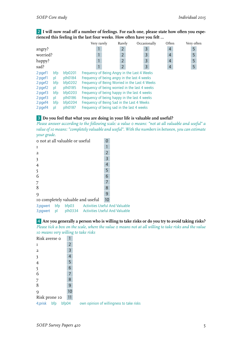2 **I will now read off a number of feelings. For each one, please state how often you experienced this feeling in the last four weeks. How often have you felt …**

|          |         | Very rarely                                    | Rarely         | Occasionally   | Often                                                                                                                                      | Very often |  |  |
|----------|---------|------------------------------------------------|----------------|----------------|--------------------------------------------------------------------------------------------------------------------------------------------|------------|--|--|
|          |         |                                                | $\overline{2}$ | 3              | $\overline{4}$                                                                                                                             | 5          |  |  |
| worried? |         |                                                | $\overline{2}$ | 3              | $\overline{4}$                                                                                                                             | 5          |  |  |
|          |         |                                                | $\overline{2}$ | $\overline{3}$ | $\overline{4}$                                                                                                                             | 5          |  |  |
|          |         |                                                | $\overline{2}$ | 3              | $\overline{4}$                                                                                                                             | 5          |  |  |
| bfp      | bfp0201 |                                                |                |                |                                                                                                                                            |            |  |  |
| pl       | plh0184 |                                                |                |                |                                                                                                                                            |            |  |  |
| bfp      | bfp0202 | Frequency of Being Worried in the Last 4 Weeks |                |                |                                                                                                                                            |            |  |  |
| pl       | plh0185 | Frequency of being worried in the last 4 weeks |                |                |                                                                                                                                            |            |  |  |
| bfp      | bfp0203 | Frequency of being happy in the last 4 weeks   |                |                |                                                                                                                                            |            |  |  |
| pl       | plh0186 | Frequency of being happy in the last 4 weeks   |                |                |                                                                                                                                            |            |  |  |
| bfp      | bfp0204 | Frequency of Being Sad in the Last 4 Weeks     |                |                |                                                                                                                                            |            |  |  |
| pl       | plh0187 |                                                |                |                |                                                                                                                                            |            |  |  |
|          |         |                                                |                |                | Frequency of Being Angry in the Last 4 Weeks<br>Frequency of being angry in the last 4 weeks<br>Frequency of being sad in the last 4 weeks |            |  |  |

#### 3 **Do you feel that what you are doing in your life is valuable and useful?**

*Please answer according to the following scale: a value 0 means: "not at all valuable and useful" a value of 10 means: "completely valuable and useful". With the numbers in between, you can estimate your grade.*

| o not at all valuable or useful                   | ი              |  |
|---------------------------------------------------|----------------|--|
| I                                                 |                |  |
| $\overline{a}$                                    | $\overline{2}$ |  |
| 3                                                 | 3              |  |
| 4                                                 | 4              |  |
| 5                                                 | 5              |  |
| 6                                                 | 6              |  |
| 7                                                 |                |  |
| 8                                                 | 8              |  |
| 9                                                 | 9              |  |
| 10 completely valuable and useful                 | 10             |  |
| 2. nouvert blue bluess and the study of the study |                |  |

3;pgwert bfp bfp03 Activities Useful And Valuable 3;pgwert pl plh0334 Activities Useful And Valuable

4 **Are you generally a person who is willing to take risks or do you try to avoid taking risks?** *Please tick a box on the scale, where the value 0 means not at all willing to take risks and the value 10 means very willing to take risks*

| Risk averse o           |                |                                          |
|-------------------------|----------------|------------------------------------------|
| $\mathbf I$             | $\overline{2}$ |                                          |
| $\overline{a}$          | 3              |                                          |
| $\overline{\mathbf{3}}$ | 4              |                                          |
| 4                       | 5              |                                          |
| $\overline{5}$          | 6              |                                          |
| 6                       | 7              |                                          |
| 7                       | 8              |                                          |
| 8                       | 9              |                                          |
| 9                       | 10             |                                          |
| Risk prone 10           | 11             |                                          |
| bfp04<br>4;prisk<br>bfp |                | own opinion of willingness to take risks |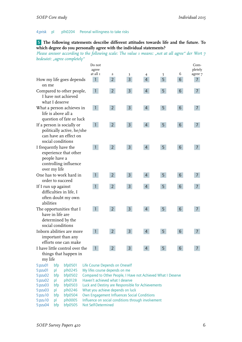#### 4;prisk pl plh0204 Peronal willingness to take risks

#### 5 **The following statements describe different attitudes towards life and the future. To which degree do you personally agree with the individual statements?**

*Please answer according to the following scale: The value 1 means: "not at all agree" der Wert 7 bedeutet: "agree completely"*

|                                                                                                          |                |                                                                                                        | Do not                           |                                             |                                                              |                |                |                  | Com-           |
|----------------------------------------------------------------------------------------------------------|----------------|--------------------------------------------------------------------------------------------------------|----------------------------------|---------------------------------------------|--------------------------------------------------------------|----------------|----------------|------------------|----------------|
|                                                                                                          |                |                                                                                                        | agree                            |                                             |                                                              |                |                |                  | pletely        |
|                                                                                                          |                |                                                                                                        | at all 1                         | $\overline{a}$                              | 3                                                            | 4              | 5              | 6                | agree 7        |
| on me                                                                                                    |                | How my life goes depends                                                                               | $\mathbf{1}$                     | $\overline{2}$                              | $\overline{3}$                                               | $\overline{4}$ | 5              | 6                | $\overline{7}$ |
|                                                                                                          | what I deserve | Compared to other people,<br>I have not achieved                                                       | $\mathbf{1}$                     | $2^{\circ}$                                 | 3 <sup>1</sup>                                               | $\overline{4}$ | 5              | $6 \overline{6}$ | 7              |
|                                                                                                          |                | What a person achieves in<br>life is above all a<br>question of fate or luck                           | $\mathbf{1}$                     | $2^{\circ}$                                 | 3 <sup>1</sup>                                               | $\overline{4}$ | 5 <sup>1</sup> | 6                | 7              |
|                                                                                                          |                | If a person is socially or<br>politically active, he/she<br>can have an effect on<br>social conditions | $\mathbf{1}$                     | 2 <sup>7</sup>                              | 3 <sup>1</sup>                                               | $\overline{4}$ | 5              | 6 <sup>1</sup>   | 7              |
| I frequently have the<br>experience that other<br>people have a<br>controlling influence<br>over my life |                |                                                                                                        | $\mathbf{1}$                     | $2^{\circ}$                                 | 3 <sup>1</sup>                                               | $\overline{4}$ | 5              | 6                | 7              |
| One has to work hard in<br>order to succeed                                                              |                |                                                                                                        | $\mathbf{1}$                     | $2^{\circ}$                                 | $\overline{3}$                                               | $\overline{4}$ | 5              | $6\overline{6}$  | 7              |
| If I run up against<br>difficulties in life, I<br>often doubt my own<br>abilities                        |                |                                                                                                        | $\mathbf{1}$                     | $\overline{2}$                              | 3                                                            | 4              | 5              | 6                | 7              |
| The opportunities that I<br>have in life are<br>determined by the<br>social conditions                   |                |                                                                                                        |                                  | $2^{\circ}$                                 | $\mathsf{3}$                                                 | $\overline{4}$ | 5              | $6\phantom{1}$   | 7              |
|                                                                                                          |                | Inborn abilities are more<br>important than any<br>efforts one can make                                | $\mathbf{1}$                     | $2^{\circ}$                                 | $\mathsf{3}$                                                 | $\overline{4}$ | 5              | $6\phantom{1}$   | 7              |
|                                                                                                          |                | I have little control over the                                                                         | $\mathbf{1}$                     | $\overline{2}$                              | 3                                                            | 4              | 5              | 6                | 7              |
|                                                                                                          |                | things that happen in                                                                                  |                                  |                                             |                                                              |                |                |                  |                |
| my life                                                                                                  |                |                                                                                                        |                                  |                                             |                                                              |                |                |                  |                |
| 5:pzu01                                                                                                  | bfp            | bfp0501                                                                                                |                                  |                                             | Life Course Depends on Oneself                               |                |                |                  |                |
| 5:pzu01                                                                                                  | pl             | plh0245                                                                                                |                                  | My lifes course depends on me               |                                                              |                |                |                  |                |
| 5:pzu02                                                                                                  | bfp            | bfp0502                                                                                                |                                  |                                             | Compared to Other People, I Have not Achieved What I Deserve |                |                |                  |                |
| 5:pzu02                                                                                                  | pl             | plh0128                                                                                                |                                  |                                             | Haven't achieved what I deserve                              |                |                |                  |                |
| 5:pzu03                                                                                                  | bfp            | bfp0503                                                                                                |                                  |                                             | Luck and Destiny are Responsible for Achievements            |                |                |                  |                |
| 5:pzu03                                                                                                  | pl             | plh0246                                                                                                | What you achieve depends on luck |                                             |                                                              |                |                |                  |                |
| bfp0504<br>5:pzu10<br>bfp                                                                                |                |                                                                                                        |                                  | Own Engagement Influences Social Conditions |                                                              |                |                |                  |                |

5:pzu10 pl plh0005 Influence on social conditions through involvement

5:pzu04 bfp bfp0505 Not Self-Determined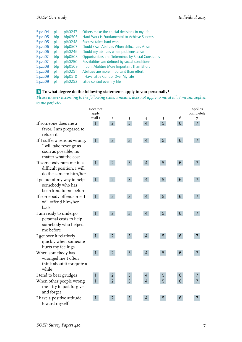| 5:pzu04 | pl  | plh0247 | Others make the crucial decisions in my life      |
|---------|-----|---------|---------------------------------------------------|
| 5:pzu05 | bfp | bfp0506 | Hard Work is Fundamental to Achieve Success       |
| 5:pzu05 | pl  | plh0248 | Success takes hard work                           |
| 5:pxu06 | bfp | bfp0507 | Doubt Own Abilities When difficulties Arise       |
| 5:pzu06 | pl  | plh0249 | Doubt my abilities when problems arise            |
| 5:pzu07 | bfp | bfp0508 | Opportunities are Determines by Social Consitions |
| 5:pzu07 | pl  | plh0250 | Possibilities are defined by social conditions    |
| 5:pzu08 | bfp | bfp0509 | Inborn Abilities More Important Than Effort       |
| 5:pzu08 | pl  | plh0251 | Abilities are more important than effort          |
| 5:pzu09 | bfp | bfp0510 | I Have Little Control Over My Life                |
| 5:pzu09 | pl  | plh0252 | Little control over my life                       |

#### 6 **To what degree do the following statements apply to you personally?**

*Please answer according to the following scale: 1 means: does not apply to me at all, / means applies to me perfectly*

|                                                                                                        | Does not<br>apply<br>at all 1 |                                  |                                 |                     |                | 6               | Applies<br>completely |
|--------------------------------------------------------------------------------------------------------|-------------------------------|----------------------------------|---------------------------------|---------------------|----------------|-----------------|-----------------------|
| If someone does me a<br>favor, I am prepared to<br>return it                                           | $\mathbf{1}$                  | $\overline{a}$<br>2 <sup>1</sup> | $\mathfrak z$<br>$\overline{3}$ | 4<br>$\overline{4}$ | 5<br>5         | $6\overline{6}$ | 7<br>$\overline{7}$   |
| If I suffer a serious wrong,<br>I will take revenge as<br>soon as possible, no<br>matter what the cost | $\mathbf{1}$                  | 2 <sup>1</sup>                   | $\overline{3}$                  | $\overline{4}$      | 5              | 6 <sup>1</sup>  | $\overline{7}$        |
| If somebody puts me in a<br>difficult position, I will<br>do the same to him/her                       | $\vert$                       | $2^{\circ}$                      | $\overline{3}$                  | $\overline{4}$      | 5              | $6\overline{6}$ | $\overline{7}$        |
| I go out of my way to help<br>somebody who has<br>been kind to me before                               | $\mathbf{1}$                  | 2 <sup>1</sup>                   | 3 <sup>1</sup>                  | $\overline{4}$      | 5 <sup>1</sup> | 6               | $\overline{7}$        |
| If somebody offends me, I<br>will offend him/her<br>back                                               | $\mathbf{1}$                  | 2 <sup>1</sup>                   | $\overline{3}$                  | $\overline{4}$      | 5              | 6               | $\overline{7}$        |
| I am ready to undergo<br>personal costs to help<br>somebody who helped<br>me before                    | $\mathbf{1}$                  | $2^{\circ}$                      | $\overline{3}$                  | $\overline{4}$      | 5              | $6\overline{6}$ | $\overline{7}$        |
| I get over it relatively<br>quickly when someone<br>hurts my feelings                                  | $\mathbf{1}$                  | 2 <sup>1</sup>                   | 3 <sup>1</sup>                  | $\overline{4}$      | 5 <sup>1</sup> | 6               | $7\overline{ }$       |
| When somebody has<br>wronged me I often<br>think about it for quite a<br>while                         | $\mathbf{1}$                  | $2^{\circ}$                      | $\overline{3}$                  | $\overline{4}$      | 5              | $6\overline{6}$ | $\overline{7}$        |
| I tend to bear grudges                                                                                 | $\mathbf{1}$                  | $\overline{2}$                   | 3                               | $\overline{4}$      | 5              | 6               | 7                     |
| When other people wrong<br>me I try to just forgive<br>and forget                                      | $\overline{1}$                | $\overline{2}$                   | $\overline{3}$                  | $\overline{4}$      | 5              | 6               | $\overline{7}$        |
| I have a positive attitude<br>toward myself                                                            | 1                             | $2^{\circ}$                      | $\overline{3}$                  | $\overline{4}$      | 5              | 6               | $\overline{7}$        |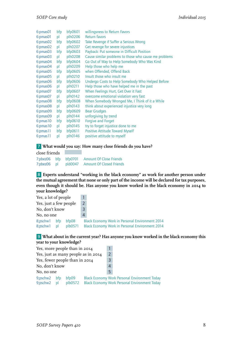| 6:pmas01 | bfp | bfp0601        | willingsness to Return Favors                         |
|----------|-----|----------------|-------------------------------------------------------|
| 6:pmas01 | pl  | plh0206        | <b>Return favors</b>                                  |
| 6:pmas02 | bfp | bfp0602        | Take Revenge if Suffer a Serious Wrong                |
| 6:pmas02 | pl  | plh0207        | Get revenge for severe injustices                     |
| 6:pmas03 | bfp | bfp0603        | Payback: Put someone in Difficult Position            |
| 6:pmas03 | pl  | plh0208        | Cause similar problems to those who cause me problems |
| 6:pmas04 | bfp | bfp0604        | Go Out of Way to Help Somebody Who Was Kind           |
| 6:pmas04 | pl  | plh0209        | Help those who help me                                |
| 6:pmas05 | bfp | bfp0605        | when Offended, Offend Back                            |
| 6:pmas05 | pl  | plh0210        | Insult those who insult me                            |
| 6:pmas06 | bfp | bfp0606        | Undergo Costs to Help Somebody Who Helped Before      |
| 6:pmas06 | pl  | plh0211        | Help those who have helped me in the past             |
| 6:pmas07 | bfp | <b>bfp0607</b> | When Feelings Hurt, Get Over it Fast                  |
| 6:pmas07 | pl  | plh0142        | overcome emotional violation very fast                |
| 6:pmas08 | bfp | bfp0608        | When Somebody Wronged Me, I Think of it a While       |
| 6:pmas08 | pl  | plh0143        | think about experienced injustice very long           |
| 6:pmas09 | bfp | bfp0609        | <b>Bear Grudges</b>                                   |
| 6:pmas09 | pl  | plh0144        | unforgiving by trend                                  |
| 6:pmas10 | bfp | bfp0610        | Forgive and Forget                                    |
| 6:pmas10 | pl  | plh0145        | try to forget injustice done to me                    |
| 6:pmas11 | bfp | bfp0611        | <b>Positive Attitude Toward Myself</b>                |
| 6:pmas11 | pl  | plh0146        | positive attitude to myself                           |

#### 7 **What would you say: How many close friends do you have?**

| close friends |  |                                              |
|---------------|--|----------------------------------------------|
|               |  | 7:pbez06 bfp bfp0701 Amount Of Close Friends |
|               |  | 7:pbez06 pl pld0047 Amount Of Closed Friends |

8 **Experts understand "working in the black economy" as work for another person under the mutual agree ment that none or only part of the income will be declared for tax purposes, even though it should be. Has anyone you know worked in the black economy in 2014 to your knowledge?**

| Yes, a lot of people            |    |                  |   |                                                                                                                  |
|---------------------------------|----|------------------|---|------------------------------------------------------------------------------------------------------------------|
| Yes, just a few people          |    |                  | 2 |                                                                                                                  |
| No, don't know                  |    |                  | 3 |                                                                                                                  |
| No, no one                      |    |                  | 4 |                                                                                                                  |
| $8$ ; pschw $1$ bfp<br>8;pschw1 | bl | bfp08<br>plb0571 |   | <b>Black Economy Work in Personal Environment 2014</b><br><b>Black Economy Work in Personal Environment 2014</b> |

#### 9 **What about in the current year? Has anyone you know worked in the black economy this year to your knowledge?**

|                                |   | Yes, more people than in 2014       |               |   |                                                      |
|--------------------------------|---|-------------------------------------|---------------|---|------------------------------------------------------|
|                                |   | Yes, just as many people as in 2014 | $\mathcal{P}$ |   |                                                      |
| Yes, fewer people than in 2014 |   |                                     |               |   |                                                      |
| No, don't know                 |   |                                     |               |   |                                                      |
| No, no one                     |   |                                     |               | 5 |                                                      |
| 9;pschw2 bfp                   |   | bfp09                               |               |   | <b>Black Economy Work Personal Environment Today</b> |
| 9;pschw2                       | p | plb0572                             |               |   | <b>Black Economy Work Personal Environment Today</b> |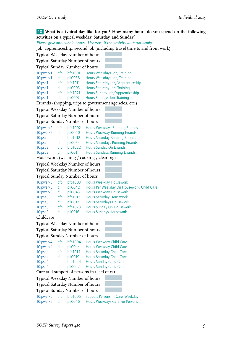#### 10 **What is a typical day like for you? How many hours do you spend on the following activities on a typical weekday, Saturday, and Sunday?**

*Please give only whole hours. Use zero if the activity does not apply!*

 $\overline{\text{Job}}$ , apprenticeship, second job (including travel time to and from work)

|                                  |     |         | job, apprenticesinp, second job (including travel time to and from |
|----------------------------------|-----|---------|--------------------------------------------------------------------|
| Typical Weekday Number of hours  |     |         |                                                                    |
| Typical Saturday Number of hours |     |         |                                                                    |
| Typical Sunday Number of hours   |     |         |                                                                    |
| 10:pwerk1                        | bfp | bfp1001 | Hours Weekdays Job, Training                                       |
| 10:pwerk1                        | pl  | pli0038 | Hours Weekdays Job, Training                                       |
| 10:psa1                          | bfp | bfp1011 | Hours Saturday Job/Apprenticeship                                  |
| 10:psa1                          | pl  | pli0003 | Hours Saturday Job, Training                                       |
| 10:pso1                          | bfp | bfp1021 | Hours Sunday Job/Apprenticeship                                    |
| 10:pso1                          | pl  | pli0007 | Hours Sundays Job, Training                                        |
|                                  |     |         | Errands (shopping, trips to government agencies, etc.)             |
| Typical Weekday Number of hours  |     |         |                                                                    |
| Typical Saturday Number of hours |     |         |                                                                    |
| Typical Sunday Number of hours   |     |         |                                                                    |
| 10:pwerk2                        | bfp | bfp1002 | <b>Hours Weekdays Running Errands</b>                              |
| 10:pwerk2                        | pl  | pli0040 | <b>Hours Weekday Running Errands</b>                               |
| 10:psa2                          | bfp | bf1012  | <b>Hours Saturday Running Errands</b>                              |
| 10:psa2                          | pl  | pli0054 | <b>Hours Saturdays Running Errands</b>                             |
| 10:pso2                          | bfp | bf1022  | <b>Hours Sunday On Errands</b>                                     |
| 10:pso2                          | pl  | pli0011 | <b>Hours Sundays Running Errands</b>                               |
|                                  |     |         | Housework (washing / cooking / cleaning)                           |
| Typical Weekday Number of hours  |     |         |                                                                    |
| Typical Saturday Number of hours |     |         |                                                                    |
| Typical Sunday Number of hours   |     |         |                                                                    |
| 10: pwerk3                       | bfp | bfp1003 | <b>Hours Weekday Housework</b>                                     |
| 10:pwerk3                        | pl  | pli0042 | Hours Per Weekday On Housework, Child Care                         |
| 10:pwerk3                        | pl  | pli0043 | <b>Hours Weekday Housework</b>                                     |
| 10:psa3                          | bfp | bfp1013 | <b>Hours Saturday Housework</b>                                    |
| 10:psa3                          | pl  | pli0012 | <b>Hours Saturdays Housework</b>                                   |
| 10:pso3                          | bfp | bf1023  | Hours Sunday On Housework                                          |
| 10:pso3                          | pl  | pli0016 | <b>Hours Sundays Housework</b>                                     |
| Childcare                        |     |         |                                                                    |
| Typical Weekday Number of hours  |     |         |                                                                    |
| Typical Saturday Number of hours |     |         |                                                                    |
| Typical Sunday Number of hours   |     |         |                                                                    |
| 10:pwerk4                        | bfp | bfp1004 | Hours Weekday Child Care                                           |
| 10:pwerk4                        | pl  | pli0044 | Hours Weekday Child Care                                           |
| 10:psa4                          | bfp | bfp1014 | <b>Hours Saturday Child Care</b>                                   |
| 10:psa4                          | pl  | pli0019 | <b>Hours Saturday Child Care</b>                                   |
| 10:pso4                          | bfp | bf1024  | <b>Hours Sunday Child Care</b>                                     |
| 10:pso4                          | pl  | pli0022 | <b>Hours Sunday Child Care</b>                                     |
|                                  |     |         | Care and support of persons in need of care                        |
| Typical Weekday Number of hours  |     |         |                                                                    |
| Typical Saturday Number of hours |     |         |                                                                    |
| Typical Sunday Number of hours   |     |         |                                                                    |
| 10:pwerk5                        | bfp | bfp1005 | Support Persons In Care, Weekday                                   |
| 10:pwerk5                        | pl  | pli0046 | Hours Weekdays Care For Persons                                    |
|                                  |     |         |                                                                    |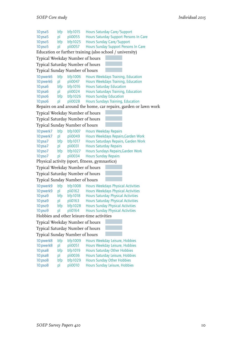| 10:psa5                          | bfp | bfp1015 | Hours Saturday Care/Support                                      |
|----------------------------------|-----|---------|------------------------------------------------------------------|
| 10:psa5                          | pl  | pli0055 | Hours Saturday Support Persons In Care                           |
| 10:pso5                          | bfp | bfp1025 | Hours Sunday Care/Support                                        |
| 10:pso5                          | pl  | pli0057 | Hours Sunday Support Persons In Care                             |
|                                  |     |         | Education or further training (also school / university)         |
| Typical Weekday Number of hours  |     |         |                                                                  |
| Typical Saturday Number of hours |     |         |                                                                  |
| Typical Sunday Number of hours   |     |         |                                                                  |
| 10:pwerk6                        | bfp | bfp1006 | Hours Weekdays Training, Education                               |
| 10:pwerk6                        | pl  | pli0047 | Hours Weekdays Training, Education                               |
| 10:psa6                          | bfp | bfp1016 | <b>Hours Saturday Education</b>                                  |
| 10:psa6                          | pl  | pli0024 | <b>Hours Saturdays Training, Education</b>                       |
| 10:pso6                          | bfp | bfp1026 | <b>Hours Sunday Education</b>                                    |
| 10:pso6                          | pl  | pli0028 | <b>Hours Sundays Training, Education</b>                         |
|                                  |     |         | Repairs on and around the home, car repairs, garden or lawn work |
| Typical Weekday Number of hours  |     |         |                                                                  |
| Typical Saturday Number of hours |     |         |                                                                  |
| Typical Sunday Number of hours   |     |         |                                                                  |
| 10:pwerk7                        | bfp | bfp1007 | <b>Hours Weekday Repairs</b>                                     |
| 10:pwerk7                        | pl  | pli0049 | Hours Weekdays Repairs, Garden Work                              |
| 10:psa7                          | bfp | bfp1017 | Hours Saturdays Repairs, Garden Work                             |
| 10:psa7                          | pl  | pli0031 | <b>Hours Saturday Repairs</b>                                    |
| 10:pso7                          | bfp | bfp1027 | Hours Sundays Repairs, Garden Work                               |
| 10:pso7                          | pl  | pli0034 | <b>Hours Sunday Repairs</b>                                      |
|                                  |     |         | Physical activity (sport, fitness, gymnastics)                   |
| Typical Weekday Number of hours  |     |         |                                                                  |
| Typical Saturday Number of hours |     |         |                                                                  |
| Typical Sunday Number of hours   |     |         |                                                                  |
| 10:pwerk9                        | bfp | bfp1008 | <b>Hours Weekdays Physical Activities</b>                        |
| 10:pwerk9                        | pl  | pli0162 | <b>Hours Weekdays Physical Activities</b>                        |
| 10:psa9                          | bfp | bfp1018 | <b>Hours Saturday Physical Activities</b>                        |
| 10:psa9                          | pl  | pli0163 | <b>Hours Saturday Physical Activities</b>                        |
| 10:pso9                          | bfp | bfp1028 | <b>Hours Sunday Physical Activities</b>                          |
| 10:pso9                          | pl  | pli0164 | <b>Hours Sunday Physical Activities</b>                          |
|                                  |     |         | Hobbies and other leisure-time activities                        |
| Typical Weekday Number of hours  |     |         |                                                                  |
| Typical Saturday Number of hours |     |         |                                                                  |
| Typical Sunday Number of hours   |     |         |                                                                  |
| 10:pwerk8                        | bfp | bfp1009 | Hours Weekday Leisure, Hobbies                                   |
| 10:pwerk8                        | pl  | pli0051 | Hours Weekday Leisure, Hobbies                                   |

10:psa8 bfp bfp1019 Hours Saturday Other Hobbies 10:psa8 pl pli0036 Hours Saturday Leisure, Hobbies 10:psa8 pl pli0036 Hours Saturday Leisure, Hobb<br>10:pso8 bfp bfp1029 Hours Sunday Other Hobbies<br>10:pso8 pl pli0010 Hours Sunday Leisure, Hobbie

Hours Sunday Leisure, Hobbies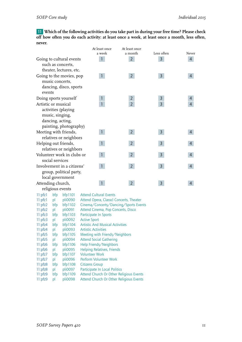11 **Which of the following activities do you take part in during your free time? Please check off how often you do each activity: at least once a week, at least once a month, less often, never.**

|                     |                          |                            |                     | At least once                                                                    | At least once  |                |                |  |
|---------------------|--------------------------|----------------------------|---------------------|----------------------------------------------------------------------------------|----------------|----------------|----------------|--|
|                     |                          |                            |                     | a week                                                                           | a month        | Less often     | Never          |  |
|                     | Going to cultural events |                            |                     | 1                                                                                | $\overline{2}$ | $\overline{3}$ | $\overline{4}$ |  |
|                     |                          | such as concerts,          |                     |                                                                                  |                |                |                |  |
|                     |                          | theater, lectures, etc.    |                     |                                                                                  |                |                |                |  |
|                     |                          | Going to the movies, pop   |                     | $\mathbf{1}$                                                                     | 2 <sup>7</sup> | $\overline{3}$ | 4              |  |
|                     |                          | music concerts,            |                     |                                                                                  |                |                |                |  |
|                     |                          | dancing, disco, sports     |                     |                                                                                  |                |                |                |  |
| events              |                          |                            |                     |                                                                                  |                |                |                |  |
|                     |                          | Doing sports yourself      |                     | $\mathbf{1}$                                                                     | $\overline{2}$ | $\mathsf{3}$   | 4              |  |
| Artistic or musical |                          |                            |                     | $\mathbf{1}$                                                                     | $\overline{2}$ | $\overline{3}$ | $\overline{4}$ |  |
|                     |                          |                            |                     |                                                                                  |                |                |                |  |
|                     |                          | activities (playing        |                     |                                                                                  |                |                |                |  |
|                     |                          | music, singing,            |                     |                                                                                  |                |                |                |  |
|                     |                          | dancing, acting,           |                     |                                                                                  |                |                |                |  |
|                     |                          | painting, photography)     |                     |                                                                                  |                |                |                |  |
|                     |                          | Meeting with friends,      |                     | $\mathbf{1}$                                                                     | $2^{\circ}$    | $\overline{3}$ | $\overline{4}$ |  |
|                     |                          | relatives or neighbors     |                     |                                                                                  |                |                |                |  |
|                     |                          | Helping out friends,       |                     | $\mathbf{1}$                                                                     | $2^{\circ}$    | $\overline{3}$ | 4              |  |
|                     |                          | relatives or neighbors     |                     |                                                                                  |                |                |                |  |
|                     |                          | Volunteer work in clubs or |                     | $\mathbf{1}$                                                                     | 2 <sup>1</sup> | $\overline{3}$ | 4              |  |
|                     | social services          |                            |                     |                                                                                  |                |                |                |  |
|                     |                          | Involvement in a citizens' |                     | $\mathbf{1}$                                                                     | $2^{\circ}$    | $\overline{3}$ | $\overline{4}$ |  |
|                     |                          | group, political party,    |                     |                                                                                  |                |                |                |  |
|                     |                          | local government           |                     |                                                                                  |                |                |                |  |
| Attending church,   |                          |                            |                     | $\mathbf{1}$                                                                     | $\overline{2}$ | $\overline{3}$ | $\overline{4}$ |  |
|                     |                          | religious events           |                     |                                                                                  |                |                |                |  |
| 11:pfz1             | bfp                      | bfp1101                    |                     | <b>Attend Cultural Events</b>                                                    |                |                |                |  |
| 11:pfz1             | pl                       | pli0090                    |                     |                                                                                  |                |                |                |  |
| 11:pfz2             | bfp                      | bfp1102                    |                     | Attend Opera, Classcl Concerts, Theater<br>Cinema/Concerts/Dancing/Sports Events |                |                |                |  |
| 11:pfz2             | pl                       | pli0091                    |                     | Attend Cinema, Pop Concerts, Disco                                               |                |                |                |  |
| 11:pfz3             | bfp                      | bfp1103                    |                     | Participate In Sports                                                            |                |                |                |  |
| 11:pfz3             | pl                       | pli0092                    | <b>Active Sport</b> |                                                                                  |                |                |                |  |
| 11:pfz4             | bfp                      | bfp1104                    |                     | <b>Artistic And Musical Activities</b>                                           |                |                |                |  |
| 11:pfz4             | pl                       | pli0093                    |                     | <b>Artistic Activities</b>                                                       |                |                |                |  |
| 11:pfz5             | bfp                      | bfp1105                    |                     | Meeting with Friends/Neighbors                                                   |                |                |                |  |
| 11:pfz5             | pl                       | pli0094                    |                     | <b>Attend Social Gathering</b>                                                   |                |                |                |  |
| 11:pfz6             | bfp                      | bfp1106                    |                     | Help Friends/Neighbors                                                           |                |                |                |  |
| 11:pfz6             | рI                       | pli0095                    |                     | <b>Helping Relatives, Friends</b>                                                |                |                |                |  |

11:pfz7 bfp bfp1107 Volunteer Work 11:pfz7 pl pli0096 Perform Volunteer Work 11:pfz8 bfp bfp1108 Citizens Group

- 11:pfz8 pl pli0097 Participate In Local Politics 11:pfz9 bfp bfp1109 Attend Church Or Other Religious Events
- 11:pfz9 pl pli0098 Attend Church Or Other Religious Events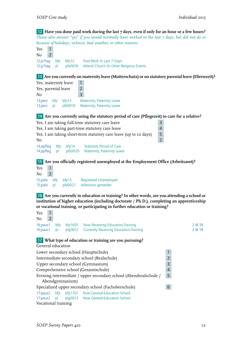12 **Have you done paid work during the last 7 days, even if only for an hour or a few hours?** *Please also answer "yes" if you would normally have worked in the last 7 days, but did not do so because of holidays, sickness, bad weather, or other reasons.*

Yes 1  $No$   $2$ 12;p7tag bfp bfp12 Paid Work In Last 7 Days 12;p7tag pl plb0018 Attend Church Or Other Religious Events 13 **Are you currently on maternity leave (Mutterschutz) or on statutory parental leave (Elternzeit)?** Yes, maternity leave 1 Yes, parental leave 2 No 3 13; perz bfp bfp13 Maternity, Paternity Leave<br>13: perz pl plb0019 Maternity Paternity Leave 13;perz pl plb0019 Maternity, Paternity Leave 14 **Are you currently using the statutory period of care (Pflegezeit) to care for a relative?** Yes, I am taking full-time statutory care leave Yes, I am taking part-time statutory care leave Yes, I am taking short-term statutory care leave (up to 10 days) 5

No 2 14;ppfleg bfp bfp14 Statutory Period of Care 14;ppfleg pl plb0020 Maternity, Paternity Leave

15 **Are you officially registered unemployed at the Employment Office (Arbeitsamt)?**

Yes 1 No 2 15;palo bfp bfp15 Registered Unemployed 15;palo pl plb0021 Arbeitslos gemeldet

16 **Are you currently in education or training? In other words, are you attending a school or institution of higher education (including doctorate / Ph.D.), completing an apprenticeship or vocational training, or participating in further education or training?**

Yes 1  $No$  2 16;paus1 bfp bfp1601 Now Receiving Education, Training 2 0 2 2 @ 18 16;paus1 pl plg0012 Currently Receiving Education, Training 2 0 2 2 @ 18

17 **What type of education or training are you pursuing?** General education Lower secondary school (Hauptschule) 1 Intermediate secondary school (Realschule) 2 Upper secondary school (Gymnasium) 3 Comprehensive school (Gesamtschule) 4 Evening intermediate / upper secondary school (Abendrealschule / Abendgymnasium) 5 Specialized upper secondary school (Fachoberschule) 6 17:paus2 bfp bfp1701 Now General-Education School 17:paus2 pl plg0013 Now General-Education School Vocational training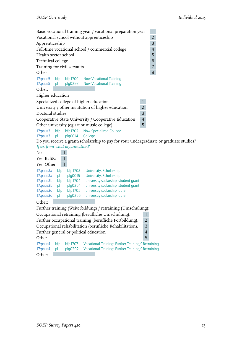Basic vocational training year / vocational preparation year 1 Vocational school without apprenticeship 2 Apprenticeship 3 Full-time vocational school / commercial college 4 Health sector school 5 Technical college 6 Training for civil servants 7 Other 8 17:paus5 bfp bfp1709 Now Vocational Training 17:paus5 pl plg0293 Now Vocational Training Other: Higher education Specialized college of higher education 1 University / other institution of higher education 2 Doctoral studies 3 Cooperative State University / Cooperative Education 4 Other university (eg art or music college) 5 17:paus3 bfp bfp1702 Now Specialized College 17:paus3 pl plg0014 College Do you receive a grant/scholarship to pay for your undergraduate or graduate studies? *If so, from what organization?* No 1 Yes, BaföG 1  $Yes. Other 1$ 17:paus3a bfp bfp1703 University: Scholarship<br>17:paus3a pl plg0015 University: Scholarship University: Scholarship 17:paus3b bfp bfp1704 university scolarship: student grant 17:paus3b pl plg0264 university scolarship: student grant 17:paus3c bfp bfp1705 universtiy scolarship: other<br>17:paus3c pl plq0265 universtiy scolarship: other pl plg0265 universtiy scolarship: other Other: Further training (Weiterbildung) / retraining (Umschulung): Occupational retraining (berufliche Umschulung). 1 Further occupational training (berufliche Fortbildung). 2 Occupational rehabilitation (berufliche Rehabilitation). 3 Further general or political education 4 Other 5 17:paus4 bfp bfp1707 Vocational Training: Further Training/Retraining 17:paus4 pl plg0292 Vocational Training: Further Training/Retraining Other: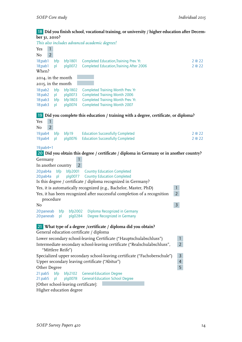#### 18 **Did you finish school, vocational training, or university / higher education after December 31, 2010?**

*This also includes advanced academic degrees!* Yes 1  $No$   $2$ 18;pab1 bfp bfp1801 Completed Education,Training Prev. Yr. 2 @ 22 18;pab1 pl plg0072 Completed Education,Training After 2006 2 @ 22 When? 2014, in the month 2015, in the month 18:pab2 bfp bfp1802 Completed Training Month Prev. Yr<br>18:pab2 pl plg0073 Completed Training Month 2006 18:pab2 pl plg0073 Completed Training Month 2006<br>18:pab3 bfp bfp1803 Completed Training Month Prev. Y bfp bfp1803 Completed Training Month Prev. Yr. 18:pab3 pl plg0074 Completed Training Month 2007 19 **Did you complete this education / training with a degree, certificate, or diploma?** Yes 1  $No$  2 19;pab4 bfp bfp19 Education Successfully Completed 2 @ 22 19;pab4 pl plg0076 Education Successfully Completed 2 2 22 19;pab4=1 20 **Did you obtain this degree / certificate / diploma in Germany or in another country?** Germany 1 In another country 2 20;pab4a bfp bfp2001 Country Education Completed plg0077 Country Education Completed Is this degree / certificate / diploma recognized in Germany? Yes, it is automatically recognized (e.g., Bachelor, Master, PhD) 1 Yes, it has been recognized after successful completion of a recognition procedure 2 No 3 20:panerab bfp bfp2002 Diploma Recognized in Germany 20:panerab pl plg0284 Degree Recognized in Germany 21 **What type of a degree /certificate / diploma did you obtain?** General education certificate / diploma Lower secondary school-leaving Certificate ("Hauptschulabschluss") 1 Intermediate secondary school-leaving certificate ("Realschulabschluss", "Mittlere Reife")  $\overline{2}$ Specialized upper secondary school-leaving certificate ("Fachoberschule") 3 Upper secondary leaving certificate ("Abitur") 4 Other Degree 5 21:pab5 bfp bfp2102 General-Education Degree 21:pab5 pl plg0078 General-Education School Degree [Other school-leaving certificate]: Higher education degree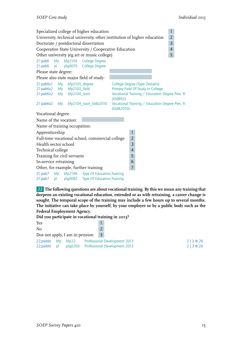|                                                                         |           |                                                                | Specialized college of higher education                                    |                                                                                                                                     |                |  | $\mathbf{1}$   |  |
|-------------------------------------------------------------------------|-----------|----------------------------------------------------------------|----------------------------------------------------------------------------|-------------------------------------------------------------------------------------------------------------------------------------|----------------|--|----------------|--|
| University, technical university, other institution of higher education |           |                                                                |                                                                            |                                                                                                                                     |                |  | $\overline{2}$ |  |
|                                                                         |           |                                                                | Doctorate / postdoctoral dissertation                                      |                                                                                                                                     |                |  | 3              |  |
|                                                                         |           |                                                                | Cooperative State University / Cooperative Education                       |                                                                                                                                     |                |  | $\overline{4}$ |  |
|                                                                         |           |                                                                | Other university (eg art or music college)                                 |                                                                                                                                     |                |  | 5              |  |
| $21:$ pab $6$<br>$21:$ pab $6$                                          | bfp<br>p  | bfp2104                                                        | <b>College Degree</b><br>plg0079 College Degree                            |                                                                                                                                     |                |  |                |  |
| Please state degree:                                                    |           |                                                                |                                                                            |                                                                                                                                     |                |  |                |  |
|                                                                         |           |                                                                | Please also state major field of study:                                    |                                                                                                                                     |                |  |                |  |
| 21:pab6x1<br>21:pab6x2 bfp                                              | bfp       | bfp2103_degree<br>21:pab6x2 bfp bfp2103_field<br>bfp2104_train |                                                                            | College Degree (Type Destatis)<br>Primary Field Of Study In College<br>Vocational Training / Education Degree Prev. Yr.<br>(KldB92) |                |  |                |  |
| $21:$ pab $6x2$                                                         | bfp       |                                                                | bfp2104_train_kldb2010                                                     | Vocational Training / Education Degree Prev. Yr.<br>(KldB2010)                                                                      |                |  |                |  |
| Vocational degree                                                       |           |                                                                |                                                                            |                                                                                                                                     |                |  |                |  |
| Name of the vocation:                                                   |           |                                                                |                                                                            |                                                                                                                                     |                |  |                |  |
|                                                                         |           | Name of training occupation:                                   |                                                                            |                                                                                                                                     |                |  |                |  |
| Apprenticeship                                                          |           |                                                                |                                                                            |                                                                                                                                     | $\mathbf{1}$   |  |                |  |
|                                                                         |           |                                                                | Full-time vocational school, commercial college                            |                                                                                                                                     | $\overline{2}$ |  |                |  |
| Health sector school                                                    |           |                                                                |                                                                            |                                                                                                                                     | 3              |  |                |  |
| Technical college                                                       |           |                                                                |                                                                            |                                                                                                                                     | $\overline{4}$ |  |                |  |
|                                                                         |           | Training for civil servants                                    |                                                                            |                                                                                                                                     | 5              |  |                |  |
| In-service retraining                                                   |           |                                                                |                                                                            |                                                                                                                                     | $\sqrt{6}$     |  |                |  |
|                                                                         |           |                                                                | Other, for example, further training                                       |                                                                                                                                     | $\overline{7}$ |  |                |  |
| $21:$ pab $7$<br>$21:$ pab $7$                                          | bfp<br>pl |                                                                | bfp2108 Type Of Education, Training<br>plg0082 Type Of Education, Training |                                                                                                                                     |                |  |                |  |

22 **The following questions are about vocational training. By this we mean any training that deepens an existing vocational education, extended or as with retraining, a career change is sought. The temporal scope of the training may include a few hours up to several months. The initiative can take place by yourself, by your employer or by a public body such as the Federal Employment Agency.**

**Did you participate in vocational training in 2013?**

| Yes                            |                                       |        |
|--------------------------------|---------------------------------------|--------|
| N <sub>0</sub>                 |                                       |        |
| Dos not apply, I am in pension | $\vert 3 \rangle$                     |        |
| bfp bfp22<br>22;pwbtn          | Professional Development 2013         | 2 3@26 |
| 22;pwbtn<br>$\Box$             | plq0269 Professional Development 2013 | 2 3@26 |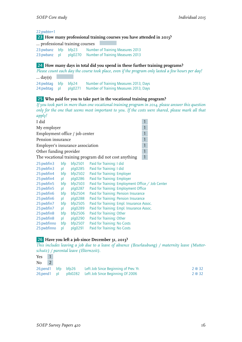#### 22;pwbtn=1

#### 23 **How many professional training courses you have attended in 2013?**

… professional training courses

23:pwbanz bfp bfp23 Number of Training Measures 2013<br>23:pwbanz pl plg0270 Number of Training Measures 2013 plg0270 Number of Training Measures 2013

#### 24 **How many days in total did you spend in these further training programs?**

*Please count each day the course took place, even if the program only lasted a few hours per day!*

 $\ldots$  day(s) 24:pwbtag bfp bfp24 Number of Training Measures 2013, Days<br>24:pwbtag pl plg0271 Number of Training Measures 2013, Days plg0271 Number of Training Measures 2013, Days

#### 25 **Who paid for you to take part in the vocational training program?**

*If you took part in more than one vocational training program in 2014, please answer this question only for the one that seems most important to you. If the costs were shared, please mark all that apply!*

| I did                            |     |         |                                                       | 1 |  |
|----------------------------------|-----|---------|-------------------------------------------------------|---|--|
| My employer                      |     |         |                                                       | 1 |  |
| Employment office / job center   |     |         |                                                       | 1 |  |
| Pension insurance                |     |         |                                                       | 1 |  |
| Employer's insurance association |     |         |                                                       | 1 |  |
| Other funding provider           |     |         |                                                       | 1 |  |
|                                  |     |         | The vocational training program did not cost anything | 1 |  |
| 25: pwbfin3                      | bfp | bfp2501 | Paid for Training: I did                              |   |  |
| 25:pwbfin3                       | pl  | plg0285 | Paid for Training: I did                              |   |  |
| 25:pwbfin4                       | bfp | bfp2502 | Paid for Training: Employer                           |   |  |
| 25:pwbfin4                       | pl  | plg0286 | Paid for Training: Employer                           |   |  |
| 25:pwbfin5                       | bfp | bfp2503 | Paid for Training: Employment Office / Job Center     |   |  |
| 25:pwbfin5                       | pl  | plg0287 | Paid for Training: Employment Office                  |   |  |
| 25:pwbfin6                       | bfp | bfp2504 | Paid for Training: Pension Insurance                  |   |  |
| 25:pwbfin6                       | pl  | plg0288 | Paid for Training: Pension Insurance                  |   |  |
| 25:pwbfin7                       | bfp | bfp2505 | Paid for Training: Empl. Insurance Assoc.             |   |  |
| 25:pwbfin7                       | pl  | plg0289 | Paid for Training: Empl. Insurance Assoc.             |   |  |
| 25:pwbfin8                       | bfp | bfp2506 | Paid for Training: Other                              |   |  |
| 25:pwbfin8                       | pl  | plg0290 | Paid for Training: Other                              |   |  |
| 25:pwbfinno                      | bfp | bfp2507 | Paid for Training: No Costs                           |   |  |
| 25:pwbfinno                      | pl  | plg0291 | Paid for Training: No Costs                           |   |  |

#### 26 **Have you left a job since December 31, 2013?**

*This includes leaving a job due to a leave of absence (Beurlaubung) / maternity leave (Mutterschutz) / parental leave (Elternzeit).*

| Yes |  |                                                             |        |
|-----|--|-------------------------------------------------------------|--------|
| No  |  |                                                             |        |
|     |  | 26; pend 1 bfp bfp 26 Left Job Since Beginning of Prev. Yr. | 2 @ 32 |
|     |  | 26; pend 1 pl plb0282 Left Job Since Beginning Of 2006      | 2 @ 32 |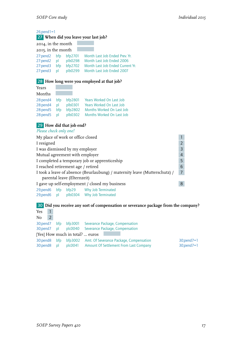26;pend1=1

# 27 **When did you leave your last job?**

| 2014, in the month |              |         |                                  |
|--------------------|--------------|---------|----------------------------------|
| 2015, in the month |              |         |                                  |
| 27:pend2           | bfp          | bfp2701 | Month Last Job Ended Prev. Yr.   |
| 27:pend2           | $\mathsf{p}$ | plb0298 | Month Last Job Ended 2006        |
| 27:pend3           | bfp          | bfp2702 | Month Last Job Ended Current Yr. |
| 27:pend3           | bl           | plb0299 | Month Last Job Ended 2007        |
|                    |              |         |                                  |

#### 28 **How long were you employed at that job?**

### Years

| Months       |           |         |                           |
|--------------|-----------|---------|---------------------------|
| 28:pend4 bfp |           | bfp2801 | Years Worked On Last Job  |
| 28:pend4     | <u>nl</u> | plb0301 | Years Worked On Last Job  |
| 28:pend5 bfp |           | bfp2802 | Months Worked On Last Job |
| 28:pend5 pl  |           | plb0302 | Months Worked On Last Job |

#### 29 **How did that job end?**

 $\mathcal{L}^{\text{max}}_{\text{max}}$ 

*Please check only one!*

| My place of work or office closed                                                     |  |  |  |  |  |  |
|---------------------------------------------------------------------------------------|--|--|--|--|--|--|
| I resigned                                                                            |  |  |  |  |  |  |
| I was dismissed by my employer                                                        |  |  |  |  |  |  |
| Mutual agreement with employer                                                        |  |  |  |  |  |  |
| I completed a temporary job or apprenticeship                                         |  |  |  |  |  |  |
| I reached retirement age / retired                                                    |  |  |  |  |  |  |
| I took a leave of absence (Beurlaubung) / maternity leave (Mutterschutz) /<br>7       |  |  |  |  |  |  |
| parental leave (Elternzeit)                                                           |  |  |  |  |  |  |
| I gave up self-employment / closed my business                                        |  |  |  |  |  |  |
| bfp29 Why Job Terminated<br>29;pend6 bfp<br>plb0304 Why Job Terminated<br>29;pend6 pl |  |  |  |  |  |  |

#### 30 **Did you receive any sort of compensation or severance package from the company?**

| Yes                     |                |           |                                 |                                                                                           |                                            |
|-------------------------|----------------|-----------|---------------------------------|-------------------------------------------------------------------------------------------|--------------------------------------------|
| No                      | $\overline{2}$ |           |                                 |                                                                                           |                                            |
| 30;pend7<br>30;pend7 pl |                | bfp       |                                 | bfp3001 Severance Package, Compensation<br>plc0040 Severance Package, Compensation        |                                            |
|                         |                |           | [Yes] How much in total?  euros |                                                                                           |                                            |
| 30:pend8<br>30:pend8    |                | bfp<br>bl | bfp3002                         | Amt. Of Severance Package, Compensation<br>plc0041 Amount Of Settlement From Last Company | $30$ ; pend $7 = 1$<br>$30$ ; pend $7 = 1$ |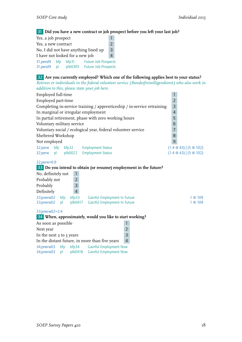31 **Did you have a new contract or job prospect before you left your last job?**

| Yes, a job prospect                       |           |                  |                                                            |  |  |
|-------------------------------------------|-----------|------------------|------------------------------------------------------------|--|--|
| Yes, a new contract                       |           |                  |                                                            |  |  |
| No, I did not have anything lined up<br>3 |           |                  |                                                            |  |  |
| I have not looked for a new job           |           |                  |                                                            |  |  |
| 31;pend9<br>31;pend9                      | bfp<br>bl | bfp31<br>plb0305 | <b>Future Job Prospects</b><br><b>Future Job Prospects</b> |  |  |

#### 32 **Are you currently employed? Which one of the following applies best to your status?**

*Retirees or individuals in the federal volunteer service (Bundesfreiwilligendienst) who also work in addition to this, please state your job here.*

| Employed full-time                                                      |                |       |                           |  |                      |
|-------------------------------------------------------------------------|----------------|-------|---------------------------|--|----------------------|
| Employed part-time                                                      | $\overline{2}$ |       |                           |  |                      |
| Completing in-service training / apprenticeship / in-service retraining | 3              |       |                           |  |                      |
| In marginal or irregular employment                                     | $\overline{4}$ |       |                           |  |                      |
| In partial retirement, phase with zero working hours                    | 5              |       |                           |  |                      |
| Voluntary military service                                              | 6              |       |                           |  |                      |
| Voluntary social / ecological year, federal volunteer service           |                |       |                           |  |                      |
| Sheltered Workshop                                                      | 8              |       |                           |  |                      |
| Not employed                                                            | 9              |       |                           |  |                      |
| 32;perw                                                                 | bfp            | bfp32 | <b>Employment Status</b>  |  | $(1:4@43)$ $(5@102)$ |
| 32;perw pl                                                              |                |       | plb0022 Employment Status |  | $(1:4@43)$ $(5@102)$ |

#### 32;perw=6:9

#### 33 **Do you intend to obtain (or resume) employment in the future?**

| No, definitely not |     |                |                              |         |
|--------------------|-----|----------------|------------------------------|---------|
| Probably not       |     |                |                              |         |
| Probably           |     | $\overline{3}$ |                              |         |
| Definitely         |     | $\overline{4}$ |                              |         |
| 33;pnerw02         | bfp | bfb33          | Gainful Employment In Future | 1 @ 109 |
| 33;pnerw02         | D   | plb0417        | Gainful Employment In Future | 1@109   |

#### 33;pnerw02=2:4

34 **When, approximately, would you like to start working?**

| As soon as possible                            |           |                                                                                    |  |  |  |  |
|------------------------------------------------|-----------|------------------------------------------------------------------------------------|--|--|--|--|
| Next year                                      |           |                                                                                    |  |  |  |  |
| In the next 2 to 5 years                       |           |                                                                                    |  |  |  |  |
| In the distant future, in more than five years |           |                                                                                    |  |  |  |  |
| 34;pnerw03<br>34;pnerw03                       | bfp<br>bl | <b>Gainful Employment Now</b><br>bfp34<br>plb0418<br><b>Gainful Employment Now</b> |  |  |  |  |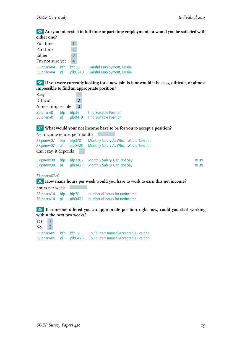#### 35 **Are you interested in full-time or part-time employment, or would you be satisfied with either one?**

| Full-time                |           |                  |                                                          |
|--------------------------|-----------|------------------|----------------------------------------------------------|
| Part-time                |           |                  |                                                          |
| Either                   |           | 3                |                                                          |
| I'm not sure yet         |           | $\overline{A}$   |                                                          |
| 35;pnerw04<br>35;pnerw04 | bfp<br>bl | bfp35<br>plb0240 | Gainful Employment, Desire<br>Gainful Employment, Desire |

36 **If you were currently looking for a new job: Is it or would it be easy, difficult, or almost impossible to find an appropriate position?**

| Easy                         |    |                  |               |                                                                |
|------------------------------|----|------------------|---------------|----------------------------------------------------------------|
| Difficult                    |    |                  | $\mathcal{P}$ |                                                                |
| Almost impossible            |    |                  |               |                                                                |
| 36;pnerw01 bfp<br>36;pnerw01 | nl | bfp36<br>plb0419 |               | <b>Find Suitable Position</b><br><b>Find Suitable Position</b> |

#### 37 **What would your net income have to be for you to accept a position?**

| Net income (euros per month) |              |              |                                        |      |
|------------------------------|--------------|--------------|----------------------------------------|------|
| 37:pnerw07                   | bfp          | bfp3701      | Monthly Salary At Which Would Take Job |      |
| 37:pnerw07                   | $\mathsf{D}$ | plb0420      | Monthly Salary At Which Would Take Job |      |
| Can't say, it depends        |              | $\mathbf{1}$ |                                        |      |
| 37:pnerw08                   | bfp          | bfp3702      | Monthly Salary- Can Not Say            | 1@39 |
| 37:pnerw08                   | $\mathsf{D}$ | plb0421      | Monthly Salary Can Not Say             | 1@39 |
| 37;pnerw07>0                 |              |              |                                        |      |

38 **How many hours per week would you have to work to earn this net income?**

hours per week

38:pnerw14 bfp bfp38 number of hours for netincome 38:pnerw14 pl plb0422 number of hours for netincome

#### 39 **If someone offered you an appropriate position right now, could you start working within the next two weeks?**

| Yes    | $\blacksquare$ |  |                                                                                                                               |
|--------|----------------|--|-------------------------------------------------------------------------------------------------------------------------------|
| $No$ 2 |                |  |                                                                                                                               |
|        |                |  | 39; pnerw09 bfp bfp39 Could Start Immed.-Acceptable Position<br>39; pnerw09 pl plb0423 Could Start Immed.-Acceptable Position |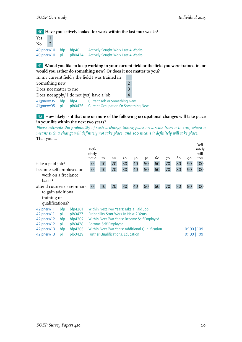#### 40 **Have you actively looked for work within the last four weeks?**

| Yes |               |               |                                 |                                                                                      |
|-----|---------------|---------------|---------------------------------|--------------------------------------------------------------------------------------|
| No  | $\mathcal{L}$ |               |                                 |                                                                                      |
|     |               | 40;pnerw10 pl | 40;pnerw10 bfp bfp40<br>plb0424 | <b>Actively Sought Work Last 4 Weeks</b><br><b>Actively Sought Work Last 4 Weeks</b> |

41 **Would you like to keep working in your current field or the field you were trained in, or would you rather do something new? Or does it not matter to you?**

| In my current field / the field I was trained in | 47             |                                                           |  |  |  |  |
|--------------------------------------------------|----------------|-----------------------------------------------------------|--|--|--|--|
| Something new                                    | $\overline{2}$ |                                                           |  |  |  |  |
| Does not matter to me                            | $\overline{3}$ |                                                           |  |  |  |  |
| Does not apply/ I do not (yet) have a job        | 4              |                                                           |  |  |  |  |
| 41;pnerw05 bfp                                   |                | bfp41 Current Job or Something New                        |  |  |  |  |
|                                                  |                | 41;pnerw05 pl plb0426 Current Occupation Or Something New |  |  |  |  |

#### 42 **How likely is it that one or more of the following occupational changes will take place in your life within the next two years?**

*Please estimate the probability of such a change taking place on a scale from 0 to 100, where 0 means such a change will definitely not take place, and 100 means it definitely will take place.* That you ...

| Defi-<br>nitely                                                                              |                                          |    |    |                      |    |                                                                                  |                                             |     |    | Defi-<br>nitely<br>will |
|----------------------------------------------------------------------------------------------|------------------------------------------|----|----|----------------------|----|----------------------------------------------------------------------------------|---------------------------------------------|-----|----|-------------------------|
| not o                                                                                        | TO.                                      | 20 | 30 | 40                   | 50 | 60                                                                               | 70                                          | 80  | 90 | <b>IOO</b>              |
| 0                                                                                            | 10                                       | 20 | 30 | 40                   | 50 | 60                                                                               | 70                                          | 80  | 90 | 100                     |
| 0                                                                                            | 10                                       | 20 | 30 | 40                   | 50 | 60                                                                               | 70                                          | 80  | 90 | 100                     |
|                                                                                              |                                          |    |    |                      |    |                                                                                  |                                             |     |    |                         |
|                                                                                              |                                          |    |    |                      |    |                                                                                  |                                             |     |    |                         |
| 0                                                                                            | 10                                       | 20 | 30 | 40                   | 50 | 60                                                                               | 70                                          | 80  | 90 | 100                     |
|                                                                                              |                                          |    |    |                      |    |                                                                                  |                                             |     |    |                         |
|                                                                                              |                                          |    |    |                      |    |                                                                                  |                                             |     |    |                         |
|                                                                                              |                                          |    |    |                      |    |                                                                                  |                                             |     |    |                         |
|                                                                                              |                                          |    |    |                      |    |                                                                                  |                                             |     |    |                         |
|                                                                                              |                                          |    |    |                      |    |                                                                                  |                                             |     |    |                         |
|                                                                                              |                                          |    |    |                      |    |                                                                                  |                                             |     |    |                         |
|                                                                                              |                                          |    |    |                      |    |                                                                                  |                                             |     |    |                         |
| 42:pnerw12<br>bf4203<br>Within Next Two Years: Additional Oualification<br>bfp<br>42:pnerw13 |                                          |    |    |                      |    |                                                                                  |                                             |     |    |                         |
|                                                                                              | <b>Further Qualifications, Education</b> |    |    |                      |    |                                                                                  |                                             | 109 |    |                         |
|                                                                                              | attend courses or seminars               |    |    | Become Self Employed |    | Within Next Two Years: Take a Paid Job<br>Probability Start Work In Next 2 Years | Within Next Two Years: Become Self-Employed |     |    | $0:100$   109<br>0:100  |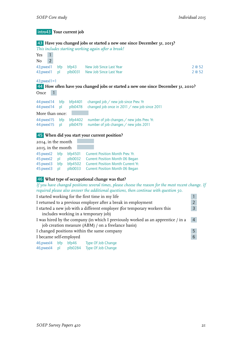## intro43 **Your current job**

|                                             |           |                  | 43 Have you changed jobs or started a new one since December 31, 2013?<br>This includes starting working again after a break! |                |
|---------------------------------------------|-----------|------------------|-------------------------------------------------------------------------------------------------------------------------------|----------------|
| $\mathbf{1}$<br>Yes<br>$\overline{2}$<br>No |           |                  |                                                                                                                               |                |
| 43;pwexl1<br>43; pwex   1                   | bfp<br>pl | bfp43<br>plb0031 | New Job Since Last Year<br>New Job Since Last Year                                                                            | 2 @ 52<br>2@52 |
| $43$ ; pwex $1 = 1$                         |           |                  | 44 How often have you changed jobs or started a new one since December 31, 2010?                                              |                |
| Once                                        |           |                  |                                                                                                                               |                |
| 44: pwex   14                               | bfp       | bfp4401          | changed job / new job since Prev. Yr                                                                                          |                |
| 44: pwex 14                                 | pl        | plb0478          | changed job once in 2011 $\diagup$ new job since 2011                                                                         |                |
| More than once:                             |           |                  |                                                                                                                               |                |
| 44: pwex 15                                 | bfp       | bfp4402          | number of job changes / new jobs Prev. Yr.                                                                                    |                |
| 44: pwex 15                                 | bl        | plb0479          | number of job changes $/$ new jobs 2011                                                                                       |                |
|                                             |           |                  | 45 When did you start your current position?                                                                                  |                |
| 2014, in the month                          |           |                  |                                                                                                                               |                |
| 2015, in the month                          |           |                  |                                                                                                                               |                |
| 45: pwexl2                                  | bfp       | bfp4501          | <b>Current Position Month Prev. Yr.</b>                                                                                       |                |
| 45: pwex 2                                  | pl        | plb0032          | <b>Current Position Month 06 Began</b>                                                                                        |                |
| 45: pwex 3                                  | bfp       | bf94502          | <b>Current Position Month Current Yr.</b>                                                                                     |                |
| 45: pwex 3                                  | pl        | plb0033          | <b>Current Position Month 06 Began</b>                                                                                        |                |

#### 46 **What type of occupational change was that?**

*If you have changed positions several times, please choose the reason for the most recent change. If required please also answer the additional questions, then continue with question 50.*

| I started working for the first time in my life |                                                    |  |                                                                                  |                |  |  |
|-------------------------------------------------|----------------------------------------------------|--|----------------------------------------------------------------------------------|----------------|--|--|
|                                                 |                                                    |  | I returned to a previous employer after a break in employment                    |                |  |  |
|                                                 |                                                    |  | I started a new job with a different employer (for temporary workers this        | 3              |  |  |
|                                                 |                                                    |  | includes working in a temporary job)                                             |                |  |  |
|                                                 |                                                    |  | I was hired by the company (in which I previously worked as an apprentice / in a | $\overline{4}$ |  |  |
|                                                 | job creation measure (ABM) / on a freelance basis) |  |                                                                                  |                |  |  |
|                                                 | I changed positions within the same company        |  |                                                                                  |                |  |  |
| $6\phantom{1}6$<br>I became self-employed       |                                                    |  |                                                                                  |                |  |  |
| 46; pwex   4 bfp                                |                                                    |  | bfp46 Type Of Job Change                                                         |                |  |  |
|                                                 |                                                    |  | 46; pwexl4 pl plb0284 Type Of Job Change                                         |                |  |  |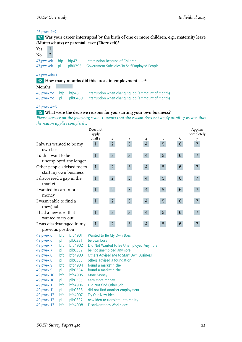#### 46;pwexl4=2

47 **Was your career interrupted by the birth of one or more children, e.g., maternity leave (Mutterschutz) or parental leave (Elternzeit)?**

| Yes            | $\mathbf{1}$   |                       |                                                                                                         |
|----------------|----------------|-----------------------|---------------------------------------------------------------------------------------------------------|
| N <sub>0</sub> | $\overline{2}$ |                       |                                                                                                         |
|                |                | 47; pwexelt bfp bfp47 | Interruption Because of Children<br>47; pwexelt pl plb0295 Government Subsidies To Self-Employed People |

#### 47;pwexelt=1

48 **How many months did this break in employment last?**

Months

| 48: pwexmo bfp bfp48 |  | interruption when changing job (ammount of month)                       |
|----------------------|--|-------------------------------------------------------------------------|
|                      |  | 48: pwexmo pl plb0480 interruption when changing job (ammount of month) |

#### 46;pwexl4=6

#### 49 **What were the decisive reasons for you starting your own business?**

*Please answer on the following scale. 1 means that the reason does not apply at all. 7 means that the reason applies completely.*

|                                                     | Does not<br>apply<br>at all 1 | 2              | 3              | 4              | 5. | 6               | Applies<br>completely |
|-----------------------------------------------------|-------------------------------|----------------|----------------|----------------|----|-----------------|-----------------------|
| I always wanted to be my<br>own boss                | 1                             | 2 <sup>1</sup> | $\overline{3}$ | $\overline{4}$ | 5  | 6               | $\overline{7}$        |
| I didn't want to be<br>unemployed any longer        | $\mathbf{1}$                  | 2 <sup>7</sup> | $\mathsf{3}$   | $\overline{4}$ | 5  | $6\phantom{.}6$ | 7 <sup>1</sup>        |
| Other people advised me to<br>start my own business | $\mathbf{1}$                  | 2 <sup>7</sup> | $\mathsf{3}$   | $\overline{4}$ | 5  | 6               | $\overline{7}$        |
| I discovered a gap in the<br>market                 |                               | 2 <sup>1</sup> | $\overline{3}$ | $\overline{4}$ | 5  | 6               | $\overline{7}$        |
| I wanted to earn more<br>money                      | $\mathbf{1}$                  | 2 <sup>1</sup> | $\overline{3}$ | $\overline{4}$ | 5  | $6\phantom{1}$  | $\overline{7}$        |
| I wasn't able to find a<br>(new) job                | $\blacklozenge$               | 2 <sup>1</sup> | $\overline{3}$ | 4              | 5  | 6               | $\overline{7}$        |
| I had a new idea that I<br>wanted to try out        | $\mathbf{1}$                  | 2 <sup>1</sup> | $\overline{3}$ | 4              | 5  | 6               | $\overline{7}$        |
| I was disadvantaged in my<br>previous position      |                               | $2^{\circ}$    | $\overline{3}$ | 4              | 5  | 6               |                       |

| 49:pwexl6     | bfp | bfp4901 | Wanted to Be My Own Boss                       |
|---------------|-----|---------|------------------------------------------------|
| 49: pwex 6    | pl  | plb0331 | be own boss                                    |
| 49: pwex 7    | bfp | bfp4902 | Did Not Wanted to Be Unemployed Anymore        |
| 49:pwexl7     | pl  | plb0332 | be not unemploed anymore                       |
| 49: pwex 8    | bfp | bf94903 | <b>Others Advised Me to Start Own Business</b> |
| 49: pwex 8    | pl  | plb0333 | others advised a foundation                    |
| 49: pwex 9    | bfp | bfp4904 | found a market niche                           |
| 49: pwex 9    | pl  | plb0334 | found a market niche                           |
| 49: pwex 10   | bfp | bfp4905 | More Money                                     |
| 49: pwex 10   | pl  | plb0335 | earn more money                                |
| 49: pwex   11 | bfp | bfp4906 | Did Not find Other Job                         |
| 49: pwex   11 | pl  | plb0336 | did not find another employment                |
| 49: pwex 12   | bfp | bfp4907 | Try Out New Idea                               |
| 49: pwex 12   | pl  | plb0337 | new idea to translate into reality             |
| 49: pwex 13   | bfp | bfp4908 | Disadvantages Workplace                        |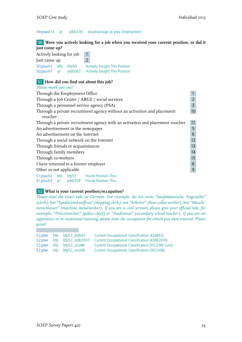49:pwexl13 pl plb0338 disadvantage at prev. Employment

50 **Were you actively looking for a job when you received your current position, or did it just come up?**

| Actively looking for job       |    |                  | L             |                                                                              |
|--------------------------------|----|------------------|---------------|------------------------------------------------------------------------------|
| Just came up                   |    |                  | $\mathcal{L}$ |                                                                              |
| 50; psuch 1 bfp<br>50; psuch 1 | nl | bfp50<br>plb0362 |               | <b>Actively Sought This Position</b><br><b>Actively Sought This Position</b> |

#### 51 **How did you find out about this job?**

*Please mark just one!*

| Through the Employment Office                 |                                                                               |                |  |  |  |  |
|-----------------------------------------------|-------------------------------------------------------------------------------|----------------|--|--|--|--|
| Through a Job Center / ARGE / social services |                                                                               |                |  |  |  |  |
| Through a personnel service agency (PSA)      |                                                                               | $\overline{3}$ |  |  |  |  |
|                                               | Through a private recruitment agency without an activation and placement      | 10             |  |  |  |  |
| voucher                                       |                                                                               |                |  |  |  |  |
|                                               | Through a private recruitment agency with an activation and placement voucher | 11             |  |  |  |  |
| An advertisement in the newspaper             |                                                                               |                |  |  |  |  |
| An advertisement on the Internet              |                                                                               |                |  |  |  |  |
| Through a social network on the Internet      |                                                                               |                |  |  |  |  |
| Through friends or acquaintances              |                                                                               | 13             |  |  |  |  |
| Through family members                        |                                                                               |                |  |  |  |  |
| Through co-workers                            |                                                                               |                |  |  |  |  |
| I have returned to a former employer          |                                                                               | 8              |  |  |  |  |
| Other or not applicable                       |                                                                               | $\overline{9}$ |  |  |  |  |
| 51;psuch2 bfp bfp51 Found Position Thru       |                                                                               |                |  |  |  |  |
| plb0358 Found Position Thru<br>51;psuch2 pl   |                                                                               |                |  |  |  |  |

#### 52 **What is your current position/occupation?**

*Please state the exact title in German. For example, do not write "kaufmännische Angestellte" (clerk), but "Speditionskauffrau" (shipping clerk); not "Arbeiter" (blue-collar worker), but "Maschinenschlosser" (machine metalworker). If you are a civil servant, please give your official title, for example, "Polizeimeister" (police chief) or "Studienrat" (secondary school teacher). If you are an apprentice or in vocational training, please state the occupation for which you were trained. Please print!*

|  | 52;pber bfp bfp52_kldb92   | <b>Current Occupational Classification (KldB92)</b>      |
|--|----------------------------|----------------------------------------------------------|
|  | 52;pber bfp bfp52_kldb2010 | <b>Current Occupational Classification (KIdB2010)</b>    |
|  | 52; pber bfp bfp52 isco88  | <b>Current Occupational Classification (ISCO-88 Com)</b> |
|  | 52; pber bfp bfp52 isco08  | <b>Current Occupational Classification (ISCO-08)</b>     |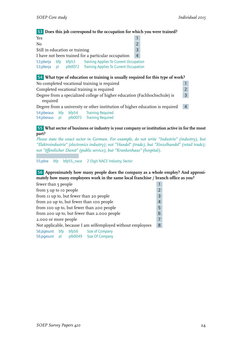53 **Does this job correspond to the occupation for which you were trained?**

| Yes                                                                                                                                                              |  |  |  |  |  |
|------------------------------------------------------------------------------------------------------------------------------------------------------------------|--|--|--|--|--|
| No                                                                                                                                                               |  |  |  |  |  |
| Still in education or training                                                                                                                                   |  |  |  |  |  |
| I have not been trained for a particular occupation                                                                                                              |  |  |  |  |  |
| <b>Training Applies To Current Occupation</b><br>53;pberja bfp<br>bfp53<br>53;pberja<br>plb0072<br><b>Training Applies To Current Occupation</b><br>$\mathsf{p}$ |  |  |  |  |  |

#### 54 **What type of education or training is usually required for this type of work?**

| No completed vocational training is required                              |     |       |                                                                               |                |  |
|---------------------------------------------------------------------------|-----|-------|-------------------------------------------------------------------------------|----------------|--|
| Completed vocational training is required                                 |     |       |                                                                               |                |  |
| Degree from a specialized college of higher education (Fachhochschule) is |     |       |                                                                               |                |  |
| required                                                                  |     |       |                                                                               |                |  |
|                                                                           |     |       | Degree from a university or other institution of higher education is required | $\overline{4}$ |  |
| 54; pberaus                                                               | bfp | bfp54 | <b>Training Required</b>                                                      |                |  |
| 54;pberaus pl                                                             |     |       | plb0073 Training Required                                                     |                |  |

55 **What sector of business or industry is your company or institution active in for the most part?**

*Please state the exact sector in German. For example, do not write "Industrie" (industry), but "Elektroindustrie" (electronics industry); not "Handel" (trade), but "Einzelhandel" (retail trade); not "öffentlicher Dienst" (public service), but "Krankenhaus" (hospital).*

55;pbra bfp bfp55\_nace 2 Digit NACE Industry, Sector

56 **Approximately how many people does the company as a whole employ? And approximately how many employees work in the same local franchise / branch office as you?**

| fewer than 5 people                         |                        |  |                                                             |                |  |  |  |
|---------------------------------------------|------------------------|--|-------------------------------------------------------------|----------------|--|--|--|
|                                             | from 5 up to 10 people |  |                                                             |                |  |  |  |
| from II up to, but fewer than 20 people     |                        |  |                                                             |                |  |  |  |
| from 20 up to, but fewer than 100 people    |                        |  |                                                             |                |  |  |  |
|                                             |                        |  | from 100 up to, but fewer than 200 people                   | 5              |  |  |  |
| from 200 up to, but fewer than 2.000 people |                        |  |                                                             |                |  |  |  |
| 2.000 or more people                        |                        |  |                                                             | $\overline{7}$ |  |  |  |
|                                             |                        |  | Not applicable, because I am selfemployed without employees | 8              |  |  |  |
|                                             |                        |  | 56; pgesunt bfp bfp56 Size of Company                       |                |  |  |  |
| 56;pgesunt pl                               |                        |  | plb0049 Size Of Company                                     |                |  |  |  |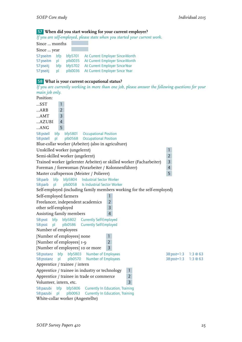## 57 **When did you start working for your current employer?**

*If you are self-employed, please state when you started your current work.*

| appear and say ample pass, provide state throw post-tract pean                                                                                                                                                                                                   |                 |        |
|------------------------------------------------------------------------------------------------------------------------------------------------------------------------------------------------------------------------------------------------------------------|-----------------|--------|
| Since  months                                                                                                                                                                                                                                                    |                 |        |
| Since  year                                                                                                                                                                                                                                                      |                 |        |
| 57:pseitm<br>bfp5701<br>bfp<br>At Current Employer Since-Month<br>57:pseitm<br>At Current Employer Since-Month<br>plb0035<br>pl<br>At Current Employer Since-Year<br>57:pseitj<br>bfp<br>bfp5702<br>57:pseitj<br>plb0036<br>At Current Employer Since Year<br>pl |                 |        |
|                                                                                                                                                                                                                                                                  |                 |        |
| 58 What is your current occupational status?<br>If you are currently working in more than one job, please answer the following questions for your                                                                                                                |                 |        |
| main job only.                                                                                                                                                                                                                                                   |                 |        |
| Position:                                                                                                                                                                                                                                                        |                 |        |
| $$ SST<br>$\mathbf{1}$                                                                                                                                                                                                                                           |                 |        |
| $\overline{2}$<br>ABB                                                                                                                                                                                                                                            |                 |        |
| $\overline{3}$<br>AMT                                                                                                                                                                                                                                            |                 |        |
| $\overline{4}$<br>$$ AZUBI                                                                                                                                                                                                                                       |                 |        |
| 5<br>$$ ANG                                                                                                                                                                                                                                                      |                 |        |
| bfp<br>58:pstell<br>bfp5801<br><b>Occupational Position</b>                                                                                                                                                                                                      |                 |        |
| plb0568 Occupational Position<br>pl<br>58:pstell                                                                                                                                                                                                                 |                 |        |
| Blue-collar worker (Arbeiter) (also in agriculture)                                                                                                                                                                                                              |                 |        |
| Unskilled worker (ungelernt)                                                                                                                                                                                                                                     | $\mathbf{1}$    |        |
| Semi-skilled worker (angelernt)                                                                                                                                                                                                                                  | $\overline{2}$  |        |
| Trained worker (gelernter Arbeiter) or skilled worker (Facharbeiter)                                                                                                                                                                                             | $\overline{3}$  |        |
| Foreman / forewoman (Vorarbeiter / Kolonnenführer)                                                                                                                                                                                                               | $\overline{4}$  |        |
| Master craftsperson (Meister / Polierer)                                                                                                                                                                                                                         | 5               |        |
| bfp<br>bfp5804 Industrial Sector Worker<br>58:parb                                                                                                                                                                                                               |                 |        |
| plb0058 Is Industrial Sector Worker<br>58:parb<br>p<br>Self-employed (including family members working for the self-employed)                                                                                                                                    |                 |        |
| Self-employed farmers<br>$\mathbf{1}$                                                                                                                                                                                                                            |                 |        |
| Freelancer, independent academics<br>$\overline{2}$                                                                                                                                                                                                              |                 |        |
| other self-employed<br>3                                                                                                                                                                                                                                         |                 |        |
| $\overline{4}$<br>Assisting family members                                                                                                                                                                                                                       |                 |        |
| 58:psst bfp bfp5802 Currently Self-Employed                                                                                                                                                                                                                      |                 |        |
| plb0586 Currently Self-Employed<br>58:psst pl                                                                                                                                                                                                                    |                 |        |
| Number of employees                                                                                                                                                                                                                                              |                 |        |
| [Number of employees] none<br>1                                                                                                                                                                                                                                  |                 |        |
| [Number of employees] 1-9<br>$\overline{2}$                                                                                                                                                                                                                      |                 |        |
| [Number of employees] 10 or more<br>3                                                                                                                                                                                                                            |                 |        |
| bfp<br>58:psstanz<br>bfp5803<br><b>Number of Employees</b>                                                                                                                                                                                                       | $38:psst = 1:3$ | 1:3@63 |
| 58:psstanz<br>p<br>plb0570<br><b>Number of Employees</b>                                                                                                                                                                                                         | $38:psst = 1:3$ | 1:3@63 |
| Apprentice / trainee / intern                                                                                                                                                                                                                                    |                 |        |
| Apprentice / trainee in industry or technology<br>1                                                                                                                                                                                                              |                 |        |
| $\overline{2}$<br>Apprentice / trainee in trade or commerce                                                                                                                                                                                                      |                 |        |
| 3<br>Volunteer, intern, etc.                                                                                                                                                                                                                                     |                 |        |
| 58:pazubi<br>bfp<br>bfp5806<br><b>Currently In Education, Training</b><br>plb0063<br>58:pazubi<br>pl<br><b>Currently In Education, Training</b>                                                                                                                  |                 |        |
| White-collar worker (Angestellte)                                                                                                                                                                                                                                |                 |        |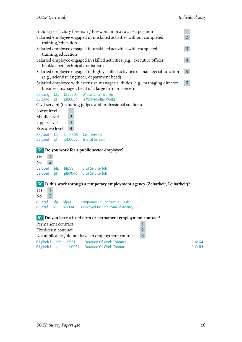| $\mathbf{1}$<br>Industry or factory foreman / forewoman in a salaried position                                                                  |  |  |  |  |  |  |  |  |
|-------------------------------------------------------------------------------------------------------------------------------------------------|--|--|--|--|--|--|--|--|
| $\overline{2}$<br>Salaried employee engaged in unskilled activities without completed                                                           |  |  |  |  |  |  |  |  |
| training/education                                                                                                                              |  |  |  |  |  |  |  |  |
| $\mathsf{3}$<br>Salaried employee engaged in unskilled activities with completed                                                                |  |  |  |  |  |  |  |  |
| training/education                                                                                                                              |  |  |  |  |  |  |  |  |
| Salaried employee engaged in skilled activities (e.g., executive officer,<br>$\overline{4}$                                                     |  |  |  |  |  |  |  |  |
| bookkeeper, technical draftsman)                                                                                                                |  |  |  |  |  |  |  |  |
| 5 <sup>1</sup><br>Salaried employee engaged in highly skilled activities or managerial function                                                 |  |  |  |  |  |  |  |  |
| (e.g., scientist, engineer, department head)<br>$6\overline{6}$<br>Salaried employee with extensive managerial duties (e.g., managing director, |  |  |  |  |  |  |  |  |
| business manager, head of a large firm or concern)                                                                                              |  |  |  |  |  |  |  |  |
| bfp5807 White-Collar Worker<br>bfp<br>58:pang                                                                                                   |  |  |  |  |  |  |  |  |
| plb0064 Is White-Collar Worker<br>pl<br>58:pang                                                                                                 |  |  |  |  |  |  |  |  |
| Civil servant (including judges and professional soldiers)                                                                                      |  |  |  |  |  |  |  |  |
| Lower level<br>$\mathbf{1}$                                                                                                                     |  |  |  |  |  |  |  |  |
| Middle level<br>$\overline{2}$                                                                                                                  |  |  |  |  |  |  |  |  |
| Upper level<br>3                                                                                                                                |  |  |  |  |  |  |  |  |
| <b>Executive level</b><br>$\overline{4}$                                                                                                        |  |  |  |  |  |  |  |  |
| bfp5805 Civil Servant<br>58:pamt bfp                                                                                                            |  |  |  |  |  |  |  |  |
| plb0065 Is Civil Servant<br>58:pamt pl                                                                                                          |  |  |  |  |  |  |  |  |
|                                                                                                                                                 |  |  |  |  |  |  |  |  |
| 59 Do you work for a public sector employer?                                                                                                    |  |  |  |  |  |  |  |  |
| $\mathbf{1}$<br>Yes<br>$2^{\circ}$<br>No                                                                                                        |  |  |  |  |  |  |  |  |
|                                                                                                                                                 |  |  |  |  |  |  |  |  |
| bfp59 Civil Service Job<br>59;poed<br>bfp<br>plb0040 Civil Service Job<br>59;poed<br>pl                                                         |  |  |  |  |  |  |  |  |
|                                                                                                                                                 |  |  |  |  |  |  |  |  |
| 60 Is this work through a temporary employment agency (Zeitarbeit, Leiharbeit)?                                                                 |  |  |  |  |  |  |  |  |
| $\mathbf{1}$<br>Yes                                                                                                                             |  |  |  |  |  |  |  |  |
| $2^{\circ}$<br>No                                                                                                                               |  |  |  |  |  |  |  |  |
| 60;pzaf bfp<br>bfp60<br><b>Temporary Or Contractual Basis</b>                                                                                   |  |  |  |  |  |  |  |  |
| 60;pzaf pl plb0041 Employed By Employment Agency                                                                                                |  |  |  |  |  |  |  |  |
|                                                                                                                                                 |  |  |  |  |  |  |  |  |
| 61 Do you have a fixed-term or permanent employment contract?<br>$\mathbf{1}$<br>Permanent contract                                             |  |  |  |  |  |  |  |  |
| $\overline{2}$<br>Fixed-term contract.                                                                                                          |  |  |  |  |  |  |  |  |
| $\overline{3}$<br>Not applicable / do not have an employment contract                                                                           |  |  |  |  |  |  |  |  |
| <b>Duration Of Work Contract</b><br>61;pbefr1<br>bfp<br>bfp61<br>1 @ 64                                                                         |  |  |  |  |  |  |  |  |
|                                                                                                                                                 |  |  |  |  |  |  |  |  |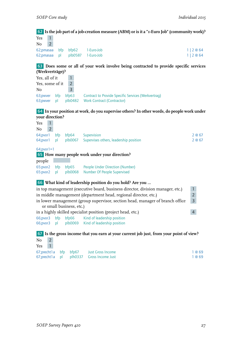#### 62 **Is the job part of a job-creation measure (ABM) or is it a "1-Euro Job" (community work)?**

| Yes |  |                                 |          |
|-----|--|---------------------------------|----------|
| No  |  |                                 |          |
|     |  | 62;pmasaa bfp bfp62 1-Euro-Job  | 1 2@64   |
|     |  | 62;pmasaa pl plb0587 1-Euro-Job | 1 2 @ 64 |

63 **Does some or all of your work involve being contracted to provide specific services (Werkverträge)?**

| Yes, all of it                   |    |   |                                                                                                  |
|----------------------------------|----|---|--------------------------------------------------------------------------------------------------|
| Yes, some of it                  |    |   |                                                                                                  |
| No.                              |    | 3 |                                                                                                  |
| 63; pwver bfp bfp63<br>63; pwver | bl |   | <b>Contract to Provide Specific Services (Werkvertrag)</b><br>plb0482 Work Contract (Contractor) |

#### 64 **In your position at work, do you supervise others? In other words, do people work under your direction?**

| 1<br>Yes             |    |                          |                                                                                |                |
|----------------------|----|--------------------------|--------------------------------------------------------------------------------|----------------|
| $\overline{2}$<br>No |    |                          |                                                                                |                |
| 64; pvor1 bfp        |    |                          | bfp64 Supervision                                                              | 2@67           |
| 64; pvor 1           | pl |                          | plb0067 Supervises others, leadership position                                 | 2@67           |
| $64$ ; pvor $1 = 1$  |    |                          |                                                                                |                |
|                      |    |                          | 65 How many people work under your direction?                                  |                |
| people               |    |                          |                                                                                |                |
| 65:pvor2 bfp         |    |                          | bfp65 People Under Direction (Number)                                          |                |
| 65:pvor2             | p  |                          | plb0068 Number Of People Supervised                                            |                |
|                      |    |                          | 66 What kind of leadership position do you hold? Are you                       |                |
|                      |    |                          | in top management (executive board, business director, division manager, etc.) | $\mathbf{1}$   |
|                      |    |                          | in middle management (department head, regional director, etc.)                | $\overline{2}$ |
|                      |    | or small business, etc.) | in lower management (group supervisor, section head, manager of branch office  | $\overline{3}$ |
|                      |    |                          | in a highly skilled specialist position (project head, etc.)                   | 4              |
| 66; pvor 3 bfp       |    |                          | bfp66 Kind of leadership position                                              |                |
| 66;pvor3 pl          |    |                          | plb0069 Kind of leadership position                                            |                |
|                      |    |                          |                                                                                |                |

#### 67 **Is the gross income that you earn at your current job just, from your point of view?**  $\overline{M_1}$  2

| NO. |  |                                             |        |
|-----|--|---------------------------------------------|--------|
| Yes |  |                                             |        |
|     |  | 67; precht l a bfp bfp67 Just Gross Income  | 1 @ 69 |
|     |  | 67; precht l a pl plh0337 Gross Income Just | 1 @ 69 |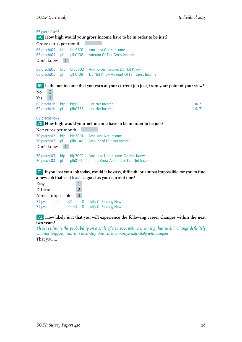| 67;precht1a=2                               |                                     |                    | 68 How high would your gross income have to be in order to be just?                                                                                         |              |
|---------------------------------------------|-------------------------------------|--------------------|-------------------------------------------------------------------------------------------------------------------------------------------------------------|--------------|
| Gross: euros per month                      |                                     |                    |                                                                                                                                                             |              |
| 68:precht04<br>68:precht04<br>Don't know    | bfp<br>$\mathsf{D}$<br>$\mathbf{1}$ | bfp6801<br>plh0138 | <b>Amt. Just Gross Income</b><br><b>Amount Of Fair Gross Income</b>                                                                                         |              |
| 68:precht05<br>68:precht05                  | bfp<br>pl                           | plh0139            | bfp6802 Amt. Gross Income: Do Not Know<br>Do Not Know Amount Of Fair Gross Income                                                                           |              |
|                                             |                                     |                    | 69 Is the net income that you earn at your current job just, from your point of your view?                                                                  |              |
| $\overline{2}$<br>No<br>$\mathbf{1}$<br>Yes |                                     |                    |                                                                                                                                                             |              |
| 69;precht1b<br>69;precht1b                  | bfp<br>pl                           | plh0338            | bfp69 Just Net Income<br>Just Net Income                                                                                                                    | 1@71<br>1@71 |
| 69;precht1b=2                               |                                     |                    |                                                                                                                                                             |              |
|                                             |                                     |                    | 70 How high would your net income have to be in order to be just?                                                                                           |              |
| Net: euros per month                        |                                     |                    |                                                                                                                                                             |              |
| 70:precht02<br>70:precht02<br>Don't know    | bfp<br>p<br>$\mathbf{1}$            | bfp7001<br>plh0140 | Amt. Just Net Income<br>Amount of Fair Net Income                                                                                                           |              |
| 70:precht03<br>70:precht03                  | bfp<br>p                            | bfp7002<br>plh0141 | Amt. Just Net Income: Do Not Know<br>do not Know Amount of Fair Net Income                                                                                  |              |
|                                             |                                     |                    | 71 If you lost your job today, would it be easy, difficult, or almost impossible for you to find<br>a new job that is at least as good as your current one? |              |

| Easy                       |    |                  |               |                                                                |
|----------------------------|----|------------------|---------------|----------------------------------------------------------------|
| Difficult                  |    |                  | $\mathcal{P}$ |                                                                |
| Almost impossible          |    |                  |               |                                                                |
| 71; pverl bfp<br>71; pverl | bl | bfp71<br>plb0443 |               | Difficulty Of Finding New Job<br>Difficulty Of Finding New Job |

#### 72 **How likely is it that you will experience the following career changes within the next two years?**

*Please estimate the probability on a scale of 0 to 100, with 0 meaning that such a change definitely will not happen, and 100 meaning that such a change definitely will happen.* That you ...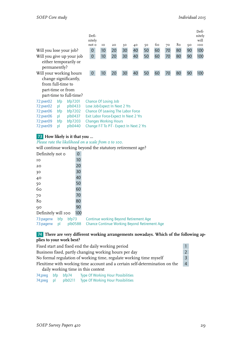|                                                                    |           |                              | Defi-<br>nitely<br>not o                                              | IO                                                    | 20 | 30 | 40 | 50 | 60 | 70 | 80 | 90 | Defi-<br>nitely<br>will<br>IOO |
|--------------------------------------------------------------------|-----------|------------------------------|-----------------------------------------------------------------------|-------------------------------------------------------|----|----|----|----|----|----|----|----|--------------------------------|
| Will you lose your job?                                            |           |                              | $\boldsymbol{0}$                                                      | 10                                                    | 20 | 30 | 40 | 50 | 60 | 70 | 80 | 90 | 100                            |
| Will you give up your job<br>either temporarily or<br>permanently? |           |                              | $\boldsymbol{0}$                                                      | 10                                                    | 20 | 30 | 40 | 50 | 60 | 70 | 80 | 90 | 100                            |
| Will your working hours                                            |           |                              | $\boldsymbol{0}$                                                      | 10 <sup>°</sup>                                       | 20 | 30 | 40 | 50 | 60 | 70 | 80 | 90 | 100                            |
|                                                                    |           | change significantly,        |                                                                       |                                                       |    |    |    |    |    |    |    |    |                                |
| from full-time to                                                  |           |                              |                                                                       |                                                       |    |    |    |    |    |    |    |    |                                |
| part-time or from                                                  |           |                              |                                                                       |                                                       |    |    |    |    |    |    |    |    |                                |
|                                                                    |           | part-time to full-time?      |                                                                       |                                                       |    |    |    |    |    |    |    |    |                                |
| 72:pver02                                                          | bfp       | bfp7201                      |                                                                       | Chance Of Losing Job<br>Lose Job-Expect In Next 2 Yrs |    |    |    |    |    |    |    |    |                                |
| 72:pver02                                                          | pl        | plb0433                      |                                                                       |                                                       |    |    |    |    |    |    |    |    |                                |
| 72:pver06                                                          | bfp       | bfp7202                      | Chance Of Leaving The Labor Force                                     |                                                       |    |    |    |    |    |    |    |    |                                |
| 72:pver06                                                          | pl        | plb0437<br>bfp7203           | Exit Labor Force-Expect In Next 2 Yrs<br><b>Changes Working Hours</b> |                                                       |    |    |    |    |    |    |    |    |                                |
| 72:pver09<br>72:pver09                                             | bfp<br>pl | plb0440                      | Change F-T To P-T - Expect In Next 2 Yrs                              |                                                       |    |    |    |    |    |    |    |    |                                |
|                                                                    |           |                              |                                                                       |                                                       |    |    |    |    |    |    |    |    |                                |
|                                                                    |           | 73 How likely is it that you |                                                                       |                                                       |    |    |    |    |    |    |    |    |                                |
| Please rate the likelihood on a scale from 0 to 100.               |           |                              |                                                                       |                                                       |    |    |    |    |    |    |    |    |                                |
| will continue working beyond the statutory retirement age?         |           |                              |                                                                       |                                                       |    |    |    |    |    |    |    |    |                                |
| Definitely not o                                                   |           | $\mathbf 0$                  |                                                                       |                                                       |    |    |    |    |    |    |    |    |                                |
| ΙO                                                                 |           | 10                           |                                                                       |                                                       |    |    |    |    |    |    |    |    |                                |
| 20                                                                 |           | 20                           |                                                                       |                                                       |    |    |    |    |    |    |    |    |                                |
| 30                                                                 |           | 30                           |                                                                       |                                                       |    |    |    |    |    |    |    |    |                                |
| 40                                                                 |           | 40                           |                                                                       |                                                       |    |    |    |    |    |    |    |    |                                |
| 50                                                                 |           | 50                           |                                                                       |                                                       |    |    |    |    |    |    |    |    |                                |
| 60                                                                 |           | 60                           |                                                                       |                                                       |    |    |    |    |    |    |    |    |                                |

| 80                        |     |       | 80  |                                                                                                 |
|---------------------------|-----|-------|-----|-------------------------------------------------------------------------------------------------|
| 90                        |     |       | 90  |                                                                                                 |
| Definitely will 100       |     |       | 100 |                                                                                                 |
| 73:pagerw<br>73:pagerw pl | bfp | bfp73 |     | Continue working Beyond Retirement Age<br>plb0588 Chance Continue Working Beyond Retirement Age |

#### 74 **There are very different working arrangements nowadays. Which of the following applies to your work best?**

| Fixed start and fixed end the daily working period                          | $\mathbf{1}$   |
|-----------------------------------------------------------------------------|----------------|
| Business fixed, partly changing working hours per day                       | $\overline{2}$ |
| No formal regulation of working time, regulate working time myself          | $\overline{3}$ |
| Flexitime with working time account and a certain self-determination on the | $\overline{4}$ |
| daily working time in this context                                          |                |

| 74;preg bfp bfp74 |         | Type Of Working Hour Possibilities        |
|-------------------|---------|-------------------------------------------|
| 74;preg pl        | plb0211 | <b>Type Of Working Hour Possibilities</b> |

60<br>70<br>70

70 70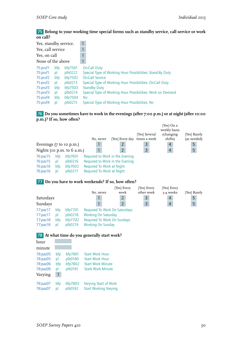75 **Belong to your working time special forms such as standby service, call service or work on call?**

| Yes, standby service. |     |         |                                                            |
|-----------------------|-----|---------|------------------------------------------------------------|
| Yes, call service     |     |         |                                                            |
| Yes, on call          |     |         |                                                            |
| None of the above     |     |         |                                                            |
| 75:pruf1              | bfp | bfp7501 | <b>On-Call Duty</b>                                        |
| 75:pruf1              | pl  | plb0212 | Special Type of Working Hour Possibilities: Stand-By Duty  |
| 75:pruf2              | bfp | bfp7502 | <b>On-Call Service</b>                                     |
| 75:pruf2              | pl  | plb0213 | Special Type of Working Hour Possibilities: On-Call Duty   |
| 75:pruf3              | bfp | bfp7503 | <b>Standby Duty</b>                                        |
| 75:pruf3              | pl  | plb0214 | Special Type of Working Hour Possibilities: Work on Demand |
| 75:pruf4              | bfp | bfp7504 | <b>No</b>                                                  |
| 75:pruf4              | pl  | plb0215 | Special Type of Working Hour Possibilities: No             |

#### 76 **Do you sometimes have to work in the evenings (after 7:00 p.m.) or at night (after 10:00 p.m.)? If so, how often?**

|                                            |           |                               | No, never                                                          | [Yes] Every day | [Yes] Several<br>times a week | 'Yes] On a<br>weekly basis<br>(changing<br>shifts) | [Yes] Rarely<br>(as needed) |
|--------------------------------------------|-----------|-------------------------------|--------------------------------------------------------------------|-----------------|-------------------------------|----------------------------------------------------|-----------------------------|
| Evenings $(7 \text{ to } 10 \text{ p.m.})$ |           |                               |                                                                    | $\overline{2}$  | 3                             | $\overline{4}$                                     | 5                           |
|                                            |           | Nights (10 p.m. to $6$ a.m.)  |                                                                    | $\overline{2}$  | 3                             | $\overline{4}$                                     | 5                           |
| $76$ :paz $15$<br>$76$ :paz $15$           | bfp<br>bl | bfp7601<br>plb0216<br>bfp7602 | Required to Work in the Evening<br>Required to Work in the Evening |                 |                               |                                                    |                             |
| $76$ :paz $16$<br>76:paz16                 | bfp<br>bl | plb0217                       | Required To Work at Night<br>Required To Work at Night             |                 |                               |                                                    |                             |

#### 77 **Do you have to work weekends? If so, how often?**

|                |     |         | No, never                            | [Yes] Every<br>week | [Yes] Every<br>other week | [Yes] Every<br>3-4 weeks | [Yes] Rarely |
|----------------|-----|---------|--------------------------------------|---------------------|---------------------------|--------------------------|--------------|
| Saturdays      |     |         |                                      |                     | 3                         | 4                        |              |
| Sundays        |     |         |                                      |                     | 3                         | 4                        | 5            |
| 77:paz17       | bfp | bfp7701 | <b>Required To Work On Saturdays</b> |                     |                           |                          |              |
| $77$ :paz $17$ | bl  | plb0218 | <b>Working On Saturday</b>           |                     |                           |                          |              |
| $77$ :paz $18$ | bfp | bfp7702 | Required To Work On Sundays          |                     |                           |                          |              |
| $77$ :paz $18$ | bl  | plb0219 | <b>Working On Sunday</b>             |                     |                           |                          |              |



| hour                                                    |                             |                                          |                                                                                                          |
|---------------------------------------------------------|-----------------------------|------------------------------------------|----------------------------------------------------------------------------------------------------------|
| minute                                                  |                             |                                          |                                                                                                          |
| 78:paz05<br>78:paz05<br>78:paz06<br>78:paz06<br>Varying | bfp<br>pl<br>bfp<br>рI<br>1 | bfp7801<br>plb0180<br>bfp7802<br>plb0181 | <b>Start Work Hour</b><br><b>Start Work Hour</b><br><b>Start Work Minute</b><br><b>Stark Work Minute</b> |
| 78:paz07<br>78:paz07                                    | bfp<br>bl                   | bfp7803<br>plb0182                       | Varying Start of Work<br><b>Start Working Varying</b>                                                    |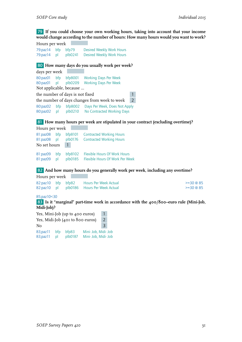79 **If you could choose your own working hours, taking into account that your income would change according to the number of hours: How many hours would you want to work?**

Hours per week 79:paz14 bfp bfp79 Desired Weekly Work Hours<br>79:paz14 pl plb0241 Desired Weekly Work Hours Desired Weekly Work Hours

#### 80 **How many days do you usually work per week?**

| days per week                                               |                         |         |                                              |               |  |  |  |  |
|-------------------------------------------------------------|-------------------------|---------|----------------------------------------------|---------------|--|--|--|--|
| 80:paz01                                                    | bfp                     | bfp8001 | <b>Working Days Per Week</b>                 |               |  |  |  |  |
| 80:paz01 pl                                                 |                         | plb0209 | <b>Working Days Per Week</b>                 |               |  |  |  |  |
|                                                             | Not applicable, because |         |                                              |               |  |  |  |  |
| the number of days is not fixed<br>1                        |                         |         |                                              |               |  |  |  |  |
|                                                             |                         |         | the number of days changes from week to week | $\mathcal{P}$ |  |  |  |  |
| Days Per Week, Does Not Apply<br>bfp8002<br>80:paz02<br>bfp |                         |         |                                              |               |  |  |  |  |
| plb0210<br>No Contracted Working Days<br>80:paz02<br>bl     |                         |         |                                              |               |  |  |  |  |

81 **How many hours per week are stipulated in your contract (excluding overtime)?**

Hours per week 81:paz08 bfp bfp8101 Contracted Working Hours 81:paz08 pl plb0176 Contracted Working Hours No set hours 1 81:paz09 bfp bfp8102 Flexible Hours Of Work Hours<br>81:paz09 pl plb0185 Flexible Hours Of Work Per We pl plb0185 Flexible Hours Of Work Per Week

82 **And how many hours do you generally work per week, including any overtime?**

| Hours per week |  |                                           |              |
|----------------|--|-------------------------------------------|--------------|
|                |  | 82:paz10 bfp bfp82 Hours Per Week Actual  | $>=$ 30 @ 85 |
|                |  | 82:paz10 pl plb0186 Hours Per Week Actual | $>=$ 30 @ 85 |

#### 85;paz10<30

83 **Is it "marginal" part-time work in accordance with the 400/800–euro rule (Mini-Job, Midi-Job)?**

| Yes, Mini-Job (up to 400 euros)                   |           |                  |                                              |   |  |  |
|---------------------------------------------------|-----------|------------------|----------------------------------------------|---|--|--|
| Yes, Midi-Job (401 to 800 euros)<br>$\mathcal{L}$ |           |                  |                                              |   |  |  |
| No                                                |           |                  |                                              | 3 |  |  |
| 83;paz11<br>83;paz11                              | bfp<br>bl | bfb83<br>plb0187 | Mini- Job, Midi- Job<br>Mini- Job, Midi- Job |   |  |  |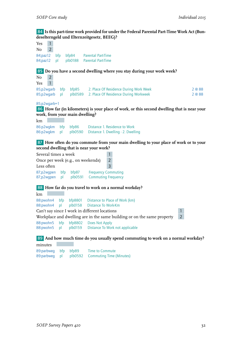#### 84 **Is this part-time work provided for under the Federal Parental Part-Time Work Act (Bundeselterngeld und Elternzeitgesetz, BEEG)?**

Yes 1  $No$  2 84;paz12 bfp bfp84 Parental Part-Time 84;paz12 pl plb0188 Parental Part-Time 85 **Do you have a second dwelling where you stay during your work week?**  $No$  2 Yes 1 85;p2wgarb bfp bfp85 2. Place Of Residence During Work Week 2 @ 88 85;p2wgarb pl plb0589 2. Place Of Residence During Workweek 2 @ 88 85;p2wgarb=1 86 **How far (in kilometers) is your place of work, or this second dwelling that is near your work, from your main dwelling?** km 86:p2wgkm bfp bfp86 Distance 1. Residence to Work 86:p2wgkm pl plb0590 Distance 1. Dwelling - 2. Dwelling 87 **How often do you commute from your main dwelling to your place of work or to your second dwelling that is near your work?** Several times a week 1 Once per week (e.g., on weekends) 2 Less often 3 87:p2wgpen bfp bfp87 Frequency Commuting 87;p2wgpen pl plb0591 Commuting Frequency 88 **How far do you travel to work on a normal workday?** km 88:pwohn4 bfp bfp8801 Distance to Place of Work (km)<br>88:pwohn4 pl plb0158 Distance To Work-Km 88:pwohn4 pl plb0158 Distance To Work-Km Can't say since I work in different locations 1 Workplace and dwelling are in the same building or on the same property 2 88:pwohn5 bfp bfp8802 Does Not Apply 88:pwohn5 pl plb0159 Distance To Work not applicable 89 **And how much time do you usually spend commuting to work on a normal workday?**

minutes 89:parbweg bfp bfp89 Time to Commute 89:parbweg pl plb0592 Commuting Time (Minutes)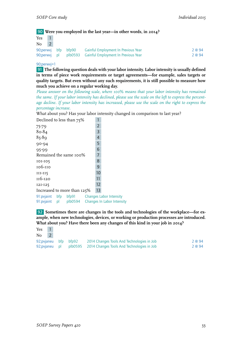90 **Were you employed in the last year—in other words, in 2014?**

| Yes |  |                     |                                                           |        |
|-----|--|---------------------|-----------------------------------------------------------|--------|
| No  |  |                     |                                                           |        |
|     |  | 90;perwyj bfp bfp90 | <b>Cainful Employment In Previous Year</b>                | 2 @ 94 |
|     |  |                     | 90; perwyj pl plb0593 Gainful Employment In Previous Year | 2 @ 94 |

#### 90;perwvj=1

91 **The following question deals with your labor intensity. Labor intensity is usually defined in terms of piece work requirements or target agreements—for example, sales targets or quality targets. But even without any such requirements, it is still possible to measure how much you achieve on a regular working day.**

*Please answer on the following scale, where 100% means that your labor intensity has remained the same. If your labor intensity has declined, please use the scale on the left to express the percentage decline. If your labor intensity has increased, please use the scale on the right to express the percentage increase.*

What about you? Has your labor intensity changed in comparison to last year?

| Declined to less than 75%   |  |                |                                |
|-----------------------------|--|----------------|--------------------------------|
| 75-79                       |  | $\overline{2}$ |                                |
| 80-84                       |  | 3              |                                |
| $85 - 89$                   |  | 4              |                                |
| $90 - 94$                   |  | 5              |                                |
| 95-99                       |  | 6              |                                |
| Remained the same 100%      |  | 7              |                                |
| 101-105                     |  | 8              |                                |
| 106-110                     |  | 9              |                                |
| $III-II5$                   |  | 10             |                                |
| 116-120                     |  | 11             |                                |
| 121-125                     |  | 12             |                                |
| Increased to more than 125% |  | 13             |                                |
| 91: pvjaint bfp bfp91       |  |                | <b>Changes Labor Intensity</b> |

91:pvjaint pl plb0594 Changes In Labor Intensity

92 **Sometimes there are changes in the tools and technologies of the workplace—for example, when new technologies, devices, or working or production processes are introduced. What about you? Have there been any changes of this kind in your job in 2014?**

| Yes |  |                      |                                                                   |        |
|-----|--|----------------------|-------------------------------------------------------------------|--------|
| No  |  |                      |                                                                   |        |
|     |  | 92;pvjaneu bfp bfp92 | 2014 Changes Tools And Technologies in Job                        | 2 @ 94 |
|     |  |                      | 92; pvianeu pl plb0595 2014 Changes Tools And Technologies in Job | 2 @ 94 |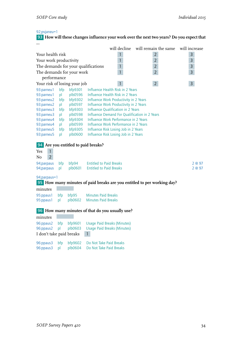#### 92;pvjaneu=1

93 **How will these changes influence your work over the next two years? Do you expect that ...**

| will decline<br>will remain the same                                                                            | will increase  |
|-----------------------------------------------------------------------------------------------------------------|----------------|
| Your health risk<br>$\mathbf{1}$<br>$\overline{2}$                                                              | 3              |
| $\mathbf{1}$<br>Your work productivity<br>$\overline{2}$                                                        | $\mathsf{3}$   |
| The demands for your qualifications<br>$\mathbf{1}$<br>$\overline{2}$                                           | 3              |
| $\mathbf{1}$<br>The demands for your work<br>$\overline{2}$                                                     | 3              |
| performance                                                                                                     |                |
| $\overline{2}$<br>Your risk of losing your job<br>$\mathbf{1}$                                                  | $\overline{3}$ |
| bfp9301<br>93:parneu1<br>bfp<br>Influence Health Risk in 2 Years                                                |                |
| plb0596<br>93:parneu1<br>Influence Health Risk in 2 Years<br>pl                                                 |                |
| bfp9302<br>93:parneu2<br>bfp<br>Influence Work Productivity in 2 Years                                          |                |
| 93:parneu2<br>plb0597<br>Influence Work Productivity in 2 Years<br>pl                                           |                |
| bfp9303<br><b>Influence Qualification in 2 Years</b><br>93:parneu3<br>bfp                                       |                |
| Influence Demand For Qualification in 2 Years<br>93:parneu3<br>plb0598<br>pl                                    |                |
| 93:parneu4<br>bfp9304<br>Influence Work Performance in 2 Years<br>bfp                                           |                |
| plb0599<br>Influence Work Performance in 2 Years<br>93:parneu4<br>рI                                            |                |
| 93:parneu5<br>bfp9305<br>Influence Risk Losing Job in 2 Years<br>bfp                                            |                |
| 93:parneu5<br>plb0600<br>Influence Risk Losing Job in 2 Years<br>pl                                             |                |
| Are you entitled to paid breaks?<br>94                                                                          |                |
|                                                                                                                 |                |
| $\mathbf{1}$<br>Yes                                                                                             |                |
| $\overline{2}$<br>No                                                                                            |                |
| <b>Entitled to Paid Breaks</b><br>94; parpaus<br>bfp<br>bfp94                                                   | 2 @ 97         |
| plb0601<br><b>Entitled to Paid Breaks</b><br>94; parpaus<br>pl                                                  | 2 @ 97         |
| 94;parpaus=1                                                                                                    |                |
| 95 How many minutes of paid breaks are you entitled to per working day?                                         |                |
| minutes                                                                                                         |                |
| <b>Minutes Paid Breaks</b><br>bfp95<br>95:ppaus1<br>bfp                                                         |                |
| plb0602<br><b>Minutes Paid Breaks</b><br>95:ppaus1<br>pl                                                        |                |
|                                                                                                                 |                |
| 96 How many minutes of that do you usually use?                                                                 |                |
| minutes                                                                                                         |                |
| bfp9601<br>96:ppaus2<br>bfp<br>Usage Paid Breaks (Minutes)                                                      |                |
| plb0603<br>96:ppaus2<br>pl<br><b>Usage Paid Breaks (Minutes)</b>                                                |                |
| I don't take paid breaks<br>$\mathbf{1}$                                                                        |                |
|                                                                                                                 |                |
| 96:ppaus3<br>bfp<br>bfp9602<br>Do Not Take Paid Breaks<br>pl<br>plb0604<br>96:ppaus3<br>Do Not Take Paid Breaks |                |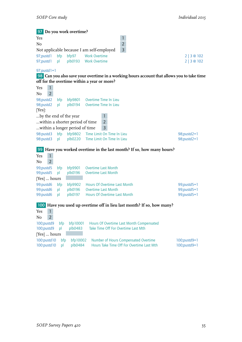97 **Do you work overtime?** Yes and the set of the set of the set of the set of the set of the set of the set of the set of the set of the set of the set of the set of the set of the set of the set of the set of the set of the set of the set of the s No 2 Not applicable because I am self-employed 3 97:pustd1 bfp bfp97 Work Overtime 2 | 3 @ 102 97;pustd1 pl plb0193 Work Overtime 2 | 3 @ 102 97;pustd1=1 98 **Can you also save your overtime in a working hours account that allows you to take time off for the overtime within a year or more?**  $\begin{array}{c|cc}\n\text{Yes} & 1 \\
\hline\n\text{No} & 2\n\end{array}$ N<sub>o</sub> 98;pustd2 bfp bfp9801 Overtime Time In Lieu 98;pustd2 pl plb0194 Overtime Time In Lieu [Yes]: ...by the end of the year  $1$ ...within a shorter period of time 2 ...within a longer period of time 3 98:pustd3 bfp bfp9802 Time Limit On Time In Lieu 98;pustd2=1 98:pustd3 pl plb0220 Time Limit On Time In Lieu 98;pustd2=1 99 **Have you worked overtime in the last month? If so, how many hours?** Yes 1  $No$  2 99;pustd5 bfp bfp9901 Overtime Last Month 99;pustd5 pl plb0196 Overtime Last Month [Yes] … hours 99:pustd6 bfp bfp9902 Hours Of Overtime Last Month 99:pustd5=1 99:pustd6 pl plb0196 Overtime Last Month<br>99:pustd6 pl plb0197 Hours Of Overtime Last Month 99:pustd5=1 pl plb0197 Hours Of Overtime Last Month 100 **Have you used up overtime off in lieu last month? If so, how many?** Yes 1  $No$  2 100;pustd9 bfp bfp10001 Hours Of Overtime Last Month Compensated 100;pustd9 pl plb0483 Take Time Off For Overtime Last Mth [Yes] … hours 100:pustd10 bfp bfp10002 Number of Hours Compensated Overtime 100;pustd9=1 100:pustd10 pl plb0484 Hours Take Time Off For Overtime Last Mth 100;pustd9=1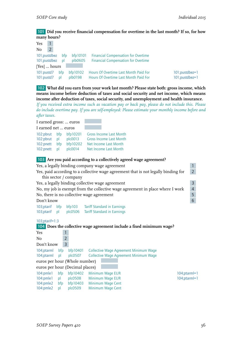#### 101 **Did you receive financial compensation for overtime in the last month? If so, for how many hours?**

| Yes                            |                |                     |                    |                                                                                          |                |
|--------------------------------|----------------|---------------------|--------------------|------------------------------------------------------------------------------------------|----------------|
| No                             | $\overline{2}$ |                     |                    |                                                                                          |                |
| 101; pustdbez<br>101; pustdbez |                | bfp<br><sub>D</sub> | bf10101<br>plb0605 | <b>Financial Compensation for Overtime</b><br><b>Financial Compensation for Overtime</b> |                |
| [Yes]  hours                   |                |                     |                    |                                                                                          |                |
| $101$ : pustd $7$              |                | bfp                 | bf10102            | Hours Of Overtime Last Month Paid For                                                    | 101;pustdbez=1 |
| 101:pustd7 pl                  |                |                     | plb0198            | Hours Of Overtime Last Month Paid For                                                    | 101;pustdbez=1 |

102 **What did you earn from your work last month? Please state both: gross income, which means income before deduction of taxes and social security and net income, which means income after deduction of taxes, social security, and unemployment and health insurance.** *If you received extra income such as vacation pay or back pay, please do not include this. Please do include overtime pay. If you are self-employed: Please estimate your monthly income before and after taxes.*

| I earned gross:  euros |     |          |                                |
|------------------------|-----|----------|--------------------------------|
| I earned net  euros    |     |          |                                |
| 102:pbrut              | bfp | bfp10201 | <b>Gross Income Last Month</b> |
| 102:pbrut              | bl  | plc0013  | <b>Gross Income Last Month</b> |
| 102:pnett              | bfp | bfp10202 | Net Income Last Month          |
| 102:pnett              | bl  | plc0014  | Net Income Last Month          |

#### 103 **Are you paid according to a collectively agreed wage agreement?** Yes, a legally binding company wage agreement 1 Yes, paid according to a collective wage agreement that is not legally binding for this sector / company 2 Yes, a legally binding collective wage agreement 3 No, my job is exempt from the collective wage agreement in place where I work 4 No, there is no collective wage agreement Don't know 6 103;ptarif bfp bfp103 Tariff Standard in Earnings 103;ptarif pl plc0506 Tariff Standard in Earnings 103;ptarif=1:3 104 **Does the collective wage agreement include a fixed minimum wage?** Yes 1 No 2 Don't know 3 104;ptarml bfp bfp10401 Collective Wage Agreement Minimum Wage 104;ptarml pl plc0507 Collective Wage Agreement Minimum Wage euros per hour (Whole number) euros per hour (Decimal places) 104:pmle1 bfp bfp10402 Minimum Wage EUR 104:ptarml=1 104:pmle1 pl plc0508 Minimum Wage EUR 104:pmle1 pl plc0508 Minimum Wage EUR

104:pmle2 bfp bfp10403 Minimum Wage Cent 104:pmle2 pl plc0509 Minimum Wage Cent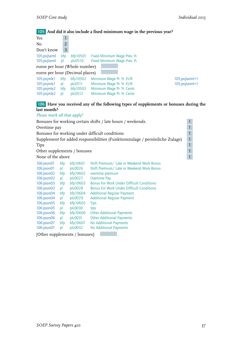## 105 **And did it also include a fixed minimum wage in the previous year?**

| Yes                             |              |              |                              |                  |
|---------------------------------|--------------|--------------|------------------------------|------------------|
| No                              | 2            |              |                              |                  |
| Don't know                      | 3            |              |                              |                  |
| 105; pvjtarml                   | bfp          | bfp10501     | Fixed Minimum Wage Prev. Yr. |                  |
| 105; pvjtarml                   | $\mathsf{D}$ | $p$ $c$ 0510 | Fixed Minimum Wage Prev. Yr. |                  |
| euros per hour (Whole number)   |              |              |                              |                  |
| euros per hour (Decimal places) |              |              |                              |                  |
| 105:pvjmle1                     | bfp          | bfp10502     | Minimum Wage Pr. Yr. EUR     | 105; pvjtarm l=1 |
| 105:pvjmle1                     | pl           | plc0511      | Minimum Wage Pr. Yr. EUR     | 105;pvjtarml=1   |
| 105:pvjmle2                     | bfp          | bfp10503     | Minimum Wage Pr. Yr. Cents   |                  |
| 105:pvjmle2                     | pl           | plc0512      | Minimum Wage Pr. Yr. Cents   |                  |

#### 106 **Have you received any of the following types of supplements or bonuses during the last month?**

*Please mark all that apply!*

| $\sim$ reduce them is directed in property.                      |          |                                                  |                                                                                                                                                               |  |  |  |  |
|------------------------------------------------------------------|----------|--------------------------------------------------|---------------------------------------------------------------------------------------------------------------------------------------------------------------|--|--|--|--|
| Bonuses for working certain shifts / late hours / weekends.<br>1 |          |                                                  |                                                                                                                                                               |  |  |  |  |
| Overtime pay                                                     |          |                                                  | $\mathbf{1}$                                                                                                                                                  |  |  |  |  |
|                                                                  |          |                                                  | $\mathbf{1}$                                                                                                                                                  |  |  |  |  |
|                                                                  |          |                                                  | $\mathbf{1}$                                                                                                                                                  |  |  |  |  |
|                                                                  |          |                                                  | $\mathbf{1}$                                                                                                                                                  |  |  |  |  |
|                                                                  |          |                                                  | $\mathbf{1}$                                                                                                                                                  |  |  |  |  |
|                                                                  |          |                                                  | $\mathbf{1}$                                                                                                                                                  |  |  |  |  |
| bfp                                                              | bfp10601 | Shift Premium/ Late or Weekend Work Bonus        |                                                                                                                                                               |  |  |  |  |
| pl                                                               | plc0026  | Shift Premium/ Late or Weekend Work Bonus        |                                                                                                                                                               |  |  |  |  |
| bfp                                                              | bfp10602 | overtime premium                                 |                                                                                                                                                               |  |  |  |  |
| pl                                                               | plc0027  | <b>Overtime Pay</b>                              |                                                                                                                                                               |  |  |  |  |
| bfp                                                              | bfp10603 | <b>Bonus For Work Under Difficult Conditions</b> |                                                                                                                                                               |  |  |  |  |
| pl                                                               | plc0028  | <b>Bonus For Work Under Difficult Conditions</b> |                                                                                                                                                               |  |  |  |  |
| bfp                                                              | bfp10604 | <b>Additional Regular Payment</b>                |                                                                                                                                                               |  |  |  |  |
| pl                                                               | plc0029  | <b>Additional Regular Payment</b>                |                                                                                                                                                               |  |  |  |  |
| bfp                                                              | bfp10605 | <b>Tips</b>                                      |                                                                                                                                                               |  |  |  |  |
| pl                                                               | plc0030  | tips                                             |                                                                                                                                                               |  |  |  |  |
| bfp                                                              | bfp10606 | <b>Other Additional Payments</b>                 |                                                                                                                                                               |  |  |  |  |
| pl                                                               | plc0031  | <b>Other Additional Payments</b>                 |                                                                                                                                                               |  |  |  |  |
| bfp                                                              | bfp10607 | No Additional Payments                           |                                                                                                                                                               |  |  |  |  |
| p                                                                | plc0032  | No Additional Payments                           |                                                                                                                                                               |  |  |  |  |
|                                                                  |          | None of the above                                | Bonuses for working under difficult conditions<br>Supplement for added responsibilities (Funktionszulage / persönliche Zulage)<br>Other supplements / bonuses |  |  |  |  |

[Other supplements / bonuses]: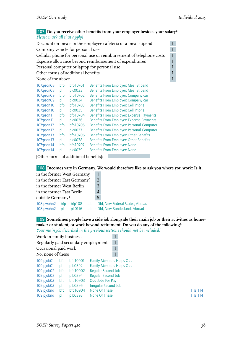#### 107 **Do you receive other benefits from your employer besides your salary?** *Please mark all that apply!*

| Discount on meals in the employee cafeteria or a meal stipend<br>$\mathbf{1}$ |                                                  |          |                                                                     |              |  |  |  |  |
|-------------------------------------------------------------------------------|--------------------------------------------------|----------|---------------------------------------------------------------------|--------------|--|--|--|--|
|                                                                               | $\mathbf{1}$<br>Company vehicle for personal use |          |                                                                     |              |  |  |  |  |
|                                                                               |                                                  |          | Cellular phone for personal use or reimbursement of telephone costs | 1            |  |  |  |  |
|                                                                               |                                                  |          | Expense allowance beyond reimbursement of expenditures              | $\mathbf{1}$ |  |  |  |  |
|                                                                               |                                                  |          | Personal computer or laptop for personal use                        | $\mathbf{1}$ |  |  |  |  |
| Other forms of additional benefits                                            |                                                  |          |                                                                     | $\mathbf{1}$ |  |  |  |  |
| None of the above                                                             |                                                  |          |                                                                     | $\mathbf{1}$ |  |  |  |  |
| 107:pson08                                                                    | bfp                                              | bfp10701 | Benefits From Employer: Meal Stipend                                |              |  |  |  |  |
| 107:pson08                                                                    | pl                                               | plc0033  | Benefits From Employer: Meal Stipend                                |              |  |  |  |  |
| 107:pson09                                                                    | bfp                                              | bfp10702 | Benefits From Employer: Company car                                 |              |  |  |  |  |
| 107:pson09                                                                    | pl                                               | plc0034  | Benefits From Employer: Company car                                 |              |  |  |  |  |
| 107:pson10                                                                    | bfp                                              | bfp10703 | Benefits From Employer: Cell Phone                                  |              |  |  |  |  |
| 107:pson 10                                                                   | pl                                               | plc0035  | Benefits From Employer: Cell Phone                                  |              |  |  |  |  |
| 107:pson11                                                                    | bfp                                              | bfp10704 | Benefits From Employer: Expense Payments                            |              |  |  |  |  |
| 107:pson11                                                                    | pl                                               | plc0036  | <b>Benefits From Employer: Expense Payments</b>                     |              |  |  |  |  |
| $107$ : pson $12$                                                             | bfp                                              | bfp10705 | Benefits From Employer: Personal Computer                           |              |  |  |  |  |
| 107:pson 12                                                                   | pl                                               | plc0037  | Benefits From Employer: Personal Computer                           |              |  |  |  |  |
| 107:pson13                                                                    | bfp                                              | bfp10706 | Benefits From Employer: Other Benefits                              |              |  |  |  |  |
| 107:pson13                                                                    | pl                                               | plc0038  | Benefits From Employer: Other Benefits                              |              |  |  |  |  |
| 107:pson14                                                                    | bfp                                              | bfp10707 | <b>Benefits From Employer: None</b>                                 |              |  |  |  |  |
| 107:pson14                                                                    | pl                                               | plc0039  | Benefits From Employer: None                                        |              |  |  |  |  |
|                                                                               |                                                  |          |                                                                     |              |  |  |  |  |

[Other forms of additional benefits]:

108 **Incomes vary in Germany. We would therefore like to ask you where you work: Is it …**

| $\overline{2}$                                                               |
|------------------------------------------------------------------------------|
| 3                                                                            |
| $\overline{4}$                                                               |
| 5                                                                            |
| Job In Old, New Federal States, Abroad<br>Job In Old, New Bundesland, Abroad |
|                                                                              |

109 **Sometimes people have a side job alongside their main job or their activities as homemaker or student, or work beyond retirement. Do you do any of the following?**

*Your main job described in the previous sections should not be included!*

| Work in family business             |     |          |                                 |   |         |
|-------------------------------------|-----|----------|---------------------------------|---|---------|
| Regularly paid secondary employment |     |          |                                 | 1 |         |
| Occasional paid work                |     |          |                                 |   |         |
| No, none of these                   |     |          |                                 |   |         |
| $109$ :pjob01                       | bfp | bfp10901 | <b>Family Members Helps Out</b> |   |         |
| $109$ :pjob01                       | pl  | plb0392  | <b>Family Members Helps Out</b> |   |         |
| $109$ :pjob $02$                    | bfp | bfp10902 | <b>Reqular Second Job</b>       |   |         |
| 109: pjob02                         | pl  | plb0394  | Regular Second Job              |   |         |
| 109:pjob03                          | bfp | bfp10903 | Odd Jobs For Pay                |   |         |
| 109:pjob03                          | pl  | plb0395  | <b>Irreqular Second Job</b>     |   |         |
| 109:pjobno                          | bfp | bfp10904 | None Of These                   |   | 1@114   |
| 109:pjobno                          | bl  | plb0393  | None Of These                   |   | 1 @ 114 |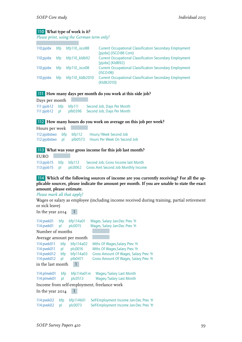#### 110 **What type of work is it?**

*Please print, using the German term only!*

| $110$ ; pjob $x$ | bfp        | $bf110$ isco88  | <b>Current Occupational Classification Secondary Employment</b><br>[pjobx] (ISCO-88 Com) |
|------------------|------------|-----------------|------------------------------------------------------------------------------------------|
| $110$ ; pjobx    | bfp        | bfp110_kldb92   | <b>Current Occupational Classification Secondary Employment</b><br>[pjobx] (KldB92)      |
| $110$ ; pjob $x$ | bfp        | $bf110$ isco08  | <b>Current Occupational Classification Secondary Employment</b><br>$(ISCO-08)$           |
| $110$ ; pjobx    | <b>bfp</b> | bfp110_kldb2010 | <b>Current Occupational Classification Secondary Employment</b><br>(KldB2010)            |

#### 111 **How many days per month do you work at this side job?**

Days per month 111:pjob12 bfp bfp111 Second Job, Days Per Month 111:pjob12 pl plb0396 Second Job, Days Per Month

112 **How many hours do you work on average on this job per week?**

| Hours per week |  |                                                      |
|----------------|--|------------------------------------------------------|
|                |  | 112:pjobstwo bfp bfp112 Hours/Week Second Job        |
|                |  | 112:pjobstwo pl plb0573 Hours Per Week On Second Job |

#### 113 **What was your gross income for this job last month?**

EURO 113:pjob15 bfp bfp113 Second Job, Gross Income last Month<br>113:pjob15 pl plc0062 Gross Amt Second Job Monthly Incom pl plc0062 Gross Amt Second Job Monthly Income

#### **114 Which of the following sources of income are you currently receiving? For all the applicable sources, please indicate the amount per month. If you are unable to state the exact amount, please estimate.**

#### *Please mark all that apply!*

Wages or salary as employee (including income received during training, partial retirement or sick leave)

In the year  $2014$  1

| 114:pvek01 bfp           |           | bfp114a01            | Wages, Salary Jan-Dec Prev. Yr                                                     |
|--------------------------|-----------|----------------------|------------------------------------------------------------------------------------|
| 114:pvek01               | p         | plc0015              | Wages, Salary Jan-Dec Prev. Yr                                                     |
| Number of months         |           |                      |                                                                                    |
| Average amount per month |           |                      |                                                                                    |
| 114:pvek011 bfp          |           | bfp114a02            | Mths Of Wages, Salary Prev. Yr                                                     |
| 114:pvek011              | pl        | plc0016              | Mths Of Wages, Salary Prev. Yr                                                     |
| 114:pvek012              | bfp       | bfp114a03            | Gross Amount Of Wages, Salary Prev. Yr                                             |
| 114:pvek012              | pl        | plb0471              | Gross Amount Of Wages, Salary Prev. Yr                                             |
| in the last month        |           |                      |                                                                                    |
| 114:plmek01              | bfp       | bfp114a01m           | Wages/Salary Last Month                                                            |
| 114:plmek01              | pl        | $p$ $c$ 0513         | Wages/Salary Last Month                                                            |
|                          |           |                      | Income from self-employment, freelance work                                        |
| In the year 2014         |           |                      |                                                                                    |
| 114:pvek02<br>114:pvek02 | bfp<br>pl | bfp114b01<br>plc0073 | Self-Employment Income Jan-Dec Prev. Yr<br>Self-Employment Income Jan-Dec Prev. Yr |
|                          |           |                      |                                                                                    |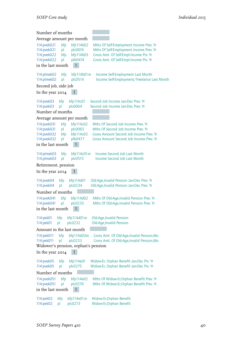| Number of months                                                              |                        |                                                              |                                                                                                                                                                        |  |
|-------------------------------------------------------------------------------|------------------------|--------------------------------------------------------------|------------------------------------------------------------------------------------------------------------------------------------------------------------------------|--|
|                                                                               |                        | Average amount per month                                     |                                                                                                                                                                        |  |
| 114:pvek021<br>114:pvek021<br>114:pvek022<br>114:pvek022                      | bfp<br>pl<br>bfp<br>pl | bfp114b02<br>plc0074<br>bfp114b03<br>plb0474                 | Mths Of Self-Employment Income Prev. Yr<br>Mths Of Self-Employment Income Prev. Yr<br>Gross Amt. Of Self-Empl.Income Prv. Yr<br>Gross Amt. Of Self-Empl.Income Prv. Yr |  |
| in the last month                                                             |                        | 1                                                            |                                                                                                                                                                        |  |
| 114:plmek02<br>114:plmek02                                                    | bfp<br>pl              | bfp114b01m<br>plc0514                                        | Income Self-Employment Last Month<br>Income Self-Employment/Freelance Last Month                                                                                       |  |
| Second job, side job                                                          |                        |                                                              |                                                                                                                                                                        |  |
| In the year 2014                                                              |                        | 1                                                            |                                                                                                                                                                        |  |
| 114: pvek03<br>114:pvek03                                                     | bfp<br>pl              | bfp114c01<br>plc0064                                         | Second Job Income Jan-Dec Prev. Yr<br>Second Job Income Jan-Dec Prev. Yr                                                                                               |  |
| Number of months                                                              |                        |                                                              |                                                                                                                                                                        |  |
|                                                                               |                        | Average amount per month                                     |                                                                                                                                                                        |  |
| 114:pvek031<br>114:pvek031<br>114:pvek032<br>114:pvek032<br>in the last month | bfp<br>pl<br>bfp<br>pl | bfp114c02<br>plc0065<br>bfp114c03<br>plb0477<br>1            | Mths Of Second Job Income Prev. Yr<br>Mths Of Second Job Income Prev. Yr<br>Gross Amount Second Job Income Prev. Yr<br>Gross Amount Second Job Income Prev. Yr         |  |
| 114:plmek03<br>114:plmek03                                                    | bfp<br>pl              | bfp114c01m<br>plc0515                                        | Income Second Job Last Month<br>Income Second Job Last Month                                                                                                           |  |
| Retirement, pension                                                           |                        |                                                              |                                                                                                                                                                        |  |
| In the year 2014                                                              |                        | 1                                                            |                                                                                                                                                                        |  |
| 114:pvek04<br>114:pvek04                                                      | bfp<br>pl              | bfp114d01<br>plc0234                                         | Old-Age, Invalid Pension Jan-Dec Prev. Yr<br>Old-Age, Invalid Pension Jan-Dec Prev. Yr                                                                                 |  |
| Number of months                                                              |                        |                                                              |                                                                                                                                                                        |  |
| 114:pvek041<br>114:pvek041<br>in the last month                               | bfp<br>pl              | bfp114d02<br>plc0235<br>1                                    | Mths Of Old-Age, Invalid Pension Prev. Yr<br>Mths Of Old-Age, Invalid Pension Prev. Yr                                                                                 |  |
| 114:pek01<br>114:pek01                                                        | bfp<br>pl              | bfp114d01m<br>plc0232                                        | Old-Age, Invalid Pension<br>Old-Age, Invalid Pension                                                                                                                   |  |
| Amount in the last month                                                      |                        |                                                              |                                                                                                                                                                        |  |
| 114:pek011<br>114:pek011                                                      | bfp<br>pl              | bfp114d03m<br>plc0233<br>Widower's pension, orphan's pension | Gross Amt. Of Old-Age, Invalid Pension, Mo<br>Gross Amt. Of Old-Age, Invalid Pension, Mo                                                                               |  |
| In the year 2014                                                              |                        | 1                                                            |                                                                                                                                                                        |  |
| 114:pvek05<br>114:pvek05                                                      | bfp<br>pl              | bfp114e01<br>plc0275                                         | Widow-Er, Orphan Benefit Jan-Dec Prv. Yr<br>Widow-Er, Orphan Benefit Jan-Dec Prv. Yr                                                                                   |  |
| Number of months                                                              |                        |                                                              |                                                                                                                                                                        |  |
| 114:pvek051<br>114:pvek051<br>in the last month                               | bfp<br>pl              | bfp114e02<br>plc0276<br>1                                    | Mths Of Widow-Er, Orphan Benefit Prev. Yr<br>Mths Of Widow-Er, Orphan Benefit Prev. Yr                                                                                 |  |
| 114:pek02<br>114:pek02                                                        | bfp<br>pl              | bfp114e01m<br>plc0273                                        | Widow-Er, Orphan Benefit<br>Widow-Er, Orphan Benefit                                                                                                                   |  |

 $\overline{\phantom{a}}$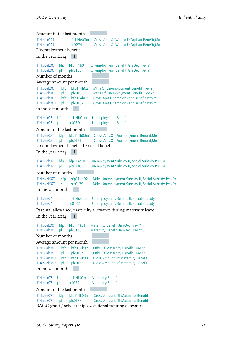| Amount in the last month                 |                                                                |
|------------------------------------------|----------------------------------------------------------------|
| 114:pek021<br>bfp<br>bfp114e03m          | Gross Amt Of Widow-Er, Orphan Benefit, Mo                      |
| 114:pek021<br>pl<br>plc0274              | Gross Amt Of Widow-Er, Orphan Benefit, Mo                      |
| Unemployment benefit                     |                                                                |
| 1<br>In the year 2014                    |                                                                |
| 114:pvek06<br>bfp114h01<br>bfp           | Unemployment Benefit Jan-Dec Prev Yr                           |
| 114:pvek06<br>plc0135<br>pl              | Unemployment Benefit Jan-Dec Prev Yr                           |
| Number of months                         |                                                                |
| Average amount per month                 |                                                                |
| 114:pvek061<br>bfp<br>bfp114h02          | Mths Of Unemployment Benefit Prev Yr                           |
| 114:pvek061<br>plc0136<br>pl             | Mths Of Unemployment Benefit Prev Yr                           |
| 114:pvek062<br>bfp114h03<br>bfp          | <b>Gross Amt Unemployment Benefit Prev Yr</b>                  |
| 114:pvek062<br>pl<br>plc0137             | <b>Gross Amt Unemployment Benefit Prev Yr</b>                  |
| $\mathbf{1}$<br>in the last month        |                                                                |
| 114:pek03<br>bfp<br>bfp114h01m           | <b>Unemployment Benefit</b>                                    |
| 114:pek03<br>plc0130<br>pl               | <b>Unemployment Benefit</b>                                    |
| Amount in the last month                 |                                                                |
| 114:pek031<br>bfp<br>bfp114h03m          | Gross Amt. Of Unemployment Benefit, Mo                         |
| plc0131<br>114:pek031<br>pl              | Gross Amt.Of Unemployment Benefit, Mo                          |
| Unemployment benefit II / social benefit |                                                                |
| In the year 2014<br>1                    |                                                                |
| 114:pvek07<br>bfp114q01<br>bfp           | Unemployment Subsidy II, Social Subsidy Prev Yr                |
| 114:pvek07<br>plc0138<br>pl              | Unemployment Subsidy II, Social Subsidy Prev Yr                |
| Number of months                         |                                                                |
| 114:pvek071<br>bfp<br>bfp114q02          | Mths Unemployment Subsidy II, Social Subsidy Prev Yr           |
| 114:pvek071<br>plc0139<br>pl             | Mths Unemployment Subsidy II, Social Subsidy Prev Yr           |
| in the last month<br>$\mathbf{1}$        |                                                                |
| 114:pek04<br>bfp<br>bfp114q01m           | Unemployment Benefit II, Social Subsidy                        |
| 114:pek04<br>plc0132<br>pl               | Unemployment Benefit II, Social Subsidy                        |
|                                          | Parental allowance, maternity allowance during maternity leave |
| In the year 2014                         |                                                                |
| bfp114k01<br>114:pvek09<br>bfp           | Maternity Benefit Jan-Dec Prev Yr                              |
| 114:pvek09<br>pl<br>plc0126              | Maternity Benefit Jan-Dec Prev Yr                              |
| Number of months                         |                                                                |
| Average amount per month                 |                                                                |
| 114:pvek091<br>bfp114k02<br>bfp          | Mths Of Maternity Benefit Prev Yr                              |
| 114:pvek091<br>plc0154<br>pl             | Mths Of Maternity Benefit Prev Yr                              |
| 114:pvek092<br>bfp114k03<br>bfp          | <b>Gross Amount Of Maternity Benefit</b>                       |
| 114:pvek092<br>plc0155<br>pl             | <b>Gross Amount Of Maternity Benefit</b>                       |
| in the last month                        |                                                                |
| 114:pek07<br>bfp114k01m<br>bfp           | <b>Maternity Benefit</b>                                       |
| 114:pek07<br>plc0152<br>pl               | <b>Maternity Benefit</b>                                       |
| Amount in the last month                 |                                                                |
| 114:pek071<br>bfp<br>bfp114k03m          | <b>Gross Amount Of Maternity Benefit</b>                       |
| 114:pek071<br>plc0153<br>pl              | <b>Gross Amount Of Maternity Benefit</b>                       |
|                                          | BAföG grant / scholarship / vocational training allowance      |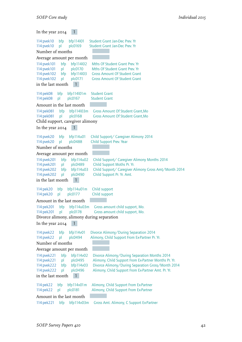In the year  $2014$  1 114:pvek10 bfp bfp114l01 Student Grant Jan-Dec Prev. Yr<br>114:pvek10 pl plc0169 Student Grant Jan-Dec Prev. Yr Student Grant Jan-Dec Prev. Yr Number of months Average amount per month 114:pvek101 bfp bfp114l02 Mths Of Student Grant Prev. Yr<br>114:pvek101 pl plc0170 Mths Of Student Grant Prev. Yr Mths Of Student Grant Prev. Yr 114:pvek102 bfp bfp114l03 Gross Amount Of Student Grant 114:pvek102 pl plc0171 Gross Amount Of Student Grant in the last month  $1$ 114:pek08 bfp bfp114l01m Student Grant<br>114:pek08 pl plc0167 Student Grant 114:pek08 pl plc0167 Student Grant Amount in the last month 114:pek081 bfp bfp114l03m Gross Amount Of Student Grant,Mo 114:pek081 pl plc0168 Gross Amount Of Student Grant,Mo Child support, caregiver alimony In the year  $20I4 \quad 1$ 114:pvek20 bfp bfp114u01 Child Support/ Caregiver Alimony 2014 114:pvek20 pl plc0488 Child Support Prev. Year Number of months Average amount per month 114:pvek201 bfp bfp114u02 Child Support/ Caregiver Alimony Months 2014 114:pvek201 pl plc0489 Child Support Moths Pr. Yr. 114:pvek202 bfp bfp114u03 Child Support/ Caregiver Alimony Gross Amt/Month 2014 114:pvek202 pl plc0490 Child Support Pr. Yr. Amt. in the last month 1 114:pek20 bfp bfp114u01m Child support 114:pek20 pl plc0177 Child support Amount in the last month 114:pek201 bfp bfp114u03m Gross amount child support, Mo. 114:pek201 pl plc0178 Gross amount child support, Mo. Divorce alimony, alimony during separation In the year  $2014$  1 114:pvek22 bfp bfp114v01 Divorce Alimony/During Separation 2014<br>114:pvek22 pl plc0494 Alimony, Child Support From Ex-Partner Pr. pl plc0494 Alimony, Child Support From Ex-Partner Pr. Yr. Number of months Average amount per month 114:pvek221 bfp bfp114v02 Divorce Alimony/During Separation Months 2014<br>114:pvek221 pl plc0495 Alimony, Child Support From Ex-Partner Months Pr. 114:pvek221 pl plc0495 Alimony, Child Support From Ex-Partner Months Pr. Yr. 114:pvek222 bfp bfp114v03 Divorce Alimony/During Separation Gross/Month 2014<br>114:pvek222 pl plc0496 Alimony, Child Support From Ex-Partner Amt. Pr. Yr. plc0496 Alimony, Child Support From Ex-Partner Amt. Pr. Yr. in the last month 1 114:pek22 bfp bfp114v01m Alimony, Child Support From Ex-Partner 114:pek22 pl plc0181 Alimony, Child Support From Ex-Partner Amount in the last month 114:pek221 bfp bfp114v03m Gross Amt. Alimony, C Support Ex-Partner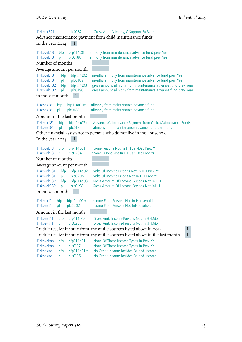114:pek221 pl plc0182 Gross Amt. Alimony, C Support Ex-Partner Advance maintenance payment from child maintenance funds In the year  $20I4 - 1$ 114:pvek18 bfp bfp114t01 alimony from maintenance advance fund prev. Year 114:pvek18 pl plc0188 alimony from maintenance advance fund prev. Year Number of months Average amount per month 114:pvek181 bfp bfp114t02 months alimony from maintenance advance fund prev. Year<br>114:pvek181 bl plc0189 months alimony from maintenance advance fund prev. Year 114:pvek181 pl plc0189 months alimony from maintenance advance fund prev. Year 114:pvek182 bfp bfp114t03 gross amount alimony from maintenance advance fund prev. Year 114:pvek182 pl plc0190 gross amount alimony from maintenance advance fund prev. Year in the last month  $1$ 114:pek18 bfp bfp114t01m alimony from maintenance advance fund<br>114:pek18 pl plc0183 alimony from maintenance advance fund 114:pek18 pl plc0183 alimony from maintenance advance fund Amount in the last month 114:pek181 bfp bfp114t03m Advance Maintenance Payment from Child Maintenance Funds 114:pek181 pl plc0184 alimony from maintenance advance fund per month Other financial assistance to persons who do not live in the household In the year  $2014$  1 114:pvek13 bfp bfp114o01 Income-Persons Not In HH Jan-Dec Prev. Yr<br>114:pvek13 pl plc0204 Income-Prsons Not In HH Jan-Dec Prev. Yr pl plc0204 Income-Prsons Not In HH Jan-Dec Prev. Yr Number of months Average amount per month 114:pvek131 bfp bfp114o02 Mths Of Income-Persons Not In HH Prev. Yr<br>114:pvek131 pl plc0205 Mths Of Income-Prsons Not In HH Prev. Yr pl plc0205 Mths Of Income-Prsons Not In HH Prev. Yr 114:pvek132 bfp bfp114o03 Gross Amount Of Income-Persons Not In HH 114:pvek132 pl plc0198 Gross Amount Of Income-Persons Not InHH in the last month 1 114:pek11 bfp bfp114o01m Income From Persons Not In Household 114:pek11 pl plc0202 Income From Persons Not InHousehold Amount in the last month 114:pek111 bfp bfp114o03m Gross Amt. Income-Persons Not In HH,Mo 114:pek111 pl plc0203 Gross Amt. Income-Persons Not In HH,Mo I didn't receive income from any of the sources listed above in 2014 1 I didn't receive income from any of the sources listed above in the last month 1 114:pvekno bfp bfp114p01 None Of These Income Types In Prev. Yr 114:pvekno pl plc0117 None Of These Income Types In Prev. Yr 114:pekno bfp bfp114p01m No Other Income Besides Earned Income<br>114:pekno pl plc0116 No Other Income Besides Earned Income

114:pekno pl plc0116 No Other Income Besides Earned Income

*SOEP Survey Papers 420* 43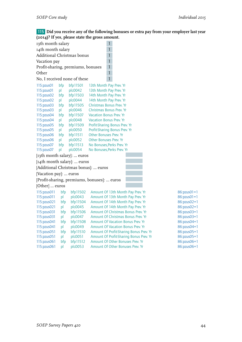$86:pxus01 = 1$  $186:pxus01 = 1$  $186:pxus02=1$  $86:pxus02=1$  $16:pxus03=1$ 86:pzus03=1  $86:pxus04=1$  $86:pxus04=1$ 86:pzus05=1  $86:pxus05=1$ 86:pzus06=1 86:pzus06=1

115 **Did you receive any of the following bonuses or extra pay from your employer last year (2014)? If yes, please state the gross amount.**

| 13th month salary                 |     |          | $\mathbf{1}$                                |
|-----------------------------------|-----|----------|---------------------------------------------|
| 14th month salary                 |     |          | $\mathbf{1}$                                |
| Additional Christmas bonus        |     |          | 1                                           |
| Vacation pay                      |     |          | 1                                           |
| Profit-sharing, premiums, bonuses |     |          | 1                                           |
| Other                             |     |          | $\overline{1}$                              |
| No, I received none of these      |     |          | $\mathbf{1}$                                |
| 115:pzus01                        | bfp | bfp11501 | 13th Month Pay Prev. Yr                     |
| 115:pzus01                        | pl  | plc0042  | 13th Month Pay Prev. Yr                     |
| 115:pzus02                        | bfp | bfp11503 | 14th Month Pay Prev. Yr                     |
| 115:pzus02                        | pl  | plc0044  | 14th Month Pay Prev. Yr                     |
| 115:pzus03                        | bfp | bfp11505 | Christmas Bonus Prev. Yr                    |
| 115:pzus03                        | pl  | plc0046  | Christmas Bonus Prev. Yr                    |
| 115:pzus04                        | bfp | bfp11507 | <b>Vacation Bonus Prev. Yr</b>              |
| 115:pzus04                        | рI  | plc0048  | <b>Vacation Bonus Prev. Yr</b>              |
| 115:pzus05                        | bfp | bfp11509 | Profit-Sharing Bonus Prev. Yr               |
| 115:pzus05                        | pl  | plc0050  | Profit-Sharing Bonus Prev. Yr               |
| 115:pxus06                        | bfp | bfp11511 | Other Bonuses Prev. Yr                      |
| 115:pzus06                        | pl  | plc0052  | <b>Other Bonuses Prev. Yr</b>               |
| 115: pzus 07                      | bfp | bfp11513 | No Bonuses, Perks Prev. Yr                  |
| 115:pzus07                        | pl  | plc0054  | No Bonuses, Perks Prev. Yr                  |
| [13th month salary]:  euros       |     |          |                                             |
| [14th month salary]:  euros       |     |          |                                             |
|                                   |     |          | [Additional Christmas bonus]:  euros        |
| [Vacation pay]:  euros            |     |          |                                             |
|                                   |     |          | [Profit-sharing, premiums, bonuses]:  euros |
| [Other]  euros                    |     |          |                                             |
| 115:pzus011                       | bfp | bfp11502 | Amount Of 13th Month Pay Prev. Yr           |
| 115:pzus011                       | рI  | plc0043  | Amount Of 13th Month Pay Prev. Yr           |
| 115:pzus021                       | bfp | bfp11504 | Amount Of 14th Month Pay Prev. Yr           |
| 115:pzus021                       | pl  | plc0045  | Amount Of 14th Month Pay Prev. Yr           |
| 115:pzus031                       | bfp | bfp11506 | Amount Of Christmas Bonus Prev. Yr          |
| 115:pzus031                       | pl  | plc0047  | Amount Of Christmas Bonus Prev. Yr          |
| 115:pzus041                       | bfp | bfp11508 | <b>Amount Of Vacation Bonus Prev. Yr</b>    |
| 115:pzus041                       | pl  | plc0049  | <b>Amount Of Vacation Bonus Prev. Yr</b>    |
| 115:pzus051                       | bfp | bfp11510 | Amount Of Profit-Sharing Bonus Prev. Yr     |
| 115:pzus051                       | pl  | plc0051  | Amount Of Profit-Sharing Bonus Prev. Yr     |
| 115:pzus061                       | bfp | bfp11512 | Amount Of Other Bonuses Prev. Yr            |
| 115:pzus061                       | pl  | plc0053  | Amount Of Other Bonuses Prev. Yr            |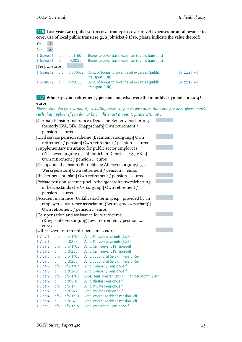116 **Last year (2014), did you receive money to cover travel expenses or an allowance to cover use of local public transit (e.g., a Jobticket)? If so, please indicate the value thereof:**

| Yes                   |                |            |              |                                                                  |               |
|-----------------------|----------------|------------|--------------|------------------------------------------------------------------|---------------|
| N <sub>0</sub>        | $\overline{2}$ |            |              |                                                                  |               |
| $116$ ; pzus $11$     |                | bfp        | bfp11601     | Bonus to cover travel expenses (public transport)                |               |
| $116$ ; pzus $11$     |                | bl         | plc0055      | Bonus to cover travel expenses (public transport)                |               |
| $[Yes]: \ldots$ euros |                |            |              |                                                                  |               |
| 116:pxus12            |                | <b>bfp</b> | bf11602      | Amt. of bonus to cover travel expenses (public<br>transport EUR) | $87:pxus11=1$ |
| 116:pxus12            |                | bl         | $p$ co $056$ | Amt. of bonus to cover travel expenses (public<br>transport EUR) | $87:pxus11=1$ |

#### 117 **Who pays your retirement / pension and what were the monthly payments in 2014? … euros**

*Please state the gross amount, excluding taxes. If you receive more than one pension, please mark each that applies. If you do not know the exact amount, please estimate.*

|                | [German Pension Insurance (Deutsche Rentenversicherung,                       |                     |                                                                        |  |  |  |  |  |  |
|----------------|-------------------------------------------------------------------------------|---------------------|------------------------------------------------------------------------|--|--|--|--|--|--|
|                | formerly LVA, BfA, Knappschaft)] Own retirement /                             |                     |                                                                        |  |  |  |  |  |  |
|                | pension  euros                                                                |                     |                                                                        |  |  |  |  |  |  |
|                |                                                                               |                     | [Civil service pension scheme (Beamtenversorgung)] Own                 |  |  |  |  |  |  |
|                |                                                                               |                     | retirement / pension] Own retirement / pesnion  euros                  |  |  |  |  |  |  |
|                |                                                                               |                     | [Supplementary insurance for public sector employees                   |  |  |  |  |  |  |
|                |                                                                               |                     | (Zusatzversorgung des öffentlichen Dienstes, e.g., VBL)]               |  |  |  |  |  |  |
|                |                                                                               |                     | Own retirement / pension  euros                                        |  |  |  |  |  |  |
|                |                                                                               |                     | [Occupational pension (Betriebliche Altersversorgung,e.g.,             |  |  |  |  |  |  |
|                |                                                                               |                     | Werkspension)] Own retirement / pension  euros                         |  |  |  |  |  |  |
|                |                                                                               |                     |                                                                        |  |  |  |  |  |  |
|                |                                                                               |                     | [Riester pension plan] Own retirement / pension  euros                 |  |  |  |  |  |  |
|                |                                                                               |                     | [Private pension scheme (incl. Arbeitgeberdirektversicherung           |  |  |  |  |  |  |
|                |                                                                               |                     | or berufsständische Versorgung)] Own retirement /                      |  |  |  |  |  |  |
| pension  euros |                                                                               |                     |                                                                        |  |  |  |  |  |  |
|                |                                                                               |                     | [Accident insurance (Unfallversicherung, e.g., provided by an          |  |  |  |  |  |  |
|                |                                                                               |                     | employer's insurance association (Berufsgenossenschaft))]              |  |  |  |  |  |  |
|                |                                                                               |                     | Own retirement / pension  euros                                        |  |  |  |  |  |  |
|                |                                                                               |                     | [Compensation and assistance for war victims                           |  |  |  |  |  |  |
|                |                                                                               |                     | (Kriegsopferversorgung)] own retirement / pesnion                      |  |  |  |  |  |  |
| euros          |                                                                               |                     |                                                                        |  |  |  |  |  |  |
|                |                                                                               |                     | [Other] Own retirement / pension  euros                                |  |  |  |  |  |  |
| 117:par1       | bfp                                                                           | bfp11701            | Amt. Pension payments (EUR)                                            |  |  |  |  |  |  |
| 117:par1       | pl                                                                            | plc0223             | Amt. Pension payments (EUR)                                            |  |  |  |  |  |  |
| 117:par2       | bfp                                                                           | bfp11703            | Amt. Civil Servant Pension-Self                                        |  |  |  |  |  |  |
| 117:par2       | pl                                                                            | plc0236             | <b>Amt. Civil Servant Pension-Self</b>                                 |  |  |  |  |  |  |
| 117:par5       | bfp                                                                           | bfp11705            | Amt. Supp. Civil Servant Pension-Self                                  |  |  |  |  |  |  |
| 117:par5       | pl                                                                            | plc0238             | Amt. Supp. Civil Servant Pension-Self                                  |  |  |  |  |  |  |
| 117:par6       | bfp                                                                           | bfp11707            | Amt. Company Pension-Self                                              |  |  |  |  |  |  |
|                | Amt. Company Pension-Self<br>117:par6<br>pl<br>plc0240                        |                     |                                                                        |  |  |  |  |  |  |
|                | Gross Amt. Riester Pension Plan per Month 2014<br>117:par9<br>bfp<br>bfp11709 |                     |                                                                        |  |  |  |  |  |  |
| 117:par9       | pl                                                                            | plc0516             | Amt. Riester Pension-Self                                              |  |  |  |  |  |  |
| 117:par7       | bfp                                                                           | bfp11711            | <b>Amt. Private Pension-Self</b>                                       |  |  |  |  |  |  |
| 117:par7       | pl                                                                            | plc0242             | Amt. Private Pension-Self                                              |  |  |  |  |  |  |
| 117:par4       | bfp                                                                           | bfp11713<br>plc0243 | Amt. Worker Accident Pension-Self<br>Amt. Worker Accident Pension-Self |  |  |  |  |  |  |
| 117:par4       | pl                                                                            |                     |                                                                        |  |  |  |  |  |  |
|                | bfp11715<br>Amt. War Victim Pension-Self<br>117:par3<br>bfp                   |                     |                                                                        |  |  |  |  |  |  |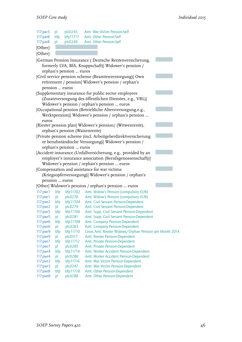| 117:par3<br>117:par8<br>117:par8 | pl<br>bfp<br>pl | plc0245<br>bfp11717<br>plc0249 | Amt. War Victim Pension-Self<br>Amt. Other Pension-Self<br>Amt. Other Pension-Self       |  |
|----------------------------------|-----------------|--------------------------------|------------------------------------------------------------------------------------------|--|
| [Other]:                         |                 |                                |                                                                                          |  |
| [Other]:                         |                 |                                |                                                                                          |  |
|                                  |                 |                                | [German Pension Insurance (Deutsche Rentenversicherung,                                  |  |
|                                  |                 |                                | formerly LVA, BfA, Knappschaft)] Widower's pension /                                     |  |
|                                  |                 | orphan's pension  euros        |                                                                                          |  |
|                                  |                 |                                | [Civil service pension scheme (Beamtenversorgung)] Own                                   |  |
|                                  |                 |                                | retirement / pension] Widower's pension / orphan's                                       |  |
|                                  |                 | pension  euros                 |                                                                                          |  |
|                                  |                 |                                | [Supplementary insurance for public sector employees                                     |  |
|                                  |                 |                                | (Zusatzversorgung des öffentlichen Dienstes, e.g., VBL)]                                 |  |
|                                  |                 |                                | Widower's pension / orphan's pension  euros                                              |  |
|                                  |                 |                                | [Occupational pension (Betriebliche Altersversorgung,e.g.,                               |  |
|                                  |                 |                                | Werkspension)] Widower's pension / orphan's pension                                      |  |
| euros                            |                 |                                |                                                                                          |  |
|                                  |                 |                                | [Riester pension plan] Widower's pension/ (Witwenrente),                                 |  |
|                                  |                 | orphan's pension (Waisenrente) |                                                                                          |  |
|                                  |                 |                                | [Private pension scheme (incl. Arbeitgeberdirektversicherung                             |  |
|                                  |                 |                                | or berufsständische Versorgung)] Widower's pension /                                     |  |
|                                  |                 | orphan's pension  euros        |                                                                                          |  |
|                                  |                 |                                | [Accident insurance (Unfallversicherung, e.g., provided by an                            |  |
|                                  |                 |                                | employer's insurance association (Berufsgenossenschaft))]                                |  |
|                                  |                 |                                | Widower's pension / orphan's pension  euros                                              |  |
|                                  |                 |                                | [Compensation and assistance for war victims                                             |  |
|                                  |                 |                                | (Kriegsopferversorgung)] Widower's pension / orphan's                                    |  |
|                                  |                 | pension  euros                 |                                                                                          |  |
|                                  |                 |                                | [Other] Widower's pension / orphan's pension  euros                                      |  |
| 117:pwr1                         | bfp             |                                | bfp11702 Amt. Widow's Pension (compulsory EUR)                                           |  |
| 117:pwr1                         |                 | pl plc0278                     | Amt. Widow's Pension (compulsory EUR)                                                    |  |
| 117:pwr2                         |                 | bfp bfp11704                   | Amt. Civil Servant Pension-Dependent                                                     |  |
| 117: pwr2                        | pl              | plc0279                        | Amt. Civil Servant Pension-Dependent                                                     |  |
| 117: pwr5<br>117: pwr5           | bfp<br>pl       | bfp11706<br>plc0281            | Amt. Supp. Civil Servant Pension-Dependent<br>Amt. Supp. Civil Servant Pension-Dependent |  |
| 117:pwr6                         | bfp             | bfp11708                       | Amt. Company Pension-Dependent                                                           |  |
| 117:pwr6                         | pl              | plc0283                        | Amt. Company Pension-Dependent                                                           |  |
| 117:pwr9                         | bfp             | bfp11710                       | Gross Amt. Riester Widows/Orphan Pension per Month 2014                                  |  |
| 117:pwr9                         | pl              | plc0517                        | Amt. Riester Pension-Dependent                                                           |  |
| 117:pwr7                         | bfp             | bfp11712                       | Amt. Private Pension-Dependent                                                           |  |
| 117:pwr7                         | pl              | plc0285                        | Amt. Private Pension-Dependent                                                           |  |
| 117:pwr4                         | bfp             | bfp11714                       | Amt. Worker Accident Pension-Dependent                                                   |  |
| 117:pwr4                         | pl              | plc0286                        | Amt. Worker Accident Pension-Dependent                                                   |  |
| 117: pwr3                        | bfp             | bfp11716                       | Amt. War Victim Pension-Dependent                                                        |  |
| 117:pwr3                         | pl              | plc0247                        | Amt. War Victim Pension-Dependent                                                        |  |
| 117: pwr8                        | bfp             | bfp11718                       | Amt. Other Pension-Dependent                                                             |  |
| 117:pwr8                         | pl              | plc0288                        | Amt. Other Pension-Dependent                                                             |  |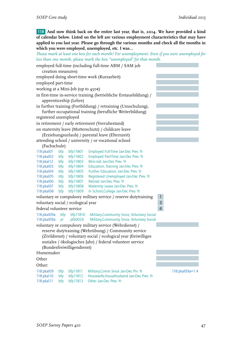118 **And now think back on the entire last year, that is, 2014. We have provided a kind of calendar below. Listed on the left are various employment characteristics that may have applied to you last year. Please go through the various months and check all the months in which you were employed, unemployed, etc. I was...**

*Please mark at least one box for each month! For unemployment: Even if you were unemployed for less than one month, please mark the box "unemployed" for that month.*

| employed full-time (including full-time ABM / SAM job |     |                                             |                                                                   |                |                 |
|-------------------------------------------------------|-----|---------------------------------------------|-------------------------------------------------------------------|----------------|-----------------|
| creation measures)                                    |     |                                             |                                                                   |                |                 |
|                                                       |     | employed doing short-time work (Kurzarbeit) |                                                                   |                |                 |
| employed part-time                                    |     |                                             |                                                                   |                |                 |
| working at a Mini-Job (up to 450€)                    |     |                                             |                                                                   |                |                 |
|                                                       |     |                                             | in first-time in-service training (betriebliche Erstausbildung) / |                |                 |
|                                                       |     | apprenticeship (Lehre)                      |                                                                   |                |                 |
|                                                       |     |                                             | in further training (Fortbildung) / retraining (Umschulung),      |                |                 |
|                                                       |     |                                             | further occupational training (berufliche Weiterbildung)          |                |                 |
| registered unemployed                                 |     |                                             |                                                                   |                |                 |
|                                                       |     |                                             | in retirement / early retirement (Vorruhestand)                   |                |                 |
|                                                       |     |                                             | on maternity leave (Mutterschutz) / childcare leave               |                |                 |
|                                                       |     |                                             | (Erziehungsurlaub) / parental leave (Elternzeit)                  |                |                 |
|                                                       |     |                                             | attending school / university / or vocational school              |                |                 |
| (Fachschule)                                          |     |                                             |                                                                   |                |                 |
| 118:pkal01                                            | bfp | bfp11801                                    | Employed Full-Time Jan-Dec Prev. Yr                               |                |                 |
| 118:pkal02                                            | bfp | bfp11802                                    | Employed Part-Time Jan-Dec Prev. Yr                               |                |                 |
| 118:pkal12                                            | bfp | bfp11803                                    | Mini-Job Jan-Dec Prev. Yr                                         |                |                 |
| 118:pkal03                                            | bfp | bfp11804                                    | Education, Training Jan-Dec Prev. Yr                              |                |                 |
| 118:pkal04                                            | bfp | bfp11805                                    | Further Education, Jan-Dec Prev. Yr                               |                |                 |
| 118:pkal05                                            | bfp | bfp11806                                    | Registered Unemployed Jan-Dec Prev. Yr                            |                |                 |
| 118:pkal06                                            | bfp | bfp11807                                    | Retired Jan-Dec Prev. Yr                                          |                |                 |
| 118: pkal07                                           | bfp | bfp11808                                    | Maternity Leave Jan-Dec Prev. Yr                                  |                |                 |
| 118:pkal08                                            | bfp | bfp11809                                    | In School, College Jan-Dec Prev. Yr                               |                |                 |
|                                                       |     |                                             | voluntary or compulsory military service / reserve dutytraining   | $\mathbf{1}$   |                 |
| voluntary social / ecological year                    |     |                                             |                                                                   | $\overline{3}$ |                 |
| federal volunteer service                             |     |                                             |                                                                   | $\overline{4}$ |                 |
| 118:pkal09a                                           | bfp | bfp11810                                    | Military, Community Srvce, Voluntary Social                       |                |                 |
| 118:pkal09a                                           | pl  | plb0026                                     | Military, Community Srvce, Voluntary Social                       |                |                 |
|                                                       |     |                                             | voluntary or compulsory military service (Wehrdienst) /           |                |                 |
|                                                       |     |                                             | reserve dutytraining (Wehrübung) / Community service              |                |                 |
|                                                       |     |                                             | (Zivildienst) / voluntary social / ecological year (freiwilliges  |                |                 |
|                                                       |     |                                             | soziales / ökologisches Jahr) / federal volunteer service         |                |                 |
|                                                       |     | (Bundesfreiwilligendienst)                  |                                                                   |                |                 |
| Homemaker                                             |     |                                             |                                                                   |                |                 |
| Other                                                 |     |                                             |                                                                   |                |                 |
| Other:                                                |     |                                             |                                                                   |                |                 |
| 118:pkal09                                            | bfp | bfp11811                                    | Military, Comm Srvce Jan-Dec Prv. Yr                              |                | 118:pkal09a=1:4 |
| 118:pkal10                                            | bfp | bfp11812                                    | Housewife, Househusband Jan-Dec Prev. Yr                          |                |                 |
| 118:pkal11                                            | bfp | bfp11813                                    | Other Jan-Dec Prev. Yr                                            |                |                 |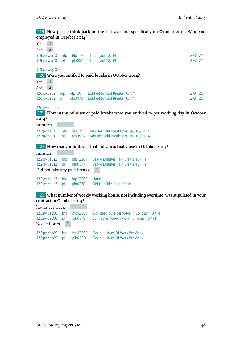#### 119 **Now please think back on the last year and specifically on October 2014. Were you employed in October 2014?**

| $\mathbf{1}$<br>Yes            |           |                     |                                                                                         |         |
|--------------------------------|-----------|---------------------|-----------------------------------------------------------------------------------------|---------|
| $\overline{2}$<br>No           |           |                     |                                                                                         |         |
| 119;perwyj10                   | bfp       | bf119               | Employed 10/14                                                                          | 2 @ 127 |
| 119;perwvj10                   | pl        | plb0574             | Employed 10/14                                                                          | 2 @ 127 |
| 119; perwyj 10=1               |           |                     |                                                                                         |         |
|                                |           |                     | 120 Were you entitled to paid breaks in October 2014?                                   |         |
| $\mathbf{1}$<br>Yes            |           |                     |                                                                                         |         |
| $\overline{2}$<br>No           |           |                     |                                                                                         |         |
| 120; pvjpaus                   | bfp       | bf 120              | Entitled to Paid Breaks 10/14                                                           | 2 @ 123 |
| 120; pvjpaus                   | pl        | plb0575             | Entitled to Paid Breaks 10/14                                                           | 2 @ 123 |
|                                |           |                     |                                                                                         |         |
| 120;pvjpaus=1                  |           |                     |                                                                                         |         |
|                                |           |                     | 121 How many minutes of paid breaks were you entitled to per working day in October     |         |
| $20I4$ ?                       |           |                     |                                                                                         |         |
| minutes                        |           |                     |                                                                                         |         |
| 121: pvjpaus 1                 | bfp       | bf121               | Minutes Paid Breaks per Day 10/2014                                                     |         |
| 121: pvjpaus 1                 | p         | plb0576             | Minutes Paid Breaks per Day 10/2014                                                     |         |
|                                |           |                     | 122 How many minutes of that did you actually use in October 2014?                      |         |
| minutes                        |           |                     |                                                                                         |         |
|                                |           |                     |                                                                                         |         |
| 122: pvjpaus 2<br>122:pvjpaus2 | bfp<br>pl | bfp12201<br>plb0577 | Usage Minutes Paid Breaks 10/14<br>Usage Minutes Paid Breaks 10/14                      |         |
| Did not take any paid breaks   |           |                     | $\mathbf{1}$                                                                            |         |
|                                |           |                     |                                                                                         |         |
| 122:pvjpaus3                   | bfp       | bfp12202            | None                                                                                    |         |
| 122: pvjpaus 3                 | pl        | plb0578             | Did Not Take Paid Breaks                                                                |         |
|                                |           |                     |                                                                                         |         |
|                                |           |                     | 123 What number of weekly working hours, not including overtime, was stipulated in your |         |
| contract in October 2014?      |           |                     |                                                                                         |         |
| hours per week                 |           |                     |                                                                                         |         |
| 123:pvjpaz08                   | bfp       | bfp12301            | Working Hours per Week in Contract 10/14                                                |         |
| 123:pvjpaz08                   | pl        | plb0579             | Contracted Weekly working Hours 10/14                                                   |         |
| No set hours                   | 1         |                     |                                                                                         |         |

|                          |  | 123:pvjpaz09 bfp bfp12302 Flexible Hours Of Work Per Week |
|--------------------------|--|-----------------------------------------------------------|
| 123: pvjpaz09 pl plb0580 |  | Flexible Hours Of Work Per Week                           |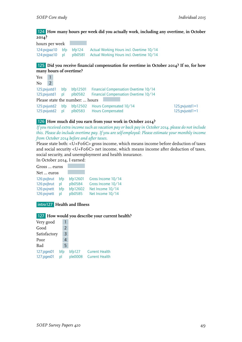124 **How many hours per week did you actually work, including any overtime, in October 2014?**

hours per week 124:pvjpaz10 bfp bfp124 Actual Working Hours incl. Overtime 10/14 124:pvjpaz10 pl plb0581 Actual Working Hours incl. Overtime 10/14

125 **Did you receive financial compensation for overtime in October 2014? If so, for how many hours of overtime?**

Yes 1  $No$  2 125;pvjustd1 bfp bfp12501 Financial Compensation Overtime 10/14 125;pvjustd1 pl plb0582 Financial Compensation Overtime 10/14 Please state the number: … hours 125:pvjustd2 bfp bfp12502 Hours Compensated 10/14 125;pvjustd1=1 125:pvjustd2 pl plb0583 Hours Compensated 125;pvjustd1=1

#### 126 **How much did you earn from your work in October 2014?**

*If you received extra income such as vacation pay or back pay in October 2014, please do not include this. Please do include overtime pay. If you are self-employed: Please estimate your monthly income from October 2014 before and after taxes.*

Please state both: <U+F06C> gross income, which means income before deduction of taxes and social security <U+F06C> net income, which means income after deduction of taxes, social security, and unemployment and health insurance.

In October 2014, I earned:

| bfp12601<br>plb0584<br>bfp12602 | Gross Income 10/14<br>Gross Income 10/14<br>Net Income 10/14 |
|---------------------------------|--------------------------------------------------------------|
|                                 | Net Income 10/14                                             |
|                                 | plb0585                                                      |

#### intro127 **Health and Illness**

#### 127 **How would you describe your current health?**

| Very good                |           |               |                  |                                                |
|--------------------------|-----------|---------------|------------------|------------------------------------------------|
| Good                     |           | $\mathcal{P}$ |                  |                                                |
| Satisfactory             |           | 3             |                  |                                                |
| Poor                     |           |               |                  |                                                |
| Bad                      |           | 5             |                  |                                                |
| 127;pges01<br>127;pges01 | bfp<br>bl |               | bf127<br>ple0008 | <b>Current Health</b><br><b>Current Health</b> |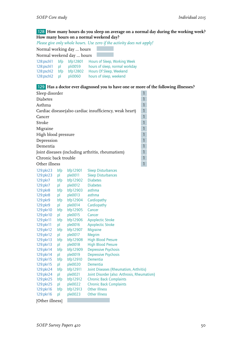#### 128 **How many hours do you sleep on average on a normal day during the working week? How many hours on a normal weekend day?**

*Please give only whole hours. Use zero if the activity does not apply!*

Normal working day … hours

Normal weekend day ... hours

| 128:pschl1        |              | bfp $bfp}$ bfp 12801      | Hours of Sleep, Working Week   |
|-------------------|--------------|---------------------------|--------------------------------|
| $128$ : pschl $1$ | $\mathsf{D}$ | pli0059                   | hours of sleep, normal workday |
| $128$ : pschl $2$ | bfp          | bfp12802                  | Hours Of Sleep, Weekend        |
| 128:pschl2        | bl           | $p$ <sub>l</sub> i $0060$ | hours of sleep, weekend        |

#### 129 **Has a doctor ever diagnosed you to have one or more of the following illnesses?**

| Sleep disorder                                          |  |
|---------------------------------------------------------|--|
| <b>Diabetes</b>                                         |  |
| Asthma                                                  |  |
| Cardiac disease(also cardiac insufficiency, weak heart) |  |
| Cancer                                                  |  |
| Stroke                                                  |  |
| Migraine                                                |  |
| High blood pressure                                     |  |
| Depression                                              |  |
| Dementia                                                |  |
| Joint diseases (including arthritis, rheumatism)        |  |
| Chronic back trouble                                    |  |
| Other illness                                           |  |

| 129: pkr 23     | bfp | bfp12901 | <b>Sleep Disturbances</b>                    |
|-----------------|-----|----------|----------------------------------------------|
| 129:pkr23       | p   | ple0011  | <b>Sleep Disturbances</b>                    |
| 129:pkr7        | bfp | bfp12902 | <b>Diabetes</b>                              |
| 129:pkr7        | p   | ple0012  | <b>Diabetes</b>                              |
| 129:pkr8        | bfp | bfp12903 | asthma                                       |
| 129:pkr8        | p   | ple0013  | asthma                                       |
| 129:pkr9        | bfp | bfp12904 | Cardiopathy                                  |
| 129:pkr9        | pl  | ple0014  | Cardiopathy                                  |
| 129:pkr10       | bfp | bfp12905 | Cancer                                       |
| 129:pkr10       | pl  | ple0015  | Cancer                                       |
| 129:pkr11       | bfp | bfp12906 | <b>Apoplectic Stroke</b>                     |
| 129:pkr11       | pl  | ple0016  | <b>Apoplectic Stroke</b>                     |
| 129:pkr12       | bfp | bfp12907 | Migraine                                     |
| 129:pkr12       | pl  | ple0017  | Megrim                                       |
| 129:pkr13       | bfp | bfp12908 | <b>High Blood Presure</b>                    |
| 129:pkr13       | pl  | ple0018  | <b>High Blood Presure</b>                    |
| 129:pkr14       | bfp | bfp12909 | Depressive Psychosis                         |
| 129:pkr14       | pl  | ple0019  | Depressive Psychosis                         |
| 129:pkr15       | bfp | bfp12910 | Dementia                                     |
| 129:pkr15       | pl  | ple0020  | Dementia                                     |
| 129:pkr24       | bfp | bfp12911 | Joint Diseases (Rheumatism, Arthritis)       |
| 129:pkr24       | pl  | ple0021  | Joint Disorder (also: Arthrosis, Rheumatism) |
| 129:pkr25       | bfp | bfp12912 | <b>Chronic Back Complaints</b>               |
| 129:pkr25       | pl  | ple0022  | <b>Chronic Back Complaints</b>               |
| 129:pkr16       | bfp | bfp12913 | <b>Other Illness</b>                         |
| 129:pkr16       | pl  | ple0023  | <b>Other Illness</b>                         |
| [Other illness] |     |          |                                              |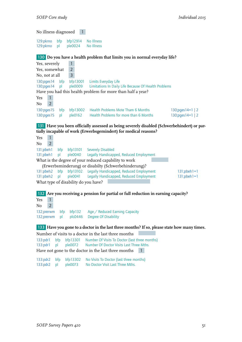No illness diagnosed 1

129:pkrno bfp bfp12914 No Illness<br>129:pkrno pl ple0024 No Illness 129:pkrno pl

130 **Do you have a health problem that limits you in normal everyday life?**

| Yes, severely         |                |              |                |                                                              |                         |
|-----------------------|----------------|--------------|----------------|--------------------------------------------------------------|-------------------------|
| Yes, somewhat         |                |              | $\overline{2}$ |                                                              |                         |
| No, not at all        |                |              | 3              |                                                              |                         |
| $130$ ; pges $14$ bfp |                |              | bfp13001       | Limits Everyday Life                                         |                         |
| $130$ ; pges $14$ pl  |                |              |                | ple0009 Limitations In Daily Life Because Of Health Problems |                         |
|                       |                |              |                | Have you had this health problem for more than half a year?  |                         |
| Yes                   | $\mathbf{1}$   |              |                |                                                              |                         |
| No                    | $\overline{2}$ |              |                |                                                              |                         |
| 130: pages15          |                | bfp          | bf13002        | Health Problems Mote Tham 6 Months                           | 130; pges $14=1$   2    |
| 130:pqes15            |                | $\mathsf{D}$ | ple0162        | Health Problems for more than 6 Months                       | $130$ ; pges $14=1$   2 |

**131 Have you been officially assessed as being severely disabled (Schwerbehindert) or partially incapable of work (Erwerbsgemindert) for medical reasons?**

Yes 1  $No$  2 131;pbeh1 bfp bfp13101 Severely Disabled 131;pbeh1 pl ple0040 Legally Handicapped, Reduced Employment What is the degree of your reduced capability to work (Erwerbsminderung) or disabilty (Schwerbehinderung)? 131:pbeh2 bfp bfp13102 Legally Handicapped, Reduced Employment 131;pbeh1=1 131:pbeh2 pl ple0041 Legally Handicapped, Reduced Employment 131;pbeh1=1 What type of disability do you have? 132 **Are you receiving a pension for partial or full reduction in earning capacity?** Yes 1 No 2 132;prerwm bfp bfp132 Age / Reduced Earning Capacity 132;prerwm pl plc0446 Degree Of Disability 133 **Have you gone to a doctor in the last three months? If so, please state how many times.** Number of visits to a doctor in the last three months

133:pdr1 bfp bfp13301 Number Of Visits To Doctor (last three months) 133:pdr1 pl ple0072 Number Of Doctor Visits Last Three Mths. Have not gone to the doctor in the last three months 1

133:pdr2 bfp bfp13302 No Visits To Doctor (last three months) 133:pdr2 pl ple0073 No Doctor Visit Last Three Mths.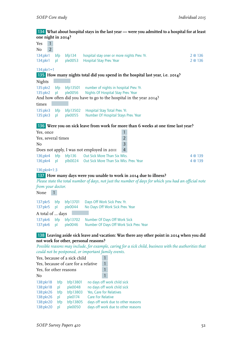#### 134 **What about hospital stays in the last year — were you admitted to a hospital for at least one night in 2014?**

| Yes                  | $\mathbf{1}$<br>2 <sup>1</sup> |               |                     |                                                                                                       |         |
|----------------------|--------------------------------|---------------|---------------------|-------------------------------------------------------------------------------------------------------|---------|
| No<br>$134$ ;p $kr1$ |                                | bfp           | bf 134              | hospital stay oner or more nights Prev. Yr.                                                           | 2 @ 136 |
| $134$ ; p $kr1$      |                                | pl            | ple0053             | Hospital Stay Prev. Year                                                                              | 2 @ 136 |
| $134$ ; pkr $1 = 1$  |                                |               |                     |                                                                                                       |         |
|                      |                                |               |                     | 135 How many nights total did you spend in the hospital last year, i.e. 2014?                         |         |
| Nights               |                                |               |                     |                                                                                                       |         |
| 135:pkr2             |                                | bfp           | bfp13501            | number of nights in hospital Prev. Yr.                                                                |         |
| 135:pkr2             |                                | p             | ple0056             | Nights Of Hospital Stay Prev. Year                                                                    |         |
|                      |                                |               |                     | And how often did you have to go to the hospital in the year 2014?                                    |         |
| times                |                                |               |                     |                                                                                                       |         |
| 135:pkr3<br>135:pkr3 |                                | bfp           | bfp13502<br>ple0055 | Hospital Stay Total Prev. Yr.<br>Number Of Hospital Stays Prev. Year                                  |         |
|                      |                                | pl            |                     |                                                                                                       |         |
|                      |                                |               |                     | 136 Were you on sick leave from work for more than 6 weeks at one time last year?                     |         |
| Yes, once            |                                |               |                     | 1                                                                                                     |         |
| Yes, several times   |                                |               |                     | $\overline{2}$                                                                                        |         |
| N <sub>0</sub>       |                                |               |                     | $\overline{3}$                                                                                        |         |
|                      |                                |               |                     | $\overline{4}$<br>Does not apply, I was not employed in 2011                                          |         |
| 136; pkr4            |                                | bfp           | bf136               | Out Sick More Than Six Wks.                                                                           | 4 @ 139 |
| 136; pkr4            |                                | <sub>pl</sub> |                     | plb0024 Out Sick More Than Six Wks. Prev. Year                                                        | 4 @ 139 |
| 136;pkr4=1:3         |                                |               |                     |                                                                                                       |         |
|                      |                                |               |                     | 137 How many days were you unable to work in 2014 due to illness?                                     |         |
|                      |                                |               |                     | Please state the total number of days, not just the number of days for which you had an official note |         |
| from your doctor.    |                                |               |                     |                                                                                                       |         |

None 1

137:pkr5 bfp bfp13701 Days Off Work Sick Prev. Yr.<br>137:pkr5 pl ple0044 No Days Off Work Sick Prev. No Days Off Work Sick Prev. Year A total of … days 137:pkr6 bfp bfp13702 Number Of Days Off Work Sick<br>137:pkr6 pl ple0046 Number Of Days Off Work Sick Number Of Days Off Work Sick Prev. Year

#### 138 **Leaving aside sick leave and vacation: Was there any other point in 2014 when you did not work for other, personal reasons?**

*Possible reasons may include, for example, caring for a sick child, business with the authorities that could not be postponed, or important family events.*

| Yes, because of a sick child        |     |          |                          |                                    |
|-------------------------------------|-----|----------|--------------------------|------------------------------------|
| Yes, because of care for a relative |     |          |                          |                                    |
| Yes, for other reasons              |     |          |                          |                                    |
| No                                  |     |          |                          |                                    |
| 138:pkr18                           | bfp | bfp13801 |                          | no days off work child sick        |
| 138:pkr18                           | pl  | ple0048  |                          | no days off work child sick        |
| 138:pkr26                           | bfp | bfp13803 | Yes, Care for Relatives  |                                    |
| 138:pkr26                           | pl  | ple0174  | <b>Care For Relative</b> |                                    |
| 138:pkr20                           | bfp | bfp13805 |                          | days off work due to other reasons |
| 138:pkr20                           | рI  | ple0050  |                          | days off work due to other reasons |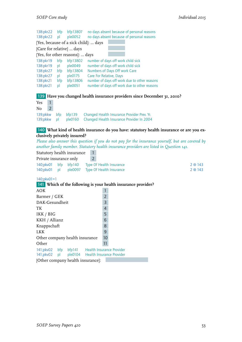| 138: pkr22                                                                 |                | bfp                                 | bfp13807                                                          | no days absent because of personal reasons                                                                                                                                                                                           |
|----------------------------------------------------------------------------|----------------|-------------------------------------|-------------------------------------------------------------------|--------------------------------------------------------------------------------------------------------------------------------------------------------------------------------------------------------------------------------------|
| 138:pkr22 pl                                                               |                |                                     | ple0052                                                           | no days absent because of personal reasons                                                                                                                                                                                           |
|                                                                            |                |                                     |                                                                   | [Yes, because of a sick child]:  days                                                                                                                                                                                                |
|                                                                            |                |                                     | [Care for relative]  days                                         |                                                                                                                                                                                                                                      |
|                                                                            |                |                                     | [Yes, for other reasons]:  days                                   |                                                                                                                                                                                                                                      |
| 138:pkr19<br>138:pkr19<br>138:pkr27<br>138:pkr27<br>138:pkr21<br>138:pkr21 |                | bfp<br>pl<br>bfp<br>pl<br>bfp<br>рI | bfp13802<br>ple0049<br>bfp13804<br>ple0175<br>bfp13806<br>ple0051 | number of days off work child sick<br>number of days off work child sick<br>Numbers of Days Off work Care<br>Care For Relative, Days<br>number of days off work due to other reasons<br>number of days off work due to other reasons |
| 139                                                                        |                |                                     |                                                                   | Have you changed health insurance providers since December 31, 2010?                                                                                                                                                                 |
| Yes                                                                        | 1              |                                     |                                                                   |                                                                                                                                                                                                                                      |
| No                                                                         | $\overline{2}$ |                                     |                                                                   |                                                                                                                                                                                                                                      |
| 139;pkkw                                                                   |                | bfp                                 | bf139                                                             | Changed Health Insurance Provider Prev. Yr.                                                                                                                                                                                          |
| 139;pkkw                                                                   |                | pl                                  | ple0160                                                           | Changed Health Insurance Provider In 2004                                                                                                                                                                                            |

#### 140 **What kind of health insurance do you have: statutory health insurance or are you exclusively privately insured?**

*Please also answer this question if you do not pay for the insurance yourself, but are covered by another family member. Statutory health insurance providers are listed in Question 141.*

Statutory health insurance 1

| Private insurance only |  |  | $\overline{2}$                                 |       |
|------------------------|--|--|------------------------------------------------|-------|
|                        |  |  | 140; pkv01 bfp bfp140 Type Of Health Insurance | 2@143 |
|                        |  |  | 140; pkv01 pl ple0097 Type Of Health Insurance | 2@143 |

140;pkv01=1

141 **Which of the following is your health insurance provider?**

| <b>AOK</b>                                                                                       |                                   |  |  |                |  |  |  |
|--------------------------------------------------------------------------------------------------|-----------------------------------|--|--|----------------|--|--|--|
| Barmer / GEK                                                                                     |                                   |  |  | $\overline{2}$ |  |  |  |
| DAK-Gesundheit                                                                                   |                                   |  |  | 3              |  |  |  |
| TK                                                                                               |                                   |  |  | 4              |  |  |  |
| IKK / BIG                                                                                        |                                   |  |  | 5              |  |  |  |
| KKH / Allianz                                                                                    |                                   |  |  | 6              |  |  |  |
| Knappschaft                                                                                      |                                   |  |  | 8              |  |  |  |
| <b>LKK</b>                                                                                       |                                   |  |  | 9              |  |  |  |
| Other company health insurance                                                                   |                                   |  |  | 10             |  |  |  |
| Other                                                                                            |                                   |  |  | 11             |  |  |  |
| 141;pkv02 bfp bfp141 Health Insurance Provider<br>141;pkv02 pl ple0104 Health Insurance Provider |                                   |  |  |                |  |  |  |
|                                                                                                  | [Other company health insurance]: |  |  |                |  |  |  |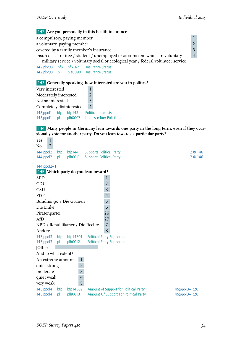#### 142 **Are you personally in this health insurance ...**

| a compulsory, paying member                                                        |                |  |
|------------------------------------------------------------------------------------|----------------|--|
| a voluntary, paying member                                                         |                |  |
| covered by a family member's insurance                                             |                |  |
| insured as a retiree / student / unemployed or as someone who is in voluntary      | $\overline{4}$ |  |
| military service / voluntary social or ecological year / federal volunteer service |                |  |

142;pkv03 bfp bfp142 Insurance Status 142;pkv03 pl ple0099 Insurance Status

#### 143 **Generally speaking, how interested are you in politics?**

| Very interested                                                       |  |                |   |                |                                                      |
|-----------------------------------------------------------------------|--|----------------|---|----------------|------------------------------------------------------|
| Moderately interested                                                 |  | $\overline{2}$ |   |                |                                                      |
| Not so interested                                                     |  |                | 3 |                |                                                      |
| Completely disinterested                                              |  |                |   | $\overline{4}$ |                                                      |
| $143$ ; ppol $1$<br>bf143<br>bfp<br>$143$ ; ppol $1$<br>plh0007<br>nl |  |                |   |                | <b>Political Interests</b><br>Interesse fuer Politik |

#### 144 **Many people in Germany lean towards one party in the long term, even if they occasionally vote for another party. Do you lean towards a particular party?**

| Yes<br>1                        |           |                     |                                                                                                                    |         |
|---------------------------------|-----------|---------------------|--------------------------------------------------------------------------------------------------------------------|---------|
| $\overline{2}$<br>No            |           |                     |                                                                                                                    |         |
| 144;ppol2                       | bfp       | bf144               | <b>Supports Political Party</b>                                                                                    | 2 @ 146 |
| 144;ppol2                       | pl        | plh0011             | <b>Supports Political Party</b>                                                                                    | 2 @ 146 |
|                                 |           |                     |                                                                                                                    |         |
| $144$ ;ppol2=1                  |           |                     |                                                                                                                    |         |
|                                 |           |                     | 145 Which party do you lean toward?                                                                                |         |
| <b>SPD</b>                      |           |                     | $\mathbf{1}$                                                                                                       |         |
| CDU                             |           |                     | $\overline{2}$                                                                                                     |         |
| <b>CSU</b>                      |           |                     | $\overline{3}$                                                                                                     |         |
| <b>FDP</b>                      |           |                     | $\overline{4}$                                                                                                     |         |
| Bündnis 90 / Die Grünen         |           |                     | 5                                                                                                                  |         |
| Die Linke                       |           |                     | 6                                                                                                                  |         |
| Piratenpartei                   |           |                     | 26                                                                                                                 |         |
| AfD                             |           |                     | 27                                                                                                                 |         |
| NPD / Republikaner / Die Rechte |           |                     | $\overline{7}$                                                                                                     |         |
| Andere                          |           |                     | 8                                                                                                                  |         |
| 145;ppol3                       | bfp       | bfp14501            | <b>Political Party Supported</b>                                                                                   |         |
| 145;ppol3                       | pl        | plh0012             | <b>Political Party Supported</b>                                                                                   |         |
| [Other]:                        |           |                     |                                                                                                                    |         |
| And to what extent?             |           |                     |                                                                                                                    |         |
| An extreme amount               |           | 1                   |                                                                                                                    |         |
| quiet strong                    |           | $\overline{2}$      |                                                                                                                    |         |
| moderate                        |           | 3                   |                                                                                                                    |         |
| quiet weak                      |           | $\overline{4}$      |                                                                                                                    |         |
| very weak                       |           | 5                   |                                                                                                                    |         |
|                                 |           |                     |                                                                                                                    |         |
| 145:ppol4<br>145:ppol4          | bfp<br>pl | bfp14502<br>plh0013 | Amount of Support for Political Party<br>145;ppol3=1:26<br>Amount Of Support For Political Party<br>145;ppol3=1:26 |         |
|                                 |           |                     |                                                                                                                    |         |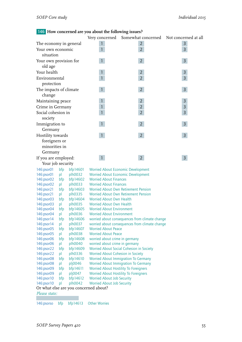| 146 How concerned are you about the following issues? |                                                      |                |                                           |                |  |  |
|-------------------------------------------------------|------------------------------------------------------|----------------|-------------------------------------------|----------------|--|--|
|                                                       |                                                      | Very concerned | Somewhat concerned Not concerned at all   |                |  |  |
| The economy in general                                |                                                      |                | $\overline{2}$                            | 3              |  |  |
| Your own economic                                     |                                                      | $\mathbf{1}$   | $\overline{2}$                            | $\overline{3}$ |  |  |
| situation                                             |                                                      |                |                                           |                |  |  |
| Your own provision for                                |                                                      | $\mathbf{1}$   | $2^{\circ}$                               | $\overline{3}$ |  |  |
| old age                                               |                                                      |                |                                           |                |  |  |
| Your health                                           |                                                      | 1              | $\overline{2}$                            | 3              |  |  |
| Environmental                                         |                                                      | $\overline{1}$ | $\overline{2}$                            | $\overline{3}$ |  |  |
| protection                                            |                                                      |                |                                           |                |  |  |
| The impacts of climate                                |                                                      | $\mathbf{1}$   | $2^{\circ}$                               | 3              |  |  |
| change                                                |                                                      |                |                                           |                |  |  |
| Maintaining peace                                     |                                                      | 1              | $\overline{2}$                            | 3              |  |  |
| Crime in Germany                                      |                                                      | $\mathbf{1}$   | $\overline{2}$                            | 3              |  |  |
| Social cohesion in                                    |                                                      | $\mathbf{1}$   | $\overline{2}$                            | 3              |  |  |
| society                                               |                                                      |                |                                           |                |  |  |
| Immigration to                                        |                                                      | $\mathbf{1}$   | $2^{\circ}$                               | $\mathsf{3}$   |  |  |
| Germany                                               |                                                      |                |                                           |                |  |  |
| Hostility towards                                     |                                                      | $\mathbf{1}$   | $2^{\circ}$                               | $\overline{3}$ |  |  |
| foreigners or                                         |                                                      |                |                                           |                |  |  |
| minorities in                                         |                                                      |                |                                           |                |  |  |
| Germany                                               |                                                      |                |                                           |                |  |  |
| If you are employed:                                  |                                                      | $\mathbf{1}$   | $2^{\circ}$                               | $\overline{3}$ |  |  |
| Your job security                                     |                                                      |                |                                           |                |  |  |
| 146:psor01<br>bfp                                     | bfp14601                                             |                | <b>Worried About Economic Development</b> |                |  |  |
| 146:psor01<br>p                                       | <b>Worried About Economic Development</b><br>plh0032 |                |                                           |                |  |  |

| Your job security |                                       |          |                                                |  |  |  |  |  |
|-------------------|---------------------------------------|----------|------------------------------------------------|--|--|--|--|--|
| 146:psor01        | bfp                                   | bfp14601 | <b>Worried About Economic Development</b>      |  |  |  |  |  |
| 146:psor01        | pl                                    | plh0032  | <b>Worried About Economic Development</b>      |  |  |  |  |  |
| 146:psor02        | bfp                                   | bfp14602 | <b>Worried About Finances</b>                  |  |  |  |  |  |
| 146:psor02        | pl                                    | plh0033  | <b>Worried About Finances</b>                  |  |  |  |  |  |
| 146:psor21        | bfp                                   | bfp14603 | Worried About Own Retirement Pension           |  |  |  |  |  |
| 146:psor21        | pl                                    | plh0335  | <b>Worried About Own Retirement Pension</b>    |  |  |  |  |  |
| 146:psor03        | bfp                                   | bfp14604 | <b>Worried About Own Health</b>                |  |  |  |  |  |
| 146:psor03        | pl                                    | plh0035  | <b>Worried About Own Health</b>                |  |  |  |  |  |
| 146:psor04        | bfp                                   | bfp14605 | <b>Worried About Environment</b>               |  |  |  |  |  |
| 146:psor04        | pl                                    | plh0036  | <b>Worried About Environment</b>               |  |  |  |  |  |
| 146:psor14        | bfp                                   | bfp14606 | worried about consequences from climate change |  |  |  |  |  |
| 146:psor14        | pl                                    | plh0037  | worried about consequences from climate change |  |  |  |  |  |
| 146:psor05        | bfp                                   | bfp14607 | <b>Worried About Peace</b>                     |  |  |  |  |  |
| 146:psor05        | pl                                    | plh0038  | <b>Worried About Peace</b>                     |  |  |  |  |  |
| 146:psor06        | bfp                                   | bfp14608 | worried about crime in germany                 |  |  |  |  |  |
| 146:psor06        | pl                                    | plh0040  | worried about crime in germany                 |  |  |  |  |  |
| 146:psor22        | bfp                                   | bfp14609 | Worried About Social Cohesion in Society       |  |  |  |  |  |
| 146:psor22        | pl                                    | plh0336  | Worried About Cohesion in Society              |  |  |  |  |  |
| 146:psor08        | bfp                                   | bfp14610 | <b>Worried About Immigration To Germany</b>    |  |  |  |  |  |
| 146:psor08        | pl                                    | plj0046  | <b>Worried About Immigration To Germany</b>    |  |  |  |  |  |
| 146:psor09        | bfp                                   | bfp14611 | <b>Worried About Hostility To Foreigners</b>   |  |  |  |  |  |
| 146:psor09        | pl                                    | plj0047  | <b>Worried About Hostility To Foreigners</b>   |  |  |  |  |  |
| 146:psor10        | bfp                                   | bfp14612 | <b>Worried About Job Security</b>              |  |  |  |  |  |
| 146:psor10        | pl                                    | plh0042  | <b>Worried About Job Security</b>              |  |  |  |  |  |
|                   | Or what else are you concerned about? |          |                                                |  |  |  |  |  |
| Please state:     |                                       |          |                                                |  |  |  |  |  |
|                   |                                       |          |                                                |  |  |  |  |  |

146:psorso bfp bfp14613 Other Worries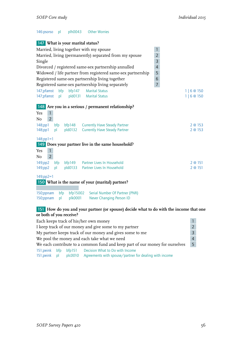#### 146:psorso pl plh0043 Other Worries

|                                                                                 |     |        | 147 What is your marital status?                                                                                                                |                |                  |  |  |
|---------------------------------------------------------------------------------|-----|--------|-------------------------------------------------------------------------------------------------------------------------------------------------|----------------|------------------|--|--|
| $\mathbf{1}$<br>Married, living together with my spouse                         |     |        |                                                                                                                                                 |                |                  |  |  |
| Married, living (permanently) separated from my spouse                          |     |        |                                                                                                                                                 |                |                  |  |  |
| Single                                                                          |     |        |                                                                                                                                                 | 3              |                  |  |  |
|                                                                                 |     |        | Divorced / registered same-sex partnership annulled                                                                                             | $\overline{4}$ |                  |  |  |
|                                                                                 |     |        | Widowed / life partner from registered same-sex partnership                                                                                     | 5              |                  |  |  |
|                                                                                 |     |        | Registered same-sex partnership living together                                                                                                 | 6              |                  |  |  |
|                                                                                 |     |        | Registered same-sex partnership living separately                                                                                               | $\overline{7}$ |                  |  |  |
| 147;pfamst                                                                      | bfp | bfp147 | <b>Marital Status</b>                                                                                                                           |                | 1 6@150          |  |  |
| 147;pfamst                                                                      | pl  |        | pld0131 Marital Status                                                                                                                          |                | 1   6 @ 150      |  |  |
| $\mathbf{1}$<br>Yes<br>$\overline{2}$<br>No<br>$148$ ;pp $1$<br>$148$ ;pp $1=1$ | pl  |        | 148 Are you in a serious / permanent relationship?<br>148;pp1 bfp bfp148 Currently Have Steady Partner<br>pld0132 Currently Have Steady Partner |                | 2 @ 153<br>2@153 |  |  |
|                                                                                 |     |        | <b>149</b> Does your partner live in the same household?                                                                                        |                |                  |  |  |
| $\mathbf{1}$<br>Yes                                                             |     |        |                                                                                                                                                 |                |                  |  |  |
| $\overline{2}$<br>No                                                            |     |        |                                                                                                                                                 |                |                  |  |  |
| 149;pp2                                                                         | bfp |        | bfp149 Partner Lives In Household                                                                                                               |                | 2@151            |  |  |
| 149;pp2                                                                         | pl  |        | pld0133 Partner Lives In Household                                                                                                              |                | 2@151            |  |  |
| $149$ ;pp2=1                                                                    |     |        | 150 What is the name of your (marital) partner?                                                                                                 |                |                  |  |  |

150;ppnam bfp bfp15002 Serial Number Of Partner (PNR) 150;ppnam pl plk0001 Never Changing Person ID

#### 151 **How do you and your partner (or spouse) decide what to do with the income that one or both of you receive?**

| Each keeps track of his/her own money                    |  |  |                                                                              |                |  |
|----------------------------------------------------------|--|--|------------------------------------------------------------------------------|----------------|--|
| I keep track of our money and give some to my partner    |  |  |                                                                              |                |  |
| My partner keeps track of our money and gives some to me |  |  |                                                                              |                |  |
| We pool the money and each take what we need             |  |  |                                                                              |                |  |
|                                                          |  |  | We each contribute to a common fund and keep part of our money for ourselves | 5 <sup>5</sup> |  |
|                                                          |  |  | 151; peink bfp bfp151 Decision What to Do with Income                        |                |  |
| 151; peink pl plc0010                                    |  |  | Agreements with spouse/partner for dealing with income                       |                |  |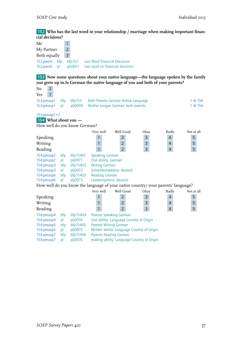152 **Who has the last word in your relationship / marriage when making important financial decisions?**

| $\mathbf{1}$<br>$\overline{2}$<br>My Partner<br>$\overline{3}$<br>Both equally<br>152;pwort<br><b>Last Word financial Decisions</b><br>bfp<br>bf152<br>plc0011<br>Last word on financial decisions<br>152;pwort<br>pl<br>153 Now some questions about your native language—the language spoken by the family<br>you grew up in.Is German the native language of you and both of your parents?<br>$\overline{2}$<br>$\overline{1}$<br>Yes<br>153;pmusp1<br>bf153<br>bfp<br><b>Both Parents German Native Language</b><br>1 @ 156<br>153;pmusp1<br>plj0009<br>Mother tongue German: both parents<br>1 @ 156<br>pl<br>$153$ ; pmusp $1=2$<br>154 What about you —<br>How well do you know German?<br>Very well<br>Well Good<br><b>Badly</b><br>Not at all<br>Okay<br>$\overline{3}$<br>5<br>1<br>$\overline{2}$<br>$\overline{4}$<br>Speaking<br>Writing<br>$\mathbf{1}$<br>$\overline{2}$<br>3<br>$\overline{4}$<br>5<br>$\overline{3}$<br>$\overline{4}$<br>$\overline{2}$<br>5<br>$\overline{1}$<br>Reading<br>154:pmusp2<br>bfp<br>bfp15401<br><b>Speaking German</b><br>Oral ability: German<br>154:pmusp2<br>plj0071<br>pl<br>154:pmusp3<br>bfp15402<br><b>Writing German</b><br>bfp<br>Schreibkompetenz: deutsch<br>154:pmusp3<br>plj0072<br>pl<br><b>Reading German</b><br>154:pmusp6<br>bfp15403<br>bfp<br>Lesekompetenz: deutsch<br>plj0073<br>154:pmusp6<br>pl<br>How well do you know the language of your native country/ your parents' language?<br>Well Good<br>Very well<br>Okay<br><b>Badly</b><br>Not at all<br>3<br>$\overline{4}$<br>1<br>$\overline{2}$<br>5<br>5<br>$\mathbf{1}$<br>$\overline{2}$<br>3<br>$\overline{4}$<br>$\overline{3}$<br>$\overline{1}$<br>$\overline{2}$<br>$\overline{4}$<br>5<br>Reading<br>154:pmusp4<br>bfp<br>bfp15404<br><b>Parents Speaking German</b><br>154:pmusp4<br>plj0074<br>Oral ability: Language Country of Origin<br>pl<br>154:pmusp5<br>bfp15405<br><b>Parents Writing German</b><br>bfp<br>plj0075<br>Written ability: Language Country of Origin<br>154:pmusp5<br>pl<br>154:pmusp7<br>bfp15406<br><b>Parents Reading German</b><br>bfp | cial decisions? |    |         |  |  |  |
|------------------------------------------------------------------------------------------------------------------------------------------------------------------------------------------------------------------------------------------------------------------------------------------------------------------------------------------------------------------------------------------------------------------------------------------------------------------------------------------------------------------------------------------------------------------------------------------------------------------------------------------------------------------------------------------------------------------------------------------------------------------------------------------------------------------------------------------------------------------------------------------------------------------------------------------------------------------------------------------------------------------------------------------------------------------------------------------------------------------------------------------------------------------------------------------------------------------------------------------------------------------------------------------------------------------------------------------------------------------------------------------------------------------------------------------------------------------------------------------------------------------------------------------------------------------------------------------------------------------------------------------------------------------------------------------------------------------------------------------------------------------------------------------------------------------------------------------------------------------------------------------------------------------------------------------------------------------------------------------------------------------------------------------------------------------------------------------------------|-----------------|----|---------|--|--|--|
|                                                                                                                                                                                                                                                                                                                                                                                                                                                                                                                                                                                                                                                                                                                                                                                                                                                                                                                                                                                                                                                                                                                                                                                                                                                                                                                                                                                                                                                                                                                                                                                                                                                                                                                                                                                                                                                                                                                                                                                                                                                                                                      | Me              |    |         |  |  |  |
|                                                                                                                                                                                                                                                                                                                                                                                                                                                                                                                                                                                                                                                                                                                                                                                                                                                                                                                                                                                                                                                                                                                                                                                                                                                                                                                                                                                                                                                                                                                                                                                                                                                                                                                                                                                                                                                                                                                                                                                                                                                                                                      |                 |    |         |  |  |  |
|                                                                                                                                                                                                                                                                                                                                                                                                                                                                                                                                                                                                                                                                                                                                                                                                                                                                                                                                                                                                                                                                                                                                                                                                                                                                                                                                                                                                                                                                                                                                                                                                                                                                                                                                                                                                                                                                                                                                                                                                                                                                                                      |                 |    |         |  |  |  |
|                                                                                                                                                                                                                                                                                                                                                                                                                                                                                                                                                                                                                                                                                                                                                                                                                                                                                                                                                                                                                                                                                                                                                                                                                                                                                                                                                                                                                                                                                                                                                                                                                                                                                                                                                                                                                                                                                                                                                                                                                                                                                                      |                 |    |         |  |  |  |
|                                                                                                                                                                                                                                                                                                                                                                                                                                                                                                                                                                                                                                                                                                                                                                                                                                                                                                                                                                                                                                                                                                                                                                                                                                                                                                                                                                                                                                                                                                                                                                                                                                                                                                                                                                                                                                                                                                                                                                                                                                                                                                      |                 |    |         |  |  |  |
|                                                                                                                                                                                                                                                                                                                                                                                                                                                                                                                                                                                                                                                                                                                                                                                                                                                                                                                                                                                                                                                                                                                                                                                                                                                                                                                                                                                                                                                                                                                                                                                                                                                                                                                                                                                                                                                                                                                                                                                                                                                                                                      |                 |    |         |  |  |  |
|                                                                                                                                                                                                                                                                                                                                                                                                                                                                                                                                                                                                                                                                                                                                                                                                                                                                                                                                                                                                                                                                                                                                                                                                                                                                                                                                                                                                                                                                                                                                                                                                                                                                                                                                                                                                                                                                                                                                                                                                                                                                                                      |                 |    |         |  |  |  |
|                                                                                                                                                                                                                                                                                                                                                                                                                                                                                                                                                                                                                                                                                                                                                                                                                                                                                                                                                                                                                                                                                                                                                                                                                                                                                                                                                                                                                                                                                                                                                                                                                                                                                                                                                                                                                                                                                                                                                                                                                                                                                                      |                 |    |         |  |  |  |
|                                                                                                                                                                                                                                                                                                                                                                                                                                                                                                                                                                                                                                                                                                                                                                                                                                                                                                                                                                                                                                                                                                                                                                                                                                                                                                                                                                                                                                                                                                                                                                                                                                                                                                                                                                                                                                                                                                                                                                                                                                                                                                      | N <sub>o</sub>  |    |         |  |  |  |
|                                                                                                                                                                                                                                                                                                                                                                                                                                                                                                                                                                                                                                                                                                                                                                                                                                                                                                                                                                                                                                                                                                                                                                                                                                                                                                                                                                                                                                                                                                                                                                                                                                                                                                                                                                                                                                                                                                                                                                                                                                                                                                      |                 |    |         |  |  |  |
|                                                                                                                                                                                                                                                                                                                                                                                                                                                                                                                                                                                                                                                                                                                                                                                                                                                                                                                                                                                                                                                                                                                                                                                                                                                                                                                                                                                                                                                                                                                                                                                                                                                                                                                                                                                                                                                                                                                                                                                                                                                                                                      |                 |    |         |  |  |  |
|                                                                                                                                                                                                                                                                                                                                                                                                                                                                                                                                                                                                                                                                                                                                                                                                                                                                                                                                                                                                                                                                                                                                                                                                                                                                                                                                                                                                                                                                                                                                                                                                                                                                                                                                                                                                                                                                                                                                                                                                                                                                                                      |                 |    |         |  |  |  |
|                                                                                                                                                                                                                                                                                                                                                                                                                                                                                                                                                                                                                                                                                                                                                                                                                                                                                                                                                                                                                                                                                                                                                                                                                                                                                                                                                                                                                                                                                                                                                                                                                                                                                                                                                                                                                                                                                                                                                                                                                                                                                                      |                 |    |         |  |  |  |
|                                                                                                                                                                                                                                                                                                                                                                                                                                                                                                                                                                                                                                                                                                                                                                                                                                                                                                                                                                                                                                                                                                                                                                                                                                                                                                                                                                                                                                                                                                                                                                                                                                                                                                                                                                                                                                                                                                                                                                                                                                                                                                      |                 |    |         |  |  |  |
|                                                                                                                                                                                                                                                                                                                                                                                                                                                                                                                                                                                                                                                                                                                                                                                                                                                                                                                                                                                                                                                                                                                                                                                                                                                                                                                                                                                                                                                                                                                                                                                                                                                                                                                                                                                                                                                                                                                                                                                                                                                                                                      |                 |    |         |  |  |  |
|                                                                                                                                                                                                                                                                                                                                                                                                                                                                                                                                                                                                                                                                                                                                                                                                                                                                                                                                                                                                                                                                                                                                                                                                                                                                                                                                                                                                                                                                                                                                                                                                                                                                                                                                                                                                                                                                                                                                                                                                                                                                                                      |                 |    |         |  |  |  |
|                                                                                                                                                                                                                                                                                                                                                                                                                                                                                                                                                                                                                                                                                                                                                                                                                                                                                                                                                                                                                                                                                                                                                                                                                                                                                                                                                                                                                                                                                                                                                                                                                                                                                                                                                                                                                                                                                                                                                                                                                                                                                                      |                 |    |         |  |  |  |
|                                                                                                                                                                                                                                                                                                                                                                                                                                                                                                                                                                                                                                                                                                                                                                                                                                                                                                                                                                                                                                                                                                                                                                                                                                                                                                                                                                                                                                                                                                                                                                                                                                                                                                                                                                                                                                                                                                                                                                                                                                                                                                      |                 |    |         |  |  |  |
|                                                                                                                                                                                                                                                                                                                                                                                                                                                                                                                                                                                                                                                                                                                                                                                                                                                                                                                                                                                                                                                                                                                                                                                                                                                                                                                                                                                                                                                                                                                                                                                                                                                                                                                                                                                                                                                                                                                                                                                                                                                                                                      |                 |    |         |  |  |  |
|                                                                                                                                                                                                                                                                                                                                                                                                                                                                                                                                                                                                                                                                                                                                                                                                                                                                                                                                                                                                                                                                                                                                                                                                                                                                                                                                                                                                                                                                                                                                                                                                                                                                                                                                                                                                                                                                                                                                                                                                                                                                                                      |                 |    |         |  |  |  |
|                                                                                                                                                                                                                                                                                                                                                                                                                                                                                                                                                                                                                                                                                                                                                                                                                                                                                                                                                                                                                                                                                                                                                                                                                                                                                                                                                                                                                                                                                                                                                                                                                                                                                                                                                                                                                                                                                                                                                                                                                                                                                                      |                 |    |         |  |  |  |
|                                                                                                                                                                                                                                                                                                                                                                                                                                                                                                                                                                                                                                                                                                                                                                                                                                                                                                                                                                                                                                                                                                                                                                                                                                                                                                                                                                                                                                                                                                                                                                                                                                                                                                                                                                                                                                                                                                                                                                                                                                                                                                      |                 |    |         |  |  |  |
|                                                                                                                                                                                                                                                                                                                                                                                                                                                                                                                                                                                                                                                                                                                                                                                                                                                                                                                                                                                                                                                                                                                                                                                                                                                                                                                                                                                                                                                                                                                                                                                                                                                                                                                                                                                                                                                                                                                                                                                                                                                                                                      |                 |    |         |  |  |  |
|                                                                                                                                                                                                                                                                                                                                                                                                                                                                                                                                                                                                                                                                                                                                                                                                                                                                                                                                                                                                                                                                                                                                                                                                                                                                                                                                                                                                                                                                                                                                                                                                                                                                                                                                                                                                                                                                                                                                                                                                                                                                                                      |                 |    |         |  |  |  |
|                                                                                                                                                                                                                                                                                                                                                                                                                                                                                                                                                                                                                                                                                                                                                                                                                                                                                                                                                                                                                                                                                                                                                                                                                                                                                                                                                                                                                                                                                                                                                                                                                                                                                                                                                                                                                                                                                                                                                                                                                                                                                                      |                 |    |         |  |  |  |
|                                                                                                                                                                                                                                                                                                                                                                                                                                                                                                                                                                                                                                                                                                                                                                                                                                                                                                                                                                                                                                                                                                                                                                                                                                                                                                                                                                                                                                                                                                                                                                                                                                                                                                                                                                                                                                                                                                                                                                                                                                                                                                      |                 |    |         |  |  |  |
|                                                                                                                                                                                                                                                                                                                                                                                                                                                                                                                                                                                                                                                                                                                                                                                                                                                                                                                                                                                                                                                                                                                                                                                                                                                                                                                                                                                                                                                                                                                                                                                                                                                                                                                                                                                                                                                                                                                                                                                                                                                                                                      |                 |    |         |  |  |  |
|                                                                                                                                                                                                                                                                                                                                                                                                                                                                                                                                                                                                                                                                                                                                                                                                                                                                                                                                                                                                                                                                                                                                                                                                                                                                                                                                                                                                                                                                                                                                                                                                                                                                                                                                                                                                                                                                                                                                                                                                                                                                                                      |                 |    |         |  |  |  |
|                                                                                                                                                                                                                                                                                                                                                                                                                                                                                                                                                                                                                                                                                                                                                                                                                                                                                                                                                                                                                                                                                                                                                                                                                                                                                                                                                                                                                                                                                                                                                                                                                                                                                                                                                                                                                                                                                                                                                                                                                                                                                                      |                 |    |         |  |  |  |
|                                                                                                                                                                                                                                                                                                                                                                                                                                                                                                                                                                                                                                                                                                                                                                                                                                                                                                                                                                                                                                                                                                                                                                                                                                                                                                                                                                                                                                                                                                                                                                                                                                                                                                                                                                                                                                                                                                                                                                                                                                                                                                      | Speaking        |    |         |  |  |  |
|                                                                                                                                                                                                                                                                                                                                                                                                                                                                                                                                                                                                                                                                                                                                                                                                                                                                                                                                                                                                                                                                                                                                                                                                                                                                                                                                                                                                                                                                                                                                                                                                                                                                                                                                                                                                                                                                                                                                                                                                                                                                                                      | Writing         |    |         |  |  |  |
|                                                                                                                                                                                                                                                                                                                                                                                                                                                                                                                                                                                                                                                                                                                                                                                                                                                                                                                                                                                                                                                                                                                                                                                                                                                                                                                                                                                                                                                                                                                                                                                                                                                                                                                                                                                                                                                                                                                                                                                                                                                                                                      |                 |    |         |  |  |  |
|                                                                                                                                                                                                                                                                                                                                                                                                                                                                                                                                                                                                                                                                                                                                                                                                                                                                                                                                                                                                                                                                                                                                                                                                                                                                                                                                                                                                                                                                                                                                                                                                                                                                                                                                                                                                                                                                                                                                                                                                                                                                                                      |                 |    |         |  |  |  |
|                                                                                                                                                                                                                                                                                                                                                                                                                                                                                                                                                                                                                                                                                                                                                                                                                                                                                                                                                                                                                                                                                                                                                                                                                                                                                                                                                                                                                                                                                                                                                                                                                                                                                                                                                                                                                                                                                                                                                                                                                                                                                                      |                 |    |         |  |  |  |
|                                                                                                                                                                                                                                                                                                                                                                                                                                                                                                                                                                                                                                                                                                                                                                                                                                                                                                                                                                                                                                                                                                                                                                                                                                                                                                                                                                                                                                                                                                                                                                                                                                                                                                                                                                                                                                                                                                                                                                                                                                                                                                      |                 |    |         |  |  |  |
|                                                                                                                                                                                                                                                                                                                                                                                                                                                                                                                                                                                                                                                                                                                                                                                                                                                                                                                                                                                                                                                                                                                                                                                                                                                                                                                                                                                                                                                                                                                                                                                                                                                                                                                                                                                                                                                                                                                                                                                                                                                                                                      |                 |    |         |  |  |  |
|                                                                                                                                                                                                                                                                                                                                                                                                                                                                                                                                                                                                                                                                                                                                                                                                                                                                                                                                                                                                                                                                                                                                                                                                                                                                                                                                                                                                                                                                                                                                                                                                                                                                                                                                                                                                                                                                                                                                                                                                                                                                                                      |                 |    |         |  |  |  |
| reading ability: Language Country of Origin                                                                                                                                                                                                                                                                                                                                                                                                                                                                                                                                                                                                                                                                                                                                                                                                                                                                                                                                                                                                                                                                                                                                                                                                                                                                                                                                                                                                                                                                                                                                                                                                                                                                                                                                                                                                                                                                                                                                                                                                                                                          | 154:pmusp7      | pl | plj0076 |  |  |  |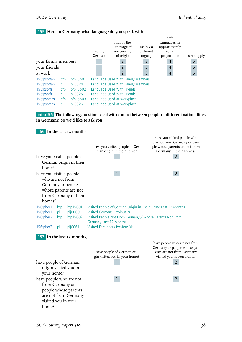## 155 **Here in Germany, what language do you speak with ...**

|                     |     |          | mainly<br>German | mainly the<br>language of<br>my country<br>of origin | mainly a<br>different<br>language | both<br>languages in<br>approximately<br>equal<br>proportions | does not apply |
|---------------------|-----|----------|------------------|------------------------------------------------------|-----------------------------------|---------------------------------------------------------------|----------------|
| your family members |     |          |                  | $\overline{2}$                                       | 3                                 | $\overline{4}$                                                | 5              |
| your friends        |     |          |                  | $\overline{2}$                                       | $\overline{3}$                    | $\overline{4}$                                                | 5              |
| at work             |     |          |                  | $\overline{2}$                                       | $\overline{3}$                    | $\overline{4}$                                                | 5              |
| 155:psprfam         | bfp | bfp15501 |                  |                                                      | Language Used With Family Members |                                                               |                |
| 155:psprfam         | p   | plj0324  |                  |                                                      | Language Used With Family Members |                                                               |                |
| 155:psprfr          | bfp | bfp15502 |                  | Language Used With Friends                           |                                   |                                                               |                |
| 155:psprfr          | pl  | plj0325  |                  | Language Used With Friends                           |                                   |                                                               |                |
| 155:psprarb         | bfp | bfp15503 |                  | Language Used at Workplace                           |                                   |                                                               |                |
| 155:psprarb         | pl  | pli0326  |                  | Language Used at Workplace                           |                                   |                                                               |                |

intro156 **The following questions deal with contact between people of different nationalities in Germany. So we'd like to ask you:**

156 **In the last 12 months,**

|                                                                                                                            |           |                            |                                                                                                    | have you visited people who<br>are not from Germany or peo-                                                            |  |  |  |
|----------------------------------------------------------------------------------------------------------------------------|-----------|----------------------------|----------------------------------------------------------------------------------------------------|------------------------------------------------------------------------------------------------------------------------|--|--|--|
|                                                                                                                            |           |                            | have you visited people of Ger-<br>man origin in their home?                                       | ple whose parents are not from<br>Germany in their homes?                                                              |  |  |  |
| have you visited people of                                                                                                 |           |                            |                                                                                                    | 2                                                                                                                      |  |  |  |
|                                                                                                                            |           | German origin in their     |                                                                                                    |                                                                                                                        |  |  |  |
| home?                                                                                                                      |           |                            |                                                                                                    |                                                                                                                        |  |  |  |
| have you visited people<br>who are not from                                                                                |           |                            | $\mathbf{1}$                                                                                       | $2^{\circ}$                                                                                                            |  |  |  |
| Germany or people                                                                                                          |           |                            |                                                                                                    |                                                                                                                        |  |  |  |
|                                                                                                                            |           | whose parents are not      |                                                                                                    |                                                                                                                        |  |  |  |
|                                                                                                                            |           | from Germany in their      |                                                                                                    |                                                                                                                        |  |  |  |
| homes?                                                                                                                     |           |                            |                                                                                                    |                                                                                                                        |  |  |  |
| 156:pher1<br>156:pher1                                                                                                     | bfp<br>pl | bfp15601<br>plj0060        | Visited People of German Origin in Their Home Last 12 Months<br><b>Visited Germans Previous Yr</b> |                                                                                                                        |  |  |  |
| 156:pher2                                                                                                                  | bfp       | bfp15602                   | Visited People Not From Germany / whose Parents Not From                                           |                                                                                                                        |  |  |  |
|                                                                                                                            |           |                            | Germany Last 12 Months                                                                             |                                                                                                                        |  |  |  |
| 156:pher2                                                                                                                  | pl        | plj0061                    | <b>Visited Foreigners Previous Yr</b>                                                              |                                                                                                                        |  |  |  |
|                                                                                                                            |           | 157 In the last 12 months, |                                                                                                    |                                                                                                                        |  |  |  |
|                                                                                                                            |           |                            | have people of German ori-<br>gin visited you in your home?                                        | have people who are not from<br>Germany or people whose par-<br>ents are not from Germany<br>visited you in your home? |  |  |  |
| have people of German<br>origin visited you in<br>your home?                                                               |           |                            | 1                                                                                                  | $\overline{2}$                                                                                                         |  |  |  |
| have people who are not<br>from Germany or<br>people whose parents<br>are not from Germany<br>visited you in your<br>home? |           |                            | $\mathbf{1}$                                                                                       | $\overline{2}$                                                                                                         |  |  |  |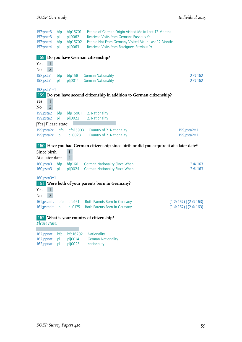157:pher3 bfp bfp15701 People of German Origin Visited Me in Last 12 Months<br>157:pher3 pl plj0062 Received Visits from Germans Previous Yr pl plj0062 Received Visits from Germans Previous Yr 157:pher4 bfp bfp15702 People Not From Germany Visited Me in Last 12 Months 157:pher4 pl plj0063 Received Visits from Foreigners Previous Yr 158 **Do you have German citizenship?**  $\begin{array}{c|cc}\n\text{Yes} & 1 \\
\hline\n\text{No} & 2\n\end{array}$  $No$ 158;psta1 bfp bfp158 German Nationality 2 @ 162 158;psta1 pl plj0014 German Nationality 2 @ 162 158;psta1=1 159 **Do you have second citizenship in addition to German citizenship?** Yes 1  $No$  2 159;psta2 bfp bfp15901 2. Nationality 159;psta2 pl plj0022 2. Nationality [Yes] Please state: 159:psta2x bfp bfp15903 Country of 2. Nationality 159;psta2=1 159:psta2x pl plj0023 Country of 2. Nationality 159;psta2=1 160 **Have you had German citizenship since birth or did you acquire it at a later date?** Since birth 1 At a later date 2 160;psta3 bfp bfp160 German Nationality Since When 2 @ 163 160;psta3 pl plj0024 German Nationality Since When 2 2 2 0 163 160;psta3=1 161 **Were both of your parents born in Germany?** Yes 1 No 2 161;pstaelt bfp bfp161 Both Parents Born In Germany (1 @ 167) | (2 @ 163) 161;pstaelt pl plj0175 Both Parents Born In Germany (1 @ 167) | (2 @ 163) 162 **What is your country of citizenship?** *Please state:* 162;ppnat bfp bfp16202 Nationality

| 162;ppnat | - pl | pl[0014] | <b>German Nationality</b> |
|-----------|------|----------|---------------------------|
| 162;ppnat | pl   | plj0025  | nationality               |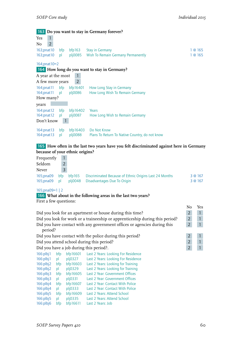|                     |                |     |                | 163 Do you want to stay in Germany forever?    |         |
|---------------------|----------------|-----|----------------|------------------------------------------------|---------|
| Yes                 | $\mathbf{1}$   |     |                |                                                |         |
| No                  | $\overline{2}$ |     |                |                                                |         |
| 163;pnat10          |                | bfp | bf163          | <b>Stay in Germany</b>                         | @ 165   |
| 163;pnat10          |                | pl  |                | plj0085 Wish To Remain Germany Permanently     | 1 @ 165 |
| $164$ ; pnat $10=2$ |                |     |                |                                                |         |
|                     |                |     |                | 164 How long do you want to stay in Germany?   |         |
| A year at the most  |                |     | 1              |                                                |         |
| A few more years    |                |     | $\overline{2}$ |                                                |         |
| $164$ ; pnat $11$   |                | bfp | bfp16401       | How Long Stay in Germany                       |         |
| 164;pnat11          |                | pl  | plj0086        | How Long Wish To Remain Germany                |         |
| How many?           |                |     |                |                                                |         |
| years               |                |     |                |                                                |         |
| $164$ :pnat $12$    |                | bfp | bfp $16402$    | Years                                          |         |
| 164:pnat12          |                | pl  | plj0087        | How Long Wish to Remain Germany                |         |
| Don't know          |                | 1   |                |                                                |         |
| 164:pnat13          |                | bfp | bfp16403       | Do Not Know                                    |         |
| 164:pnat13          |                | pl  | pi0088         | Plans To Return To Native Country, do not know |         |

165 **How often in the last two years have you felt discriminated against here in Germany because of your ethnic origins?**

| Frequently |                |                                                                      |         |
|------------|----------------|----------------------------------------------------------------------|---------|
| Seldom     |                |                                                                      |         |
| Never      | $\overline{3}$ |                                                                      |         |
| 165;pna09  | <b>bfp</b>     | <b>bfp165</b> Discriminated Because of Ethnic Origins Last 24 Months | 3 @ 167 |
| 165;pna09  | - pl           | pli0048 Disadvantages Due To Origin                                  | 3 @ 167 |

165;pna09=1 | 2

```
166 What about in the following areas in the last two years?
```
First a few questions:

|                                                           |     |               |                                                                              | No             | Yes          |
|-----------------------------------------------------------|-----|---------------|------------------------------------------------------------------------------|----------------|--------------|
| Did you look for an apartment or house during this time?  |     |               |                                                                              |                | $\mathbf{1}$ |
|                                                           |     |               | Did you look for work or a traineeship or apprenticeship during this period? | $\overline{2}$ | $\mathbf{1}$ |
|                                                           |     |               | Did you have contact with any government offices or agencies during this     | $\overline{2}$ | $\mathbf{1}$ |
| period?                                                   |     |               |                                                                              |                |              |
|                                                           |     |               | Did you have contact with the police during this period?                     | $\overline{2}$ | $\mathbf{1}$ |
| Did you attend school during this period?                 |     |               |                                                                              |                | $\mathbf{1}$ |
| $\overline{2}$<br>Did you have a job during this period?. |     |               |                                                                              |                |              |
| 166:plbj1                                                 | bfp | bfp16601      | Last 2 Years: Looking For Residence                                          |                |              |
| 166:plbj1                                                 | pl  | plj0327       | <b>Last 2 Years: Looking For Residence</b>                                   |                |              |
| 166:plbj2                                                 | bfp | bfp16603      | Last 2 Years: Looking for Training                                           |                |              |
| 166:plbj2                                                 | pl  | plj0329       | Last 2 Years: Looking for Training                                           |                |              |
| 166:plbj3                                                 | bfp | bfp16605      | Last 2 Year: Government Offices                                              |                |              |
| 166:plbj3                                                 | pl  | $pli$ 0331    | Last 2 Year: Government Offices                                              |                |              |
| 166:plbi4                                                 | bfp | bfp16607      | Last 2 Year: Contact With Police                                             |                |              |
| 166:plbj4                                                 | pl  | plj0333       | Last 2 Year: Contact With Police                                             |                |              |
| 166:plbj5                                                 | bfp | bfp16609      | Last 2 Years: Attend School                                                  |                |              |
| 166:plbj5                                                 | pl  | $pl$ $j$ 0335 | Last 2 Years: Attend School                                                  |                |              |
| 166:plbj6                                                 | bfp | bfp16611      | Last 2 Years: Job                                                            |                |              |
|                                                           |     |               |                                                                              |                |              |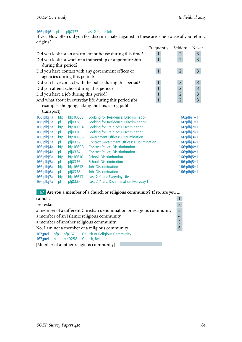#### 166:plbj6 pl plj0337 Last 2 Years: Job

If yes: How often did you feel discrim- inated against in these areas be- cause of your ethnic origins?

|                     |     |                                                     |                                                          | Frequently     | Seldom         | Never          |
|---------------------|-----|-----------------------------------------------------|----------------------------------------------------------|----------------|----------------|----------------|
|                     |     |                                                     | Did you look for an apartment or house during this time? |                | $\overline{2}$ | 3              |
|                     |     |                                                     | Did you look for work or a traineeship or apprenticeship | $\mathbf{1}$   | $\overline{2}$ | 3              |
| during this period? |     |                                                     |                                                          |                |                |                |
|                     |     | Did you have contact with any government offices or | $\mathbf{1}$                                             | 2 <sup>7</sup> | $\overline{3}$ |                |
|                     |     | agencies during this period?                        |                                                          |                |                |                |
|                     |     |                                                     | Did you have contact with the police during this period? | $\mathbf{1}$   | $\overline{2}$ | $\overline{3}$ |
|                     |     |                                                     | Did you attend school during this period?                | $\mathbf{1}$   | $\overline{2}$ | 3              |
|                     |     |                                                     | Did you have a job during this period?.                  | $\mathbf{1}$   | $\overline{2}$ | $\mathsf 3$    |
|                     |     |                                                     | And what about in everyday life during this period (for  |                | $\overline{2}$ | 3              |
|                     |     |                                                     | example, shopping, taking the bus, using public          |                |                |                |
| transport)?         |     |                                                     |                                                          |                |                |                |
| 166:plbj1a          | bfp | bfp16602                                            | Looking for Residence: Discrimination                    |                | $166:plbj1=1$  |                |
| 166:plbj1a          | pl  | pli0328                                             | Looking for Residence: Discrimination                    |                | $166:plbj1=1$  |                |
| 166:plbj2a          | bfp | bfp16604                                            | Looking for Training: Discrimination                     |                | $166:plbj2=1$  |                |
| 166:plbj2a          | pl  | plj0330                                             | Looking for Training: Discrimination                     |                | $166:plbi2=1$  |                |
| 166:plbj3a          | bfp | bfp16606                                            | <b>Government Offices: Discrimination</b>                |                | $166:plbj3=1$  |                |
| 166:plbj3a          | pl  | plj0332                                             | <b>Contact Government Offices: Discrimination</b>        |                | $166:plbj3=1$  |                |
| 166:plbj4a          | bfp | bfp16608                                            | <b>Contact Police: Discrimination</b>                    |                | $166:plbj4=1$  |                |
| 166:plbj4a          | pl  | plj0334                                             | <b>Contact Police: Discrimination</b>                    |                | $166:plbj4=1$  |                |
| 166:plbj5a          | bfp | bfp16610                                            | <b>School: Discrimination</b>                            |                | $166:plbj5=1$  |                |
| 166:plbj5a          | pl  | plj0336                                             | <b>School: Discrimination</b>                            |                | $166:plbj5=1$  |                |
| 166:plbj6a          | bfp | bfp16612                                            | <b>Job: Discrimination</b>                               |                | $166:plbj6=1$  |                |
| 166:plbj6a          | pl  | plj0338                                             | <b>Job: Discrimination</b>                               |                | $166:plbj6=1$  |                |
| 166:plbj7a          | bfp | bfp16613                                            | Last 2 Years: Everyday Life                              |                |                |                |
| 166:plbj7a          | pl  | plj0339                                             | Last 2 Years: Discrimination Everyday Life               |                |                |                |
|                     |     |                                                     |                                                          |                |                |                |

# 167 **Are you a member of a church or religious community? If so, are you …**

| catholic                                                                                  |  |  |  |  |  |
|-------------------------------------------------------------------------------------------|--|--|--|--|--|
| protestan                                                                                 |  |  |  |  |  |
| a member of a different Christian denomination or religious community<br>3                |  |  |  |  |  |
| a member of an Islamic religious community<br>$\overline{4}$                              |  |  |  |  |  |
| a member of another religious community                                                   |  |  |  |  |  |
| No, I am not a member of a religious community<br>6                                       |  |  |  |  |  |
| 167;prel bfp bfp167 Church or Religious Community<br>167;prel pl plh0258 Church, Religion |  |  |  |  |  |
| [Member of another religious community]                                                   |  |  |  |  |  |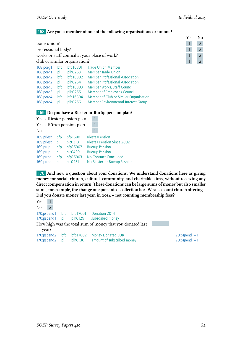#### 168 **Are you a member of one of the following organisations or unions?**

| trade union?                                  |     |                               |                                            |  |  | $\overline{2}$ |
|-----------------------------------------------|-----|-------------------------------|--------------------------------------------|--|--|----------------|
| professional body?                            |     |                               |                                            |  |  |                |
| works or staff council at your place of work? |     |                               |                                            |  |  |                |
|                                               |     | club or similar organisation? |                                            |  |  | $\overline{2}$ |
| $168$ : porq $1$                              | bfp | bfp16801                      | <b>Trade Union Member</b>                  |  |  |                |
| $168$ : porg $1$                              | pl  | plh0263                       | Member Trade Union                         |  |  |                |
| $168$ :porg $2$                               | bfp | bfp16802                      | <b>Member Professional Association</b>     |  |  |                |
| 168:porg2                                     | pl  | plh0264                       | <b>Member Professional Association</b>     |  |  |                |
| $168$ : porg $3$                              | bfp | bfp16803                      | Member Works, Staff Council                |  |  |                |
| $168$ : porg $3$                              | pl  | plh0265                       | <b>Member of Employees Council</b>         |  |  |                |
| $168$ : porq $4$                              | bfp | bfp16804                      | Member of Club or Similar Organisation     |  |  |                |
| 168:100 <sub>1</sub>                          | pl  | plh0266                       | <b>Member Environmental Interest Group</b> |  |  |                |

# Yes No

#### 169 **Do you have a Riester or Rürüp pension plan?**

| Yes, a Riester pension plan                                                |                                     |                                                                   |  |                                                                                                                                                                         |
|----------------------------------------------------------------------------|-------------------------------------|-------------------------------------------------------------------|--|-------------------------------------------------------------------------------------------------------------------------------------------------------------------------|
| Yes, a Rürup pension plan                                                  |                                     |                                                                   |  |                                                                                                                                                                         |
| No                                                                         |                                     |                                                                   |  |                                                                                                                                                                         |
| 169:priest<br>169:priest<br>169:prup<br>169:prup<br>169:prrno<br>169:prrno | bfp<br>bl<br>bfp<br>pl<br>bfp<br>bl | bfp16901<br>plc0313<br>bfp16902<br>plc0430<br>bfp16903<br>plc0431 |  | <b>Riester-Pension</b><br><b>Riester-Pension Since 2002</b><br><b>Ruerup-Pension</b><br><b>Ruerup-Pension</b><br>No Contract Concluded<br>No Riester- or Ruerup-Pesnion |

170 **And now a question about your donations. We understand donations here as giving money for social, church, cultural, community, and charitable aims, without receiving any direct compensation in return. These donations can be large sums of money but also smaller sums, for example, the change one puts into a collection box. We also count church offerings. Did you donate money last year, in 2014 – not counting membership fees?**

```
Yes 1
No 2
170;pspend1 bfp bfp17001 Donation 2014<br>170;pspend1 pl plh0129 subscribed mon
170;pspend1 pl plh0129 subscribed money
How high was the total sum of money that you donated last
   year?
170:pspend2 bfp bfp17002 Money Donated EUR 170:pspend1=1<br>170:pspend2 pl plh0130 amount of subscribed money 170;pspend1=1
              pl plh0130 amount of subscribed money 170;pspend1=1
```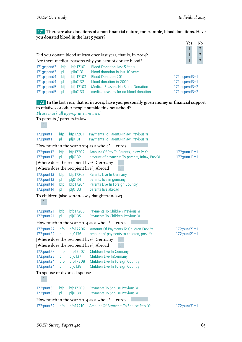#### 171 **There are also donations of a non-financial nature, for example, blood donations. Have you donated blood in the last 5 years?**

|                                                                                        |                                     |                                                                   |                                                                                                                                                                                                                    | Yes<br>No<br>$\mathbf{1}$<br>$\overline{2}$                             |
|----------------------------------------------------------------------------------------|-------------------------------------|-------------------------------------------------------------------|--------------------------------------------------------------------------------------------------------------------------------------------------------------------------------------------------------------------|-------------------------------------------------------------------------|
|                                                                                        |                                     |                                                                   | Did you donate blood at least once last year, that is, in 2014?<br>Are there medical reasons why you cannot donate blood?                                                                                          | $\mathbf{1}$<br>$\overline{2}$<br>$\mathbf{1}$<br>$\overline{2}$        |
| 171;pspend3<br>171;pspend3<br>171:pspend4<br>171:pspend4<br>171:pspend5<br>171:pspend5 | bfp<br>pl<br>bfp<br>pl<br>bfp<br>pl | bfp17101<br>plh0131<br>bfp17102<br>plh0132<br>bfp17103<br>plh0133 | <b>Blood Donation Last 5 Years</b><br>blood donation in last 10 years<br><b>Blood Donation 2014</b><br>blood donation in 2009<br><b>Medical Reasons No Blood Donation</b><br>medical reasons for no blood donation | $171$ ; pspend $3=1$<br>171;pspend3=1<br>171;pspend3=2<br>171;pspend3=2 |
| Please mark all appropriate answers!<br>To parents / parents-in-law                    |                                     |                                                                   | 172 In the last year, that is, in 2014, have you personally given money or financial support<br>to relatives or other people outside this household?                                                               |                                                                         |
| $\mathbf{1}$                                                                           |                                     |                                                                   |                                                                                                                                                                                                                    |                                                                         |
| 172:punt11<br>172:punt11                                                               | bfp<br>pl                           | bfp17201<br>plj0131                                               | Payments To Parents, Inlaw Previous Yr<br>Payments To Parents, Inlaw Previous Yr                                                                                                                                   |                                                                         |
|                                                                                        |                                     |                                                                   | How much in the year 2014 as a whole?  euros                                                                                                                                                                       |                                                                         |
| 172:punt12<br>172:punt12                                                               | bfp<br>pl                           | bfp17202<br>plj0132                                               | Amount Of Pay To Parents,-Inlaw Pr Yr<br>amount of payments To parents, Inlaw, Prev Yr.                                                                                                                            | $172$ ; punt $11 = 1$<br>$172$ ; punt $11 = 1$                          |
| [Where does the recipient live?] Abroad                                                |                                     |                                                                   | [Where does the recipient live?] Germany<br>1<br>$\mathbf{1}$                                                                                                                                                      |                                                                         |
| 172:punt13<br>172:punt13<br>172:punt14<br>172:punt14                                   | bfp<br>pl<br>bfp<br>pl              | bfp17203<br>plj0134<br>bfp17204<br>plj0133                        | <b>Parents Live In Germany</b><br>parents live in germany<br>Parents Live In Foreign Country<br>parents live abroad                                                                                                |                                                                         |
| $\mathbf{1}$                                                                           |                                     |                                                                   | To children (also son-in-law / daughter-in-law)                                                                                                                                                                    |                                                                         |
| 172:punt21<br>172:punt21                                                               | bfp<br>pl                           | bfp17205<br>plj0135                                               | Payments To Children Previous Yr<br>Payments To Children Previous Yr                                                                                                                                               |                                                                         |
|                                                                                        |                                     |                                                                   | How much in the year 2014 as a whole?  euros                                                                                                                                                                       |                                                                         |
| 172:punt22<br>172:punt22                                                               | bfp<br>pl                           | bfp17206<br>plj0136                                               | Amount Of Payments To Children Prev. Yr<br>amount of payments to children, prev. Yr.                                                                                                                               | $172$ ; punt $21 = 1$<br>$172$ ; punt $21 = 1$                          |
|                                                                                        |                                     |                                                                   | $\mathbf{1}$<br>[Where does the recipient live?] Germany                                                                                                                                                           |                                                                         |
| [Where does the recipient live?] Abroad<br>172:punt23                                  | bfp                                 | bfp17207                                                          | 1<br><b>Children Live In Germany</b>                                                                                                                                                                               |                                                                         |
| 172:punt23<br>172:punt24<br>172:punt24                                                 | pl<br>bfp<br>pl                     | plj0137<br>bfp17208<br>plj0138                                    | <b>Children Live InGermany</b><br>Children Live In Foreign Country<br>Children Live In Foreign Country                                                                                                             |                                                                         |
| To spouse or divorced spouse<br>$\mathbf{1}$                                           |                                     |                                                                   |                                                                                                                                                                                                                    |                                                                         |
| 172:punt31<br>172:punt31                                                               | bfp<br>pl                           | bfp17209<br>plj0139                                               | Payments To Spouse Previous Yr<br>Payments To Spouse Previous Yr                                                                                                                                                   |                                                                         |
|                                                                                        |                                     |                                                                   | How much in the year 2014 as a whole?  euros                                                                                                                                                                       |                                                                         |
| 172:punt32                                                                             | bfp                                 | bfp17210                                                          | Amount Of Payments To Spouse Prev. Yr                                                                                                                                                                              | $172$ ; punt $31 = 1$                                                   |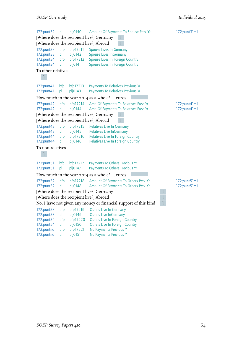```
172:punt32 pl plj0140 Amount Of Payments To Spouse Prev. Yr 172;punt31=1
[Where does the recipient live?] Germany 1
[Where does the recipient live?] Abroad 1172:punt33 bfp bfp17211 Spouse Lives In Germany
172:punt33 pl plj0142 Spouse Lives InGermany
172:punt34 bfp bfp17212 Spouse Lives In Foreign Country
172:punt34 pl plj0141 Spouse Lives In Foreign Country
To other relatives
  1
172:punt41 bfp bfp17213 Payments To Relatives Previous Yr<br>172:punt41 pl plj0143 Payments To Relatives Previous Yr
172:punt41 pl plj0143 Payments To Relatives Previous Yr
How much in the year 2014 as a whole? … euros
172:punt42 bfp bfp17214 Amt. Of Payments To Relatives Prev. Yr 172;punt41=1<br>172:punt42 pl plj0144 Amt. Of Payments To Relatives Prev. Yr 172;punt41=1
172:punt42 pl plj0144 Amt. Of Payments To Relatives Prev. Yr
[Where does the recipient live?] Germany 1
[Where does the recipient live?] Abroad 1172:punt43 bfp bfp17215 Relatives Live In Germany<br>172:punt43 pl plj0145 Relatives Live In Germany
172:punt43 pl plj0145 Relatives Live InGermany
172:punt44 bfp bfp17216 Relatives Live In Foreign Country
172:punt44 pl plj0146 Relatives Live In Foreign Country
To non-relatives
  1
172:punt51 bfp bfp17217 Payments To Others Previous Yr<br>172:punt51 pl pli0147 Payments To Others Previous Yr
             pl plj0147 Payments To Others Previous Yr
How much in the year 2014 as a whole? … euros
172:punt52 bfp bfp17218 Amount Of Payments To Others Prev. Yr 172;punt51=1
172:punt52 pl plj0148 Amount Of Payments To Others Prev. Yr 172;punt51=1
[Where does the recipient live?] Germany 1
[Where does the recipient live?] Abroad 1
No, I have not given any money or financial support of this kind 1
172:punt53 bfp bfp17219 Others Live In Germany
172:punt53 pl plj0149 Others Live InGermany
172:punt54 bfp bfp17220 Others Live In Foreign Country
172:punt54 pl plj0150 Others Live In Foreign Country
172:puntno bfp bfp17221 No Payments Previous Yr<br>172:puntno pl plj0151 No Payments Previous Yr
                   plj0151 No Payments Previous Yr
```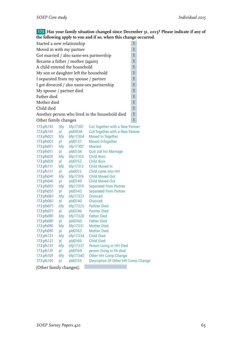173 **Has your family situation changed since December 31, 2013? Please indicate if any of the following apply to you and if so, when this change occurred.**

| Started a new relationship                     |  |
|------------------------------------------------|--|
| Moved in with my partner                       |  |
| Got married / also same-sex partnership        |  |
| Became a father / mother (again)               |  |
| A child entered the household                  |  |
| My son or daughter left the household          |  |
| I separated from my spouse / partner           |  |
| I got divorced / also same-sex partnership     |  |
| My spouse / partner died                       |  |
| Father died                                    |  |
| Mother died                                    |  |
| Child died                                     |  |
| Another person who lived in the household died |  |
| Other family changes                           |  |

| 173:pfs141 | bfp | bfp17301 | Got Together with a New Partner     |
|------------|-----|----------|-------------------------------------|
| 173:pfs141 | pl  | pld0038  | Got Together with a New Partner     |
| 173:pfs021 | bfp | bfp17304 | Moved In Together                   |
| 173:pfs021 | рI  | pld0137  | Moved InTogether                    |
| 173:pfs011 | bfp | bfp17307 | <b>Married</b>                      |
| 173:pfs011 | pl  | pld0134  | Quit Job For Marriage               |
| 173:pfs031 | bfp | bfp17310 | Child Born                          |
| 173:pfs031 | pl  | pld0152  | Child Born                          |
| 173:pfs111 | bfp | bfp17313 | Child Moved In                      |
| 173:pfs111 | pl  | pla0012  | Child came into HH                  |
| 173:pfs041 | bfp | bfp17316 | Child Moved Out                     |
| 173:pfs041 | pl  | pld0149  | <b>Child Moved Out</b>              |
| 173:pfs051 | bfp | bfp17319 | <b>Separated From Partner</b>       |
| 173:pfs051 | pl  | pld0143  | <b>Separated From Partner</b>       |
| 173:pfs061 | bfp | bfp17322 | <b>Divorced</b>                     |
| 173:pfs061 | pl  | pld0140  | <b>Divorced</b>                     |
| 173:pfs071 | bfp | bfp17325 | <b>Partner Died</b>                 |
| 173:pfs071 | pl  | pld0146  | <b>Partner Died</b>                 |
| 173:pfs081 | bfp | bfp17328 | <b>Father Died</b>                  |
| 173:pfs081 | pl  | pld0160  | <b>Father Died</b>                  |
| 173:pfs091 | bfp | bfp17331 | <b>Mother Died</b>                  |
| 173:pfs091 | pl  | pld0163  | <b>Mother Died</b>                  |
| 173:pfs121 | bfp | bfp17334 | <b>Child Died</b>                   |
| 173:pfs121 | pl  | pld0166  | <b>Child Died</b>                   |
| 173:pfs131 | bfp | bfp17337 | Person Living in HH Died            |
| 173:pfs131 | pl  | pld0169  | person living in hh died            |
| 173:pfs101 | bfp | bfp17340 | Other HH Comp Change                |
| 173:pfs101 | рI  | pld0155  | Description Of Other HH Comp Change |
|            |     |          |                                     |

a.

[Other family changes]: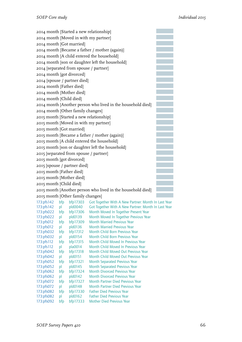| 2014 month [Started a new relationship]                     |  |
|-------------------------------------------------------------|--|
| 2014 month [Moved in with my partner]                       |  |
| 2014 month [Got married]                                    |  |
| 2014 month [Became a father / mother (again)]               |  |
| 2014 month [A child entered the household]                  |  |
| 2014 month [son or daughter left the household]             |  |
| 2014 [separated from spouse / partner]                      |  |
| 2014 month [got divorced]                                   |  |
| 2014 [spouse / partner died]                                |  |
| 2014 month [Father died]                                    |  |
| 2014 month [Mother died]                                    |  |
| 2014 month [Child died]                                     |  |
| 2014 month [Another person who lived in the household died] |  |
| 2014 month [Other family changes]                           |  |
| 2015 month [Started a new relationship]                     |  |
| 2015 month [Moved in with my partner]                       |  |
| 2015 month [Got married]                                    |  |
| 2015 month [Became a father / mother (again)]               |  |
| 2015 month [A child entered the household]                  |  |
| 2015 month [son or daughter left the household]             |  |
| 2015 [separated from spouse / partner]                      |  |
| 2015 month [got divorced]                                   |  |
| 2015 [spouse / partner died]                                |  |
| 2015 month [Father died]                                    |  |
| 2015 month [Mother died]                                    |  |
| 2015 month [Child died]                                     |  |
| 2015 month [Another person who lived in the household died] |  |
| 2015 month [Other family changes]                           |  |
|                                                             |  |

| 173:pfs142 | bfp | bfp17303 | Got Together With A New Partner: Month In Last Year |
|------------|-----|----------|-----------------------------------------------------|
| 173:pfs142 | pl  | pld0040  | Got Together With A New Partner: Month In Last Year |
| 173:pfs022 | bfp | bfp17306 | Month Moved In Together Present Year                |
| 173:pfs022 | pl  | pld0139  | Month Moved In Together Previous Year               |
| 173:pfs012 | bfp | bfp17309 | <b>Month Married Previous Year</b>                  |
| 173:pfs012 | pl  | pld0136  | <b>Month Married Previous Year</b>                  |
| 173:pfs032 | bfp | bfp17312 | Month Child Born Previous Year                      |
| 173:pfs032 | pl  | pld0154  | Month Child Born Previous Year                      |
| 173:pfs112 | bfp | bfp17315 | Month Child Moved In Previous Year                  |
| 173:pfs112 | pl  | pla0014  | Month Child Moved In Previous Year                  |
| 173:pfs042 | bfp | bfp17318 | Month Child Moved Out Previous Year                 |
| 173:pfs042 | pl  | pld0151  | Month Child Moved Out Previous Year                 |
| 173:pfs052 | bfp | bfp17321 | Month Separated Previous Year                       |
| 173:pfs052 | pl  | pld0145  | <b>Month Separated Previous Year</b>                |
| 173:pfs062 | bfp | bfp17324 | <b>Month Divorced Previous Year</b>                 |
| 173:pfs062 | pl  | pld0142  | Month Divorced Previous Year                        |
| 173:pfs072 | bfp | bfp17327 | Month Partner Died Previous Year                    |
| 173:pfs072 | pl  | pld0148  | Month Partner Died Previous Year                    |
| 173:pfs082 | bfp | bfp17330 | <b>Father Died Previous Year</b>                    |
| 173:pfs082 | pl  | pld0162  | <b>Father Died Previous Year</b>                    |
| 173:pfs092 | bfp | bfp17333 | <b>Mother Died Previous Year</b>                    |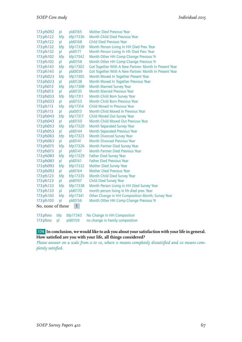| 173:pfs092                        | pl  | pld0165  | <b>Mother Died Previous Year</b>                       |  |
|-----------------------------------|-----|----------|--------------------------------------------------------|--|
| 173:pfs122                        | bfp | bfp17336 | <b>Month Child Died Previous Year</b>                  |  |
| 173:pfs122                        | pl  | pld0168  | <b>Child Died Previous Year</b>                        |  |
| 173:pfs132                        | bfp | bfp17339 | Month Person Living In HH Died Prev. Year              |  |
| 173:pfs132                        | pl  | pld0171  | Month Person Living In Hh Died Prev. Year              |  |
| 173:pfs102                        | bfp | bfp17342 | Month Other HH Comp Change Previous Yr                 |  |
| 173:pfs102                        | pl  | pld0158  | Month Other HH Comp Change Previous Yr                 |  |
| 173:pfs143                        | bfp | bfp17302 | Got Together With A New Partner: Month In Present Year |  |
| 173:pfs143                        | pl  | pld0039  | Got Together With A New Partner: Month In Present Year |  |
| 173:pfs023                        | bfp | bfp17305 | Month Moved In Together Present Year                   |  |
| 173:pfs023                        | pl  | pld0138  | Month Moved In Together Previous Year                  |  |
| 173:pfs013                        | bfp | bfp17308 | <b>Month Married Survey Year</b>                       |  |
| 173:pfs013                        | pl  | pld0135  | <b>Month Married Previous Year</b>                     |  |
| 173:pfs033                        | bfp | bfp17311 | Month Child Born Survey Year                           |  |
| 173:pfs033                        | pl  | pld0153  | Month Child Born Previous Year                         |  |
| 173:pfs113                        | bfp | bfp17314 | Child Moved In Previous Year                           |  |
| 173:pfs113                        | pl  | pla0013  | Month Child Moved In Previous Year                     |  |
| 173:pfs043                        | bfp | bfp17317 | Child Moved Out Survey Year                            |  |
| 173:pfs043                        | pl  | pld0150  | Month Child Moved Out Previous Year                    |  |
| 173:pfs053                        | bfp | bfp17320 | Month Separated Survey Year                            |  |
| 173:pfs053                        | pl  | pld0144  | <b>Month Separated Previous Year</b>                   |  |
| 173:pfs063                        | bfp | bfp17323 | <b>Month Divorced Survey Year</b>                      |  |
| 173:pfs063                        | pl  | pld0141  | <b>Month Divorced Previous Year</b>                    |  |
| 173:pfs073                        | bfp | bfp17326 | Month Partner Died Survey Year                         |  |
| 173:pfs073                        | pl  | pld0147  | <b>Month Partner Died Previous Year</b>                |  |
| 173:pfs083                        | bfp | bfp17329 | <b>Father Died Survey Year</b>                         |  |
| 173:pfs083                        | pl  | pld0161  | <b>Father Died Previous Year</b>                       |  |
| 173:pfs093                        | bfp | bfp17332 | Mother Died Survey Year                                |  |
| 173:pfs093                        | pl  | pld0164  | <b>Mother Died Previous Year</b>                       |  |
| 173:pfs123                        | bfp | bfp17335 | Month Child Died Survey Year                           |  |
| 173:pfs123                        | pl  | pld0167  | <b>Child Died Survey Year</b>                          |  |
| 173:pfs133                        | bfp | bfp17338 | Month Person Living in HH Died Survey Year             |  |
| 173:pfs133                        | pl  | pld0170  | month person living in hh died prev. Year              |  |
| 173:pfs103                        | bfp | bfp17341 | Other Change in HH Composition Month, Survey Year      |  |
| 173:pfs103                        | pl  | pld0156  | Month Other HH Comp Change Previous Yr                 |  |
| $\mathbf{1}$<br>No, none of these |     |          |                                                        |  |

|              |         | 173: pfsno bfp bfp17343 No Change In HH Composition |
|--------------|---------|-----------------------------------------------------|
| 173:pfsno pl | pld0159 | no change in Family composition                     |

#### 174 **In conclusion, we would like to ask you about your satisfaction with your life in general. How satisfied are you with your life, all things considered?**

*Please answer on a scale from 0 to 10, where 0 means completely dissatisfied and 10 means completely satisfied.*